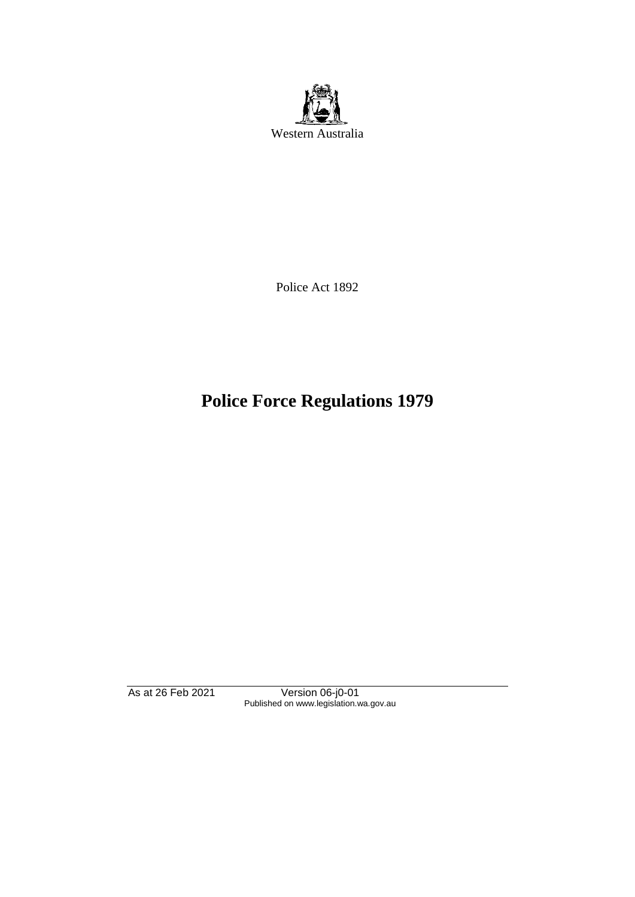

Police Act 1892

# **Police Force Regulations 1979**

As at 26 Feb 2021 Version 06-j0-01 Published on www.legislation.wa.gov.au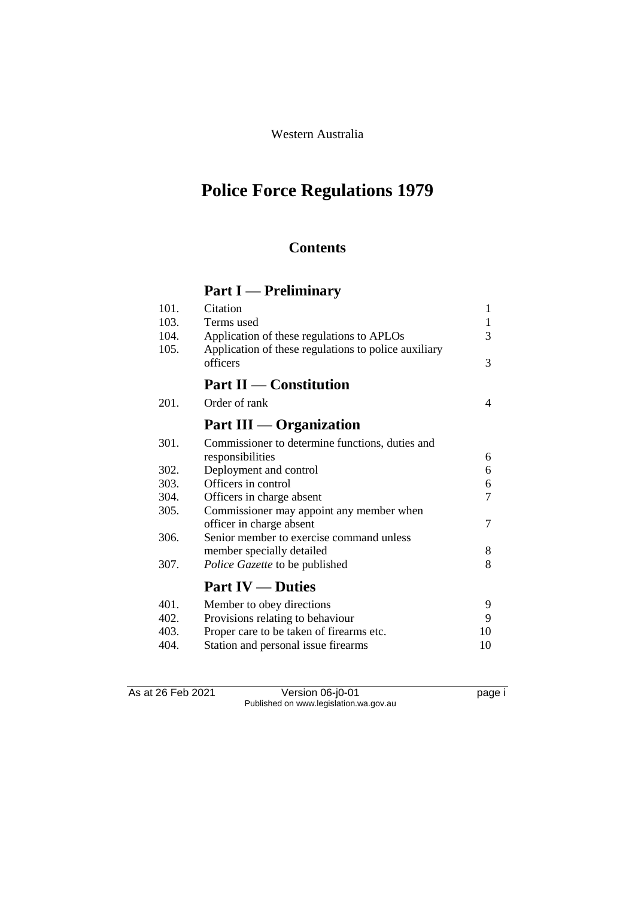Western Australia

# **Police Force Regulations 1979**

# **Contents**

# **Part I — Preliminary**

| 103.<br>Terms used<br>104.<br>Application of these regulations to APLOs<br>105.<br>Application of these regulations to police auxiliary<br>officers<br><b>Part II</b> — Constitution<br>201.<br>Order of rank<br>Part III — Organization<br>301.<br>Commissioner to determine functions, duties and<br>responsibilities<br>302.<br>Deployment and control<br>Officers in control<br>303.<br>304.<br>Officers in charge absent<br>305.<br>Commissioner may appoint any member when<br>officer in charge absent<br>306.<br>Senior member to exercise command unless<br>member specially detailed<br>307.<br>Police Gazette to be published<br><b>Part IV — Duties</b><br>401.<br>Member to obey directions<br>402.<br>Provisions relating to behaviour<br>403.<br>Proper care to be taken of firearms etc. | 101. | Citation                            | 1  |
|----------------------------------------------------------------------------------------------------------------------------------------------------------------------------------------------------------------------------------------------------------------------------------------------------------------------------------------------------------------------------------------------------------------------------------------------------------------------------------------------------------------------------------------------------------------------------------------------------------------------------------------------------------------------------------------------------------------------------------------------------------------------------------------------------------|------|-------------------------------------|----|
|                                                                                                                                                                                                                                                                                                                                                                                                                                                                                                                                                                                                                                                                                                                                                                                                          |      |                                     | 1  |
|                                                                                                                                                                                                                                                                                                                                                                                                                                                                                                                                                                                                                                                                                                                                                                                                          |      |                                     | 3  |
|                                                                                                                                                                                                                                                                                                                                                                                                                                                                                                                                                                                                                                                                                                                                                                                                          |      |                                     | 3  |
|                                                                                                                                                                                                                                                                                                                                                                                                                                                                                                                                                                                                                                                                                                                                                                                                          |      |                                     |    |
|                                                                                                                                                                                                                                                                                                                                                                                                                                                                                                                                                                                                                                                                                                                                                                                                          |      |                                     | 4  |
|                                                                                                                                                                                                                                                                                                                                                                                                                                                                                                                                                                                                                                                                                                                                                                                                          |      |                                     |    |
|                                                                                                                                                                                                                                                                                                                                                                                                                                                                                                                                                                                                                                                                                                                                                                                                          |      |                                     |    |
|                                                                                                                                                                                                                                                                                                                                                                                                                                                                                                                                                                                                                                                                                                                                                                                                          |      |                                     | 6  |
|                                                                                                                                                                                                                                                                                                                                                                                                                                                                                                                                                                                                                                                                                                                                                                                                          |      |                                     | 6  |
|                                                                                                                                                                                                                                                                                                                                                                                                                                                                                                                                                                                                                                                                                                                                                                                                          |      |                                     | 6  |
|                                                                                                                                                                                                                                                                                                                                                                                                                                                                                                                                                                                                                                                                                                                                                                                                          |      |                                     | 7  |
|                                                                                                                                                                                                                                                                                                                                                                                                                                                                                                                                                                                                                                                                                                                                                                                                          |      |                                     |    |
|                                                                                                                                                                                                                                                                                                                                                                                                                                                                                                                                                                                                                                                                                                                                                                                                          |      |                                     | 7  |
|                                                                                                                                                                                                                                                                                                                                                                                                                                                                                                                                                                                                                                                                                                                                                                                                          |      |                                     |    |
|                                                                                                                                                                                                                                                                                                                                                                                                                                                                                                                                                                                                                                                                                                                                                                                                          |      |                                     | 8  |
|                                                                                                                                                                                                                                                                                                                                                                                                                                                                                                                                                                                                                                                                                                                                                                                                          |      |                                     | 8  |
|                                                                                                                                                                                                                                                                                                                                                                                                                                                                                                                                                                                                                                                                                                                                                                                                          |      |                                     |    |
|                                                                                                                                                                                                                                                                                                                                                                                                                                                                                                                                                                                                                                                                                                                                                                                                          |      |                                     | 9  |
|                                                                                                                                                                                                                                                                                                                                                                                                                                                                                                                                                                                                                                                                                                                                                                                                          |      |                                     | 9  |
|                                                                                                                                                                                                                                                                                                                                                                                                                                                                                                                                                                                                                                                                                                                                                                                                          |      |                                     | 10 |
|                                                                                                                                                                                                                                                                                                                                                                                                                                                                                                                                                                                                                                                                                                                                                                                                          | 404. | Station and personal issue firearms | 10 |

As at 26 Feb 2021 Version 06-j0-01 page i Published on www.legislation.wa.gov.au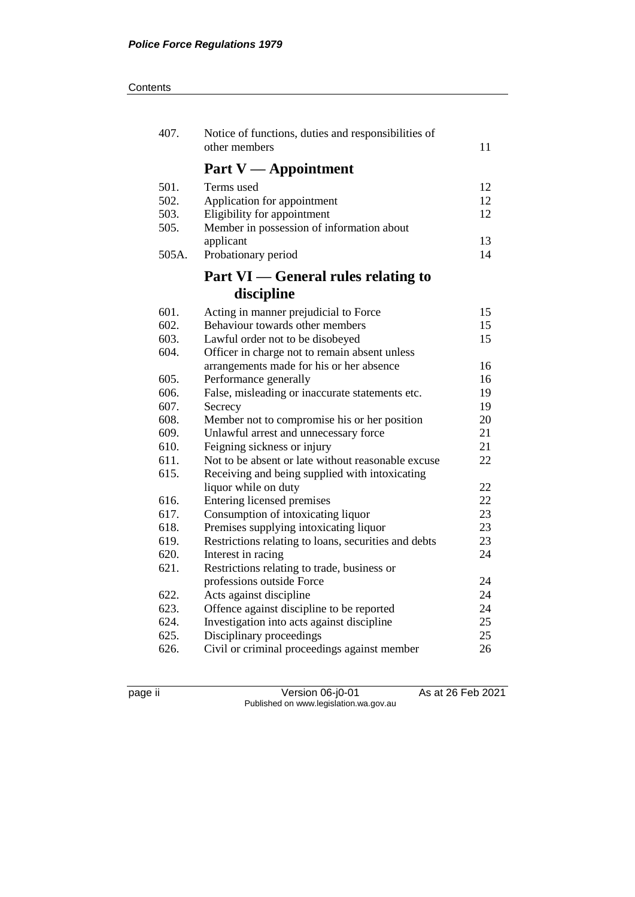| 407.  | Notice of functions, duties and responsibilities of<br>other members                    | 11       |
|-------|-----------------------------------------------------------------------------------------|----------|
|       | Part $V -$ Appointment                                                                  |          |
| 501.  | Terms used                                                                              | 12       |
| 502.  | Application for appointment                                                             | 12       |
| 503.  | Eligibility for appointment                                                             | 12       |
| 505.  | Member in possession of information about                                               |          |
|       | applicant                                                                               | 13       |
| 505A. | Probationary period                                                                     | 14       |
|       | Part VI — General rules relating to                                                     |          |
|       | discipline                                                                              |          |
| 601.  | Acting in manner prejudicial to Force                                                   | 15       |
| 602.  | Behaviour towards other members                                                         | 15       |
| 603.  | Lawful order not to be disobeyed                                                        | 15       |
| 604.  | Officer in charge not to remain absent unless                                           |          |
|       | arrangements made for his or her absence                                                | 16       |
| 605.  | Performance generally                                                                   | 16       |
| 606.  | False, misleading or inaccurate statements etc.                                         | 19       |
| 607.  | Secrecy                                                                                 | 19       |
| 608.  | Member not to compromise his or her position                                            | 20       |
| 609.  | Unlawful arrest and unnecessary force                                                   | 21       |
| 610.  | Feigning sickness or injury                                                             | 21       |
| 611.  | Not to be absent or late without reasonable excuse                                      | 22       |
| 615.  | Receiving and being supplied with intoxicating                                          |          |
|       | liquor while on duty                                                                    | 22       |
| 616.  | Entering licensed premises                                                              | 22       |
| 617.  | Consumption of intoxicating liquor                                                      | 23       |
| 618.  | Premises supplying intoxicating liquor                                                  | 23       |
| 619.  | Restrictions relating to loans, securities and debts                                    | 23       |
| 620.  | Interest in racing                                                                      | 24       |
| 621.  | Restrictions relating to trade, business or                                             |          |
| 622.  | professions outside Force                                                               | 24<br>24 |
| 623.  | Acts against discipline                                                                 | 24       |
| 624.  | Offence against discipline to be reported<br>Investigation into acts against discipline | 25       |
| 625.  | Disciplinary proceedings                                                                | 25       |
| 626.  | Civil or criminal proceedings against member                                            | 26       |
|       |                                                                                         |          |

page ii Version 06-j0-01 As at 26 Feb 2021 Published on www.legislation.wa.gov.au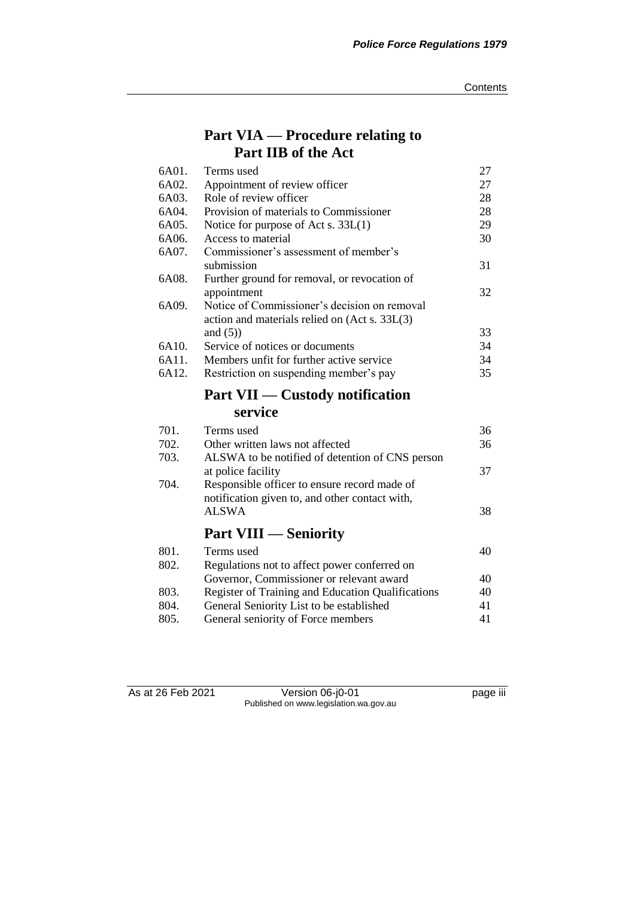# **Part VIA — Procedure relating to Part IIB of the Act**

| 6A01. | Terms used                                               | 27 |
|-------|----------------------------------------------------------|----|
| 6A02. | Appointment of review officer                            | 27 |
| 6A03. | Role of review officer                                   | 28 |
| 6A04. | Provision of materials to Commissioner                   | 28 |
| 6A05. | Notice for purpose of Act s. $33L(1)$                    | 29 |
| 6A06. | Access to material                                       | 30 |
| 6A07. | Commissioner's assessment of member's                    |    |
|       | submission                                               | 31 |
| 6A08. | Further ground for removal, or revocation of             |    |
|       | appointment                                              | 32 |
| 6A09. | Notice of Commissioner's decision on removal             |    |
|       | action and materials relied on (Act s. 33L(3)            |    |
|       | and $(5)$ )                                              | 33 |
| 6A10. | Service of notices or documents                          | 34 |
| 6A11. | Members unfit for further active service                 | 34 |
| 6A12. | Restriction on suspending member's pay                   | 35 |
|       | <b>Part VII — Custody notification</b>                   |    |
|       | service                                                  |    |
| 701.  | Terms used                                               | 36 |
| 702.  | Other written laws not affected                          | 36 |
| 703.  | ALSWA to be notified of detention of CNS person          |    |
|       | at police facility                                       | 37 |
| 704.  | Responsible officer to ensure record made of             |    |
|       | notification given to, and other contact with,           |    |
|       | <b>ALSWA</b>                                             | 38 |
|       | <b>Part VIII — Seniority</b>                             |    |
|       |                                                          |    |
| 801.  | Terms used                                               | 40 |
| 802.  | Regulations not to affect power conferred on             |    |
|       | Governor, Commissioner or relevant award                 | 40 |
| 803.  | <b>Register of Training and Education Qualifications</b> | 40 |
| 804.  | General Seniority List to be established                 | 41 |
| 805.  | General seniority of Force members                       | 41 |

As at 26 Feb 2021 Version 06-j0-01 page iii Published on www.legislation.wa.gov.au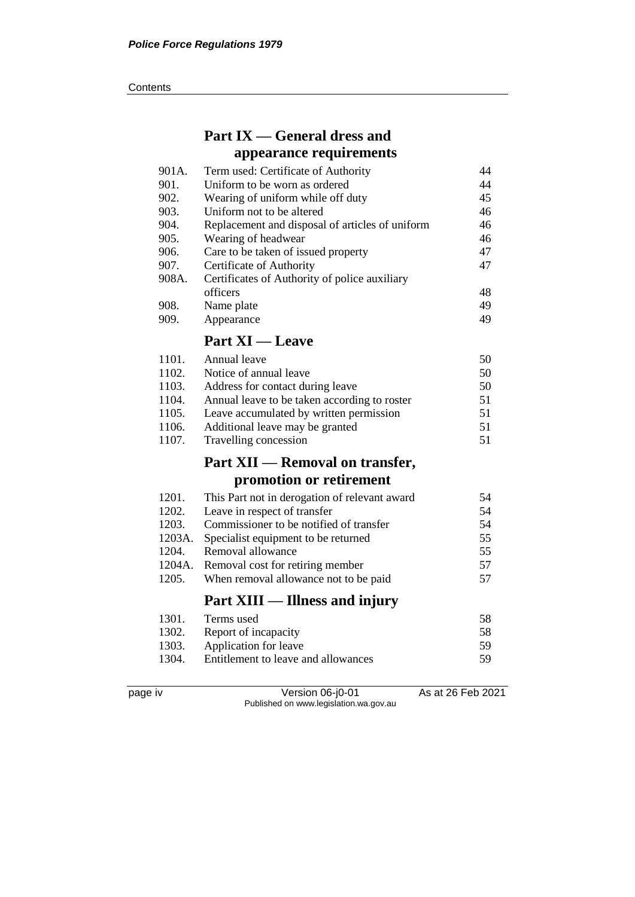#### **Contents**

# **Part IX — General dress and appearance requirements**

| 901A. | Term used: Certificate of Authority             | 44 |
|-------|-------------------------------------------------|----|
| 901.  | Uniform to be worn as ordered                   | 44 |
| 902.  | Wearing of uniform while off duty               | 45 |
| 903.  | Uniform not to be altered                       | 46 |
| 904.  | Replacement and disposal of articles of uniform | 46 |
| 905.  | Wearing of headwear                             | 46 |
| 906.  | Care to be taken of issued property             | 47 |
| 907.  | Certificate of Authority                        | 47 |
| 908A. | Certificates of Authority of police auxiliary   |    |
|       | officers                                        | 48 |
| 908.  | Name plate                                      | 49 |
| 909.  | Appearance                                      | 49 |
|       |                                                 |    |

# **Part XI — Leave**

| 1101. | Annual leave                                 | 50 |
|-------|----------------------------------------------|----|
| 1102. | Notice of annual leave                       | 50 |
| 1103. | Address for contact during leave             | 50 |
| 1104. | Annual leave to be taken according to roster | 51 |
| 1105. | Leave accumulated by written permission      | 51 |
| 1106. | Additional leave may be granted              | 51 |
| 1107. | Travelling concession                        | 51 |

# **Part XII — Removal on transfer, promotion or retirement**

|        | Part XIII — Illness and injury                |    |
|--------|-----------------------------------------------|----|
| 1205.  | When removal allowance not to be paid         | 57 |
|        | 1204A. Removal cost for retiring member       | 57 |
| 1204.  | Removal allowance                             | 55 |
| 1203A. | Specialist equipment to be returned           | 55 |
| 1203.  | Commissioner to be notified of transfer       | 54 |
| 1202.  | Leave in respect of transfer                  | 54 |
| 1201.  | This Part not in derogation of relevant award | 54 |

| 1301.  | Terms used                          | 58  |
|--------|-------------------------------------|-----|
| 1302.  | Report of incapacity                | 58  |
| 1303.  | Application for leave               | -59 |
| -1304. | Entitlement to leave and allowances | 59  |

page iv Version 06-j0-01 As at 26 Feb 2021 Published on www.legislation.wa.gov.au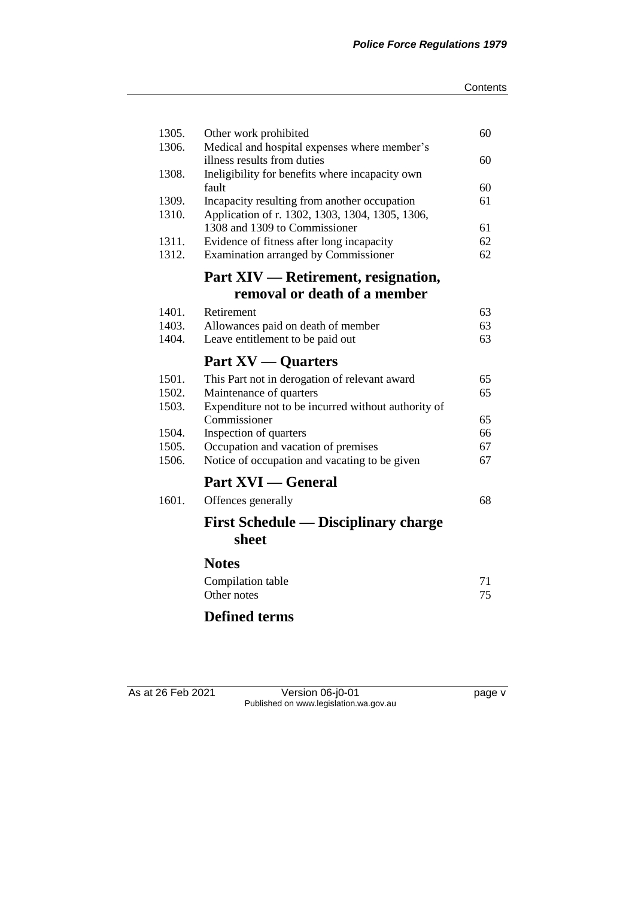#### **Contents**

| Other work prohibited                               | 60                                                                                                                                                                                                                                                                                                                                                                                                                                                                                                                                                                                                                          |
|-----------------------------------------------------|-----------------------------------------------------------------------------------------------------------------------------------------------------------------------------------------------------------------------------------------------------------------------------------------------------------------------------------------------------------------------------------------------------------------------------------------------------------------------------------------------------------------------------------------------------------------------------------------------------------------------------|
|                                                     |                                                                                                                                                                                                                                                                                                                                                                                                                                                                                                                                                                                                                             |
|                                                     | 60                                                                                                                                                                                                                                                                                                                                                                                                                                                                                                                                                                                                                          |
|                                                     | 60                                                                                                                                                                                                                                                                                                                                                                                                                                                                                                                                                                                                                          |
|                                                     | 61                                                                                                                                                                                                                                                                                                                                                                                                                                                                                                                                                                                                                          |
|                                                     |                                                                                                                                                                                                                                                                                                                                                                                                                                                                                                                                                                                                                             |
|                                                     | 61                                                                                                                                                                                                                                                                                                                                                                                                                                                                                                                                                                                                                          |
|                                                     | 62                                                                                                                                                                                                                                                                                                                                                                                                                                                                                                                                                                                                                          |
| <b>Examination arranged by Commissioner</b>         | 62                                                                                                                                                                                                                                                                                                                                                                                                                                                                                                                                                                                                                          |
| Part XIV — Retirement, resignation,                 |                                                                                                                                                                                                                                                                                                                                                                                                                                                                                                                                                                                                                             |
| removal or death of a member                        |                                                                                                                                                                                                                                                                                                                                                                                                                                                                                                                                                                                                                             |
| Retirement                                          | 63                                                                                                                                                                                                                                                                                                                                                                                                                                                                                                                                                                                                                          |
| Allowances paid on death of member                  | 63                                                                                                                                                                                                                                                                                                                                                                                                                                                                                                                                                                                                                          |
| Leave entitlement to be paid out                    | 63                                                                                                                                                                                                                                                                                                                                                                                                                                                                                                                                                                                                                          |
| <b>Part XV</b> — Quarters                           |                                                                                                                                                                                                                                                                                                                                                                                                                                                                                                                                                                                                                             |
|                                                     | 65                                                                                                                                                                                                                                                                                                                                                                                                                                                                                                                                                                                                                          |
| Maintenance of quarters                             | 65                                                                                                                                                                                                                                                                                                                                                                                                                                                                                                                                                                                                                          |
| Expenditure not to be incurred without authority of |                                                                                                                                                                                                                                                                                                                                                                                                                                                                                                                                                                                                                             |
|                                                     | 65                                                                                                                                                                                                                                                                                                                                                                                                                                                                                                                                                                                                                          |
|                                                     | 66                                                                                                                                                                                                                                                                                                                                                                                                                                                                                                                                                                                                                          |
|                                                     | 67<br>67                                                                                                                                                                                                                                                                                                                                                                                                                                                                                                                                                                                                                    |
|                                                     |                                                                                                                                                                                                                                                                                                                                                                                                                                                                                                                                                                                                                             |
|                                                     |                                                                                                                                                                                                                                                                                                                                                                                                                                                                                                                                                                                                                             |
| Offences generally                                  | 68                                                                                                                                                                                                                                                                                                                                                                                                                                                                                                                                                                                                                          |
|                                                     |                                                                                                                                                                                                                                                                                                                                                                                                                                                                                                                                                                                                                             |
| sheet                                               |                                                                                                                                                                                                                                                                                                                                                                                                                                                                                                                                                                                                                             |
| <b>Notes</b>                                        |                                                                                                                                                                                                                                                                                                                                                                                                                                                                                                                                                                                                                             |
|                                                     | 71                                                                                                                                                                                                                                                                                                                                                                                                                                                                                                                                                                                                                          |
|                                                     | 75                                                                                                                                                                                                                                                                                                                                                                                                                                                                                                                                                                                                                          |
| $\mathbf{R}$ $\mathbf{P}$ $\mathbf{I}$ $\mathbf{I}$ |                                                                                                                                                                                                                                                                                                                                                                                                                                                                                                                                                                                                                             |
|                                                     | Medical and hospital expenses where member's<br>illness results from duties<br>Ineligibility for benefits where incapacity own<br>fault<br>Incapacity resulting from another occupation<br>Application of r. 1302, 1303, 1304, 1305, 1306,<br>1308 and 1309 to Commissioner<br>Evidence of fitness after long incapacity<br>This Part not in derogation of relevant award<br>Commissioner<br>Inspection of quarters<br>Occupation and vacation of premises<br>Notice of occupation and vacating to be given<br><b>Part XVI</b> — General<br><b>First Schedule — Disciplinary charge</b><br>Compilation table<br>Other notes |

# **Defined terms**

As at 26 Feb 2021 Version 06-j0-01 page v Published on www.legislation.wa.gov.au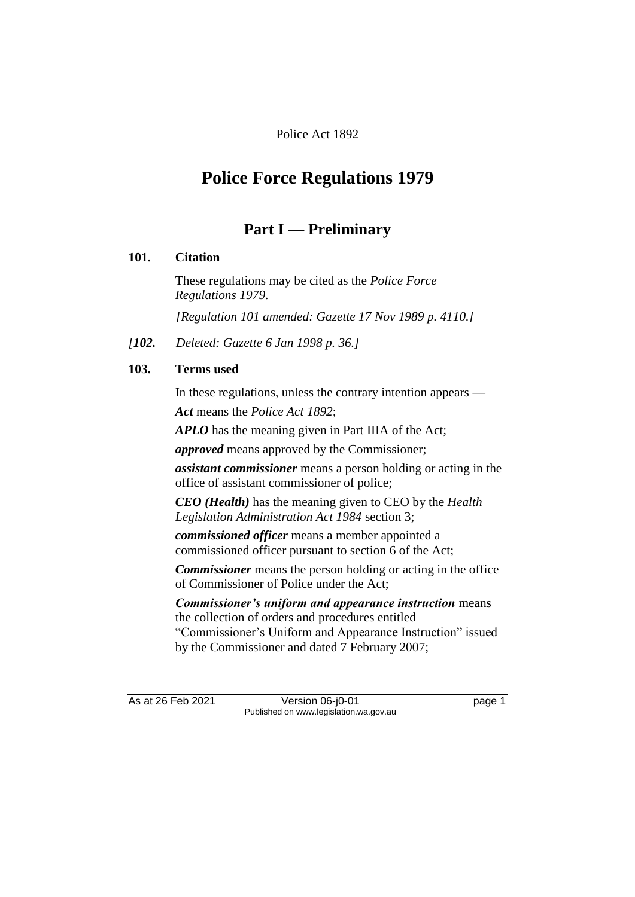# Police Act 1892

# **Police Force Regulations 1979**

# **Part I — Preliminary**

# **101. Citation**

These regulations may be cited as the *Police Force Regulations 1979*. *[Regulation 101 amended: Gazette 17 Nov 1989 p. 4110.]*

*[102. Deleted: Gazette 6 Jan 1998 p. 36.]*

## **103. Terms used**

In these regulations, unless the contrary intention appears — *Act* means the *Police Act 1892*;

*APLO* has the meaning given in Part IIIA of the Act;

*approved* means approved by the Commissioner;

*assistant commissioner* means a person holding or acting in the office of assistant commissioner of police;

*CEO (Health)* has the meaning given to CEO by the *Health Legislation Administration Act 1984* section 3;

*commissioned officer* means a member appointed a commissioned officer pursuant to section 6 of the Act;

*Commissioner* means the person holding or acting in the office of Commissioner of Police under the Act;

*Commissioner's uniform and appearance instruction* means the collection of orders and procedures entitled "Commissioner's Uniform and Appearance Instruction" issued by the Commissioner and dated 7 February 2007;

As at 26 Feb 2021 Version 06-j0-01 page 1 Published on www.legislation.wa.gov.au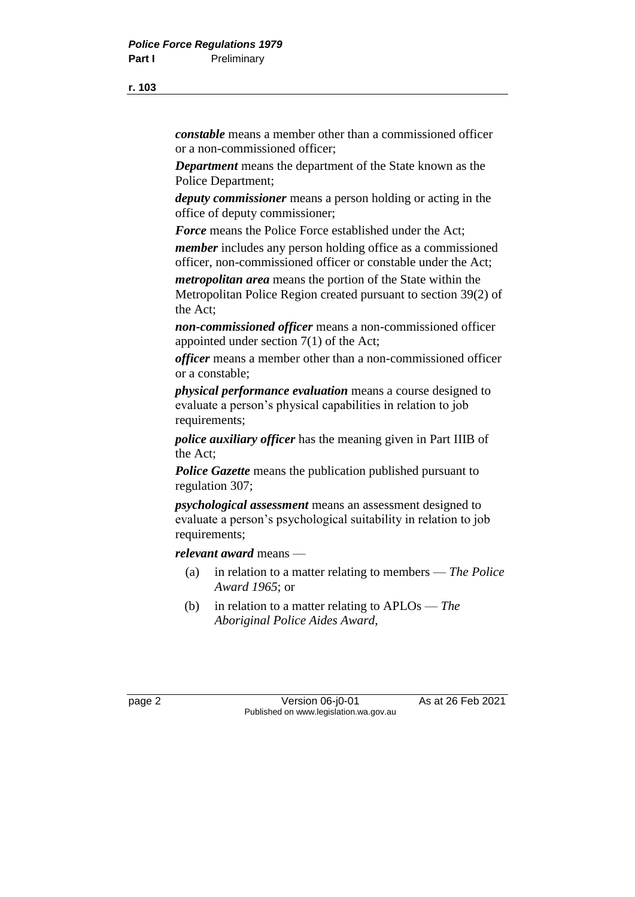*constable* means a member other than a commissioned officer or a non-commissioned officer;

*Department* means the department of the State known as the Police Department;

*deputy commissioner* means a person holding or acting in the office of deputy commissioner;

*Force* means the Police Force established under the Act;

*member* includes any person holding office as a commissioned officer, non-commissioned officer or constable under the Act;

*metropolitan area* means the portion of the State within the Metropolitan Police Region created pursuant to section 39(2) of the Act;

*non-commissioned officer* means a non-commissioned officer appointed under section 7(1) of the Act;

*officer* means a member other than a non-commissioned officer or a constable;

*physical performance evaluation* means a course designed to evaluate a person's physical capabilities in relation to job requirements;

*police auxiliary officer* has the meaning given in Part IIIB of the Act;

*Police Gazette* means the publication published pursuant to regulation 307;

*psychological assessment* means an assessment designed to evaluate a person's psychological suitability in relation to job requirements;

*relevant award* means —

- (a) in relation to a matter relating to members *The Police Award 1965*; or
- (b) in relation to a matter relating to APLOs *The Aboriginal Police Aides Award*,

page 2 Version 06-j0-01 As at 26 Feb 2021 Published on www.legislation.wa.gov.au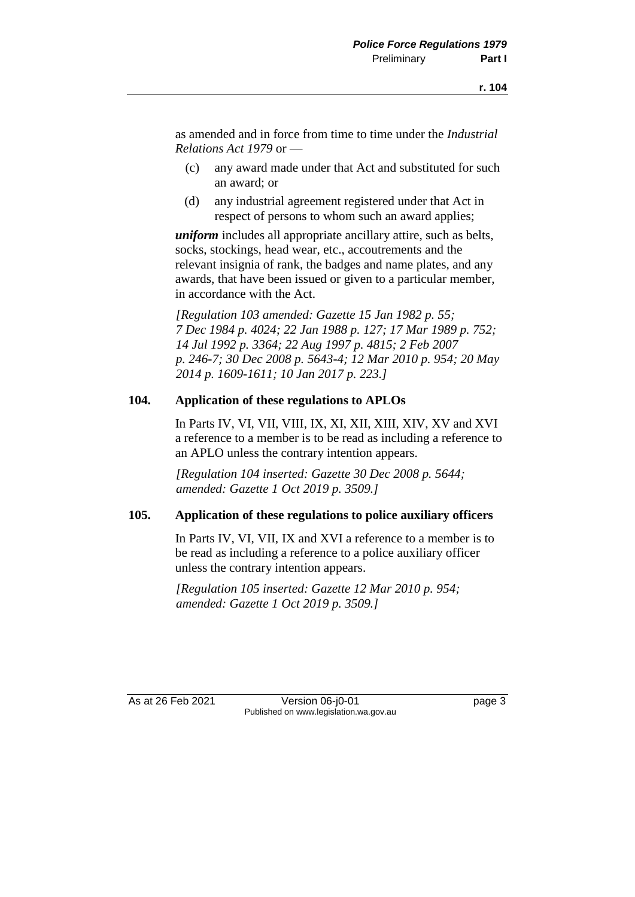as amended and in force from time to time under the *Industrial Relations Act 1979* or —

- (c) any award made under that Act and substituted for such an award; or
- (d) any industrial agreement registered under that Act in respect of persons to whom such an award applies;

*uniform* includes all appropriate ancillary attire, such as belts, socks, stockings, head wear, etc., accoutrements and the relevant insignia of rank, the badges and name plates, and any awards, that have been issued or given to a particular member, in accordance with the Act.

*[Regulation 103 amended: Gazette 15 Jan 1982 p. 55; 7 Dec 1984 p. 4024; 22 Jan 1988 p. 127; 17 Mar 1989 p. 752; 14 Jul 1992 p. 3364; 22 Aug 1997 p. 4815; 2 Feb 2007 p. 246-7; 30 Dec 2008 p. 5643-4; 12 Mar 2010 p. 954; 20 May 2014 p. 1609-1611; 10 Jan 2017 p. 223.]*

#### **104. Application of these regulations to APLOs**

In Parts IV, VI, VII, VIII, IX, XI, XII, XIII, XIV, XV and XVI a reference to a member is to be read as including a reference to an APLO unless the contrary intention appears.

*[Regulation 104 inserted: Gazette 30 Dec 2008 p. 5644; amended: Gazette 1 Oct 2019 p. 3509.]*

#### **105. Application of these regulations to police auxiliary officers**

In Parts IV, VI, VII, IX and XVI a reference to a member is to be read as including a reference to a police auxiliary officer unless the contrary intention appears.

*[Regulation 105 inserted: Gazette 12 Mar 2010 p. 954; amended: Gazette 1 Oct 2019 p. 3509.]*

As at 26 Feb 2021 Version 06-j0-01 page 3 Published on www.legislation.wa.gov.au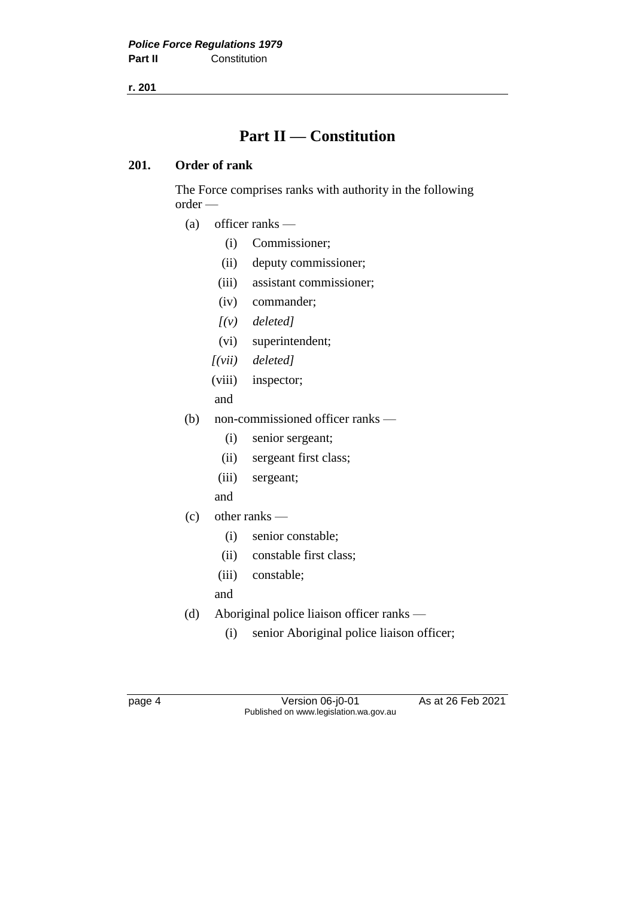# **Part II — Constitution**

# **201. Order of rank**

The Force comprises ranks with authority in the following order —

- (a) officer ranks
	- (i) Commissioner;
	- (ii) deputy commissioner;
	- (iii) assistant commissioner;
	- (iv) commander;
	- *[(v) deleted]*
	- (vi) superintendent;
	- *[(vii) deleted]*
	- (viii) inspector;

and

- (b) non-commissioned officer ranks
	- (i) senior sergeant;
	- (ii) sergeant first class;
	- (iii) sergeant;
	- and
- (c) other ranks
	- (i) senior constable;
	- (ii) constable first class;
	- (iii) constable;
	- and
- (d) Aboriginal police liaison officer ranks
	- (i) senior Aboriginal police liaison officer;

page 4 Version 06-j0-01 As at 26 Feb 2021 Published on www.legislation.wa.gov.au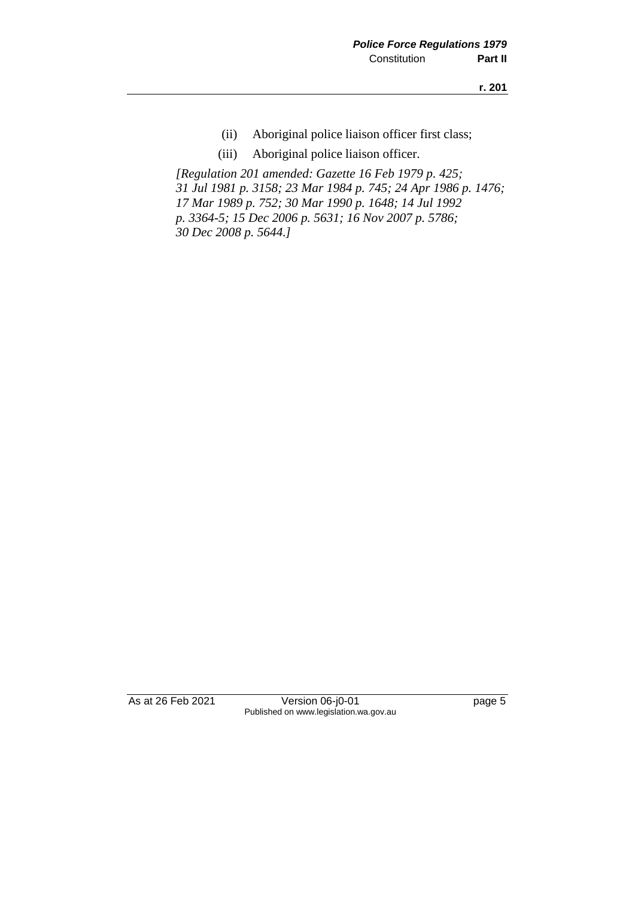- (ii) Aboriginal police liaison officer first class;
- (iii) Aboriginal police liaison officer.

*[Regulation 201 amended: Gazette 16 Feb 1979 p. 425; 31 Jul 1981 p. 3158; 23 Mar 1984 p. 745; 24 Apr 1986 p. 1476; 17 Mar 1989 p. 752; 30 Mar 1990 p. 1648; 14 Jul 1992 p. 3364-5; 15 Dec 2006 p. 5631; 16 Nov 2007 p. 5786; 30 Dec 2008 p. 5644.]*

As at 26 Feb 2021 Version 06-j0-01 page 5 Published on www.legislation.wa.gov.au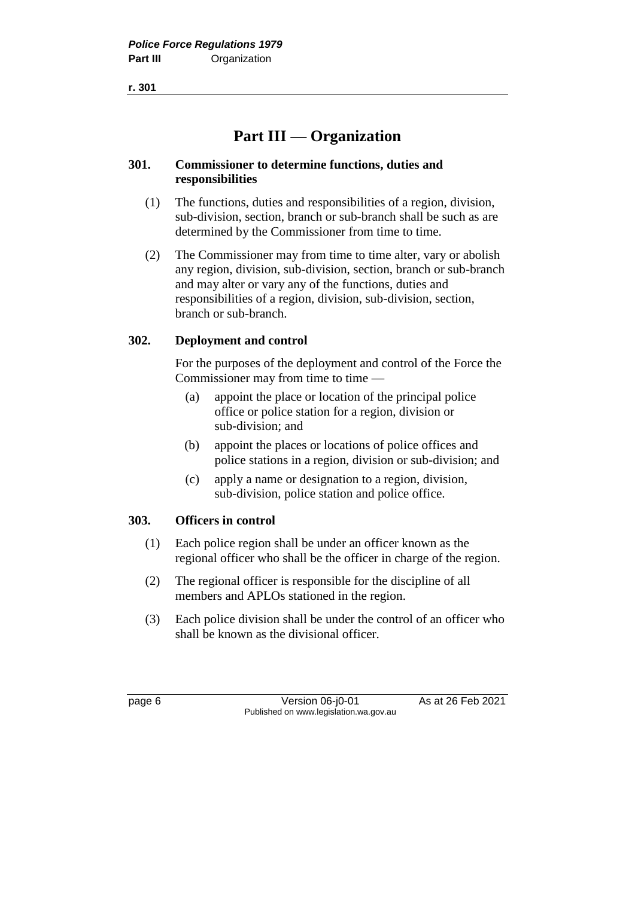# **Part III — Organization**

# **301. Commissioner to determine functions, duties and responsibilities**

- (1) The functions, duties and responsibilities of a region, division, sub-division, section, branch or sub-branch shall be such as are determined by the Commissioner from time to time.
- (2) The Commissioner may from time to time alter, vary or abolish any region, division, sub-division, section, branch or sub-branch and may alter or vary any of the functions, duties and responsibilities of a region, division, sub-division, section, branch or sub-branch.

# **302. Deployment and control**

For the purposes of the deployment and control of the Force the Commissioner may from time to time —

- (a) appoint the place or location of the principal police office or police station for a region, division or sub-division; and
- (b) appoint the places or locations of police offices and police stations in a region, division or sub-division; and
- (c) apply a name or designation to a region, division, sub-division, police station and police office.

# **303. Officers in control**

- (1) Each police region shall be under an officer known as the regional officer who shall be the officer in charge of the region.
- (2) The regional officer is responsible for the discipline of all members and APLOs stationed in the region.
- (3) Each police division shall be under the control of an officer who shall be known as the divisional officer.

page 6 Version 06-j0-01 As at 26 Feb 2021 Published on www.legislation.wa.gov.au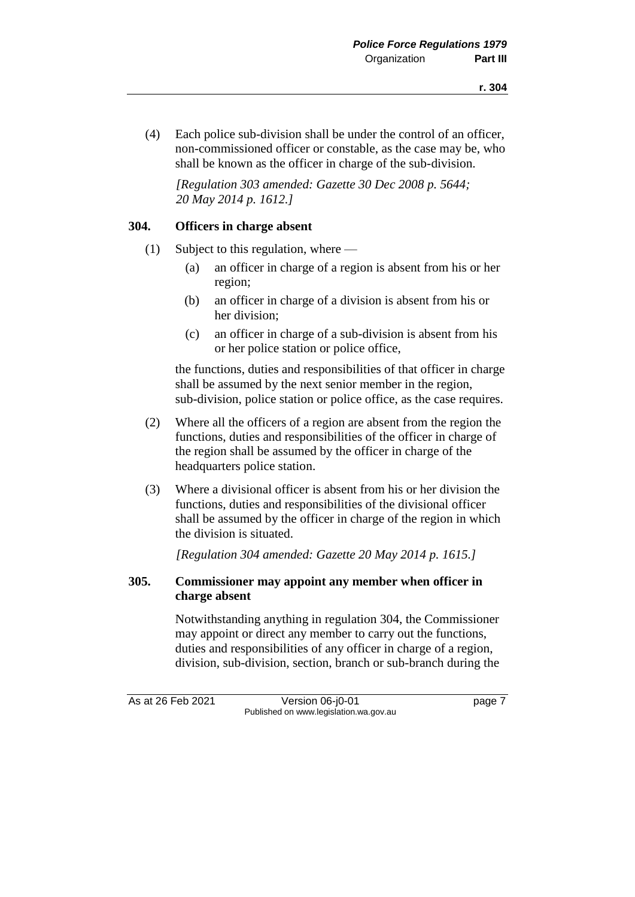(4) Each police sub-division shall be under the control of an officer, non-commissioned officer or constable, as the case may be, who shall be known as the officer in charge of the sub-division.

*[Regulation 303 amended: Gazette 30 Dec 2008 p. 5644; 20 May 2014 p. 1612.]*

### **304. Officers in charge absent**

- (1) Subject to this regulation, where
	- (a) an officer in charge of a region is absent from his or her region;
	- (b) an officer in charge of a division is absent from his or her division;
	- (c) an officer in charge of a sub-division is absent from his or her police station or police office,

the functions, duties and responsibilities of that officer in charge shall be assumed by the next senior member in the region, sub-division, police station or police office, as the case requires.

- (2) Where all the officers of a region are absent from the region the functions, duties and responsibilities of the officer in charge of the region shall be assumed by the officer in charge of the headquarters police station.
- (3) Where a divisional officer is absent from his or her division the functions, duties and responsibilities of the divisional officer shall be assumed by the officer in charge of the region in which the division is situated.

*[Regulation 304 amended: Gazette 20 May 2014 p. 1615.]*

## **305. Commissioner may appoint any member when officer in charge absent**

Notwithstanding anything in regulation 304, the Commissioner may appoint or direct any member to carry out the functions, duties and responsibilities of any officer in charge of a region, division, sub-division, section, branch or sub-branch during the

As at 26 Feb 2021 Version 06-j0-01 page 7 Published on www.legislation.wa.gov.au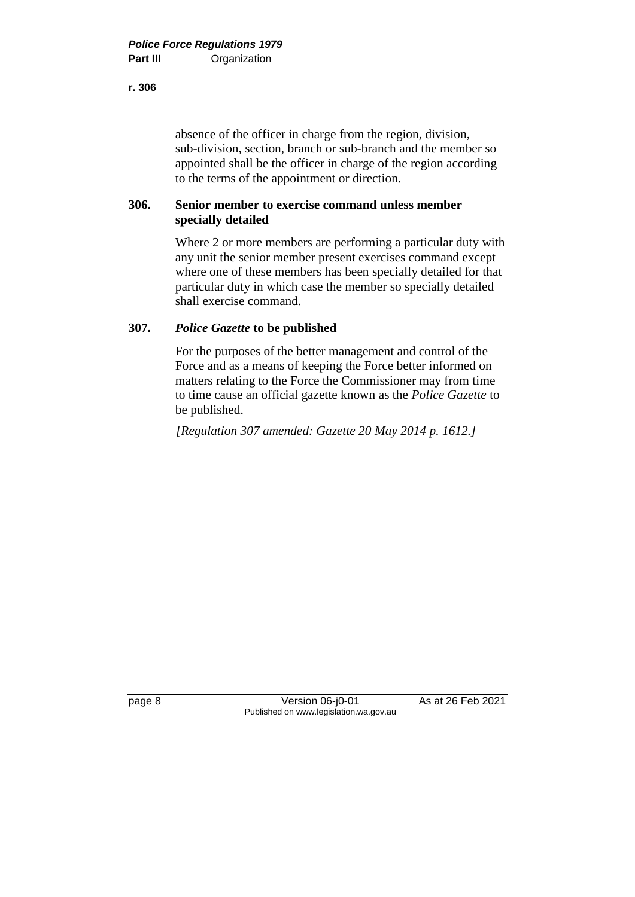absence of the officer in charge from the region, division, sub-division, section, branch or sub-branch and the member so appointed shall be the officer in charge of the region according to the terms of the appointment or direction.

## **306. Senior member to exercise command unless member specially detailed**

Where 2 or more members are performing a particular duty with any unit the senior member present exercises command except where one of these members has been specially detailed for that particular duty in which case the member so specially detailed shall exercise command.

# **307.** *Police Gazette* **to be published**

For the purposes of the better management and control of the Force and as a means of keeping the Force better informed on matters relating to the Force the Commissioner may from time to time cause an official gazette known as the *Police Gazette* to be published.

*[Regulation 307 amended: Gazette 20 May 2014 p. 1612.]*

page 8 Version 06-j0-01 As at 26 Feb 2021 Published on www.legislation.wa.gov.au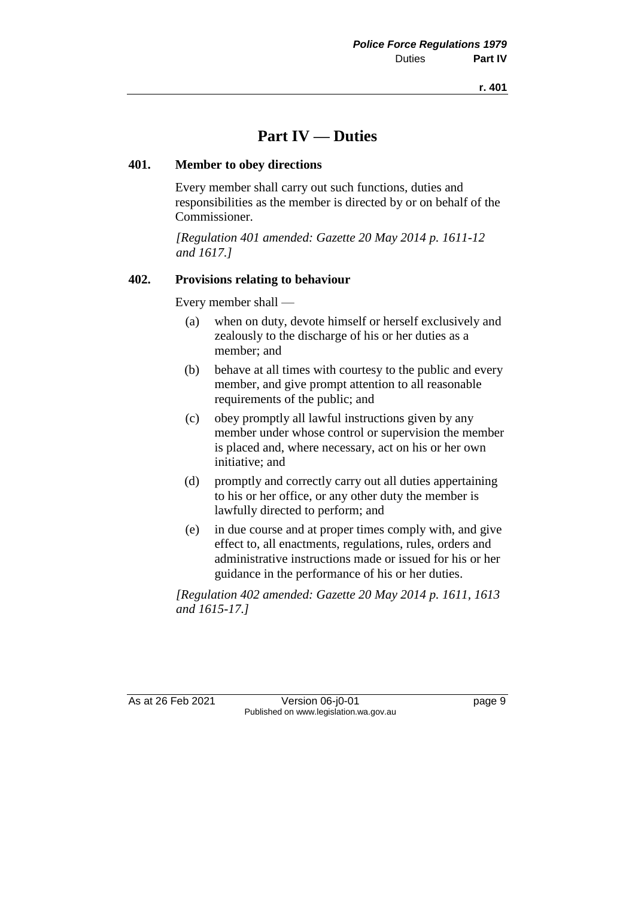# **Part IV — Duties**

## **401. Member to obey directions**

Every member shall carry out such functions, duties and responsibilities as the member is directed by or on behalf of the Commissioner.

*[Regulation 401 amended: Gazette 20 May 2014 p. 1611-12 and 1617.]*

# **402. Provisions relating to behaviour**

Every member shall —

- (a) when on duty, devote himself or herself exclusively and zealously to the discharge of his or her duties as a member; and
- (b) behave at all times with courtesy to the public and every member, and give prompt attention to all reasonable requirements of the public; and
- (c) obey promptly all lawful instructions given by any member under whose control or supervision the member is placed and, where necessary, act on his or her own initiative; and
- (d) promptly and correctly carry out all duties appertaining to his or her office, or any other duty the member is lawfully directed to perform; and
- (e) in due course and at proper times comply with, and give effect to, all enactments, regulations, rules, orders and administrative instructions made or issued for his or her guidance in the performance of his or her duties.

*[Regulation 402 amended: Gazette 20 May 2014 p. 1611, 1613 and 1615-17.]*

As at 26 Feb 2021 Version 06-j0-01 page 9 Published on www.legislation.wa.gov.au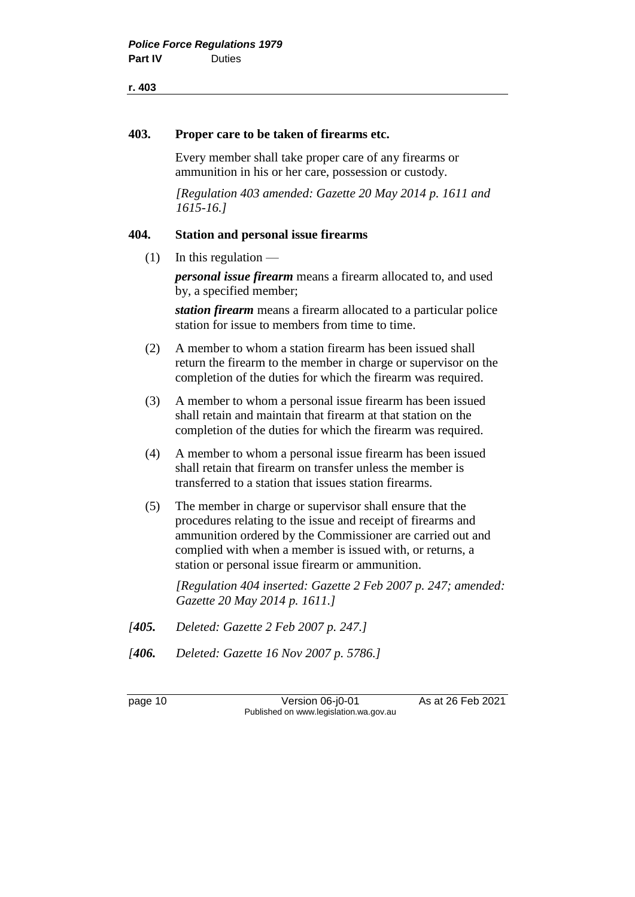#### **403. Proper care to be taken of firearms etc.**

Every member shall take proper care of any firearms or ammunition in his or her care, possession or custody.

*[Regulation 403 amended: Gazette 20 May 2014 p. 1611 and 1615-16.]*

#### **404. Station and personal issue firearms**

 $(1)$  In this regulation —

*personal issue firearm* means a firearm allocated to, and used by, a specified member;

*station firearm* means a firearm allocated to a particular police station for issue to members from time to time.

- (2) A member to whom a station firearm has been issued shall return the firearm to the member in charge or supervisor on the completion of the duties for which the firearm was required.
- (3) A member to whom a personal issue firearm has been issued shall retain and maintain that firearm at that station on the completion of the duties for which the firearm was required.
- (4) A member to whom a personal issue firearm has been issued shall retain that firearm on transfer unless the member is transferred to a station that issues station firearms.
- (5) The member in charge or supervisor shall ensure that the procedures relating to the issue and receipt of firearms and ammunition ordered by the Commissioner are carried out and complied with when a member is issued with, or returns, a station or personal issue firearm or ammunition.

*[Regulation 404 inserted: Gazette 2 Feb 2007 p. 247; amended: Gazette 20 May 2014 p. 1611.]*

- *[405. Deleted: Gazette 2 Feb 2007 p. 247.]*
- *[406. Deleted: Gazette 16 Nov 2007 p. 5786.]*

page 10 Version 06-j0-01 As at 26 Feb 2021 Published on www.legislation.wa.gov.au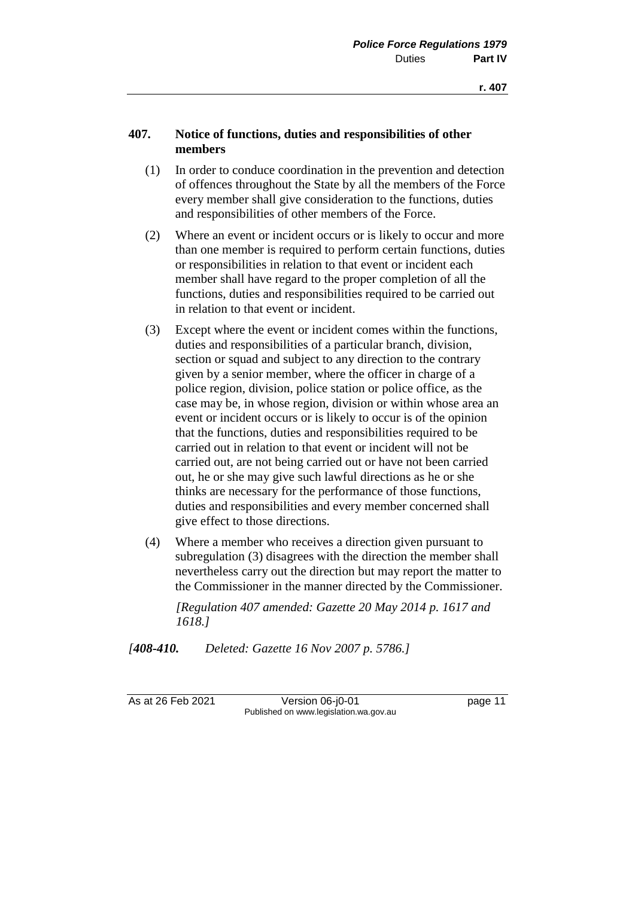# **407. Notice of functions, duties and responsibilities of other members**

- (1) In order to conduce coordination in the prevention and detection of offences throughout the State by all the members of the Force every member shall give consideration to the functions, duties and responsibilities of other members of the Force.
- (2) Where an event or incident occurs or is likely to occur and more than one member is required to perform certain functions, duties or responsibilities in relation to that event or incident each member shall have regard to the proper completion of all the functions, duties and responsibilities required to be carried out in relation to that event or incident.
- (3) Except where the event or incident comes within the functions, duties and responsibilities of a particular branch, division, section or squad and subject to any direction to the contrary given by a senior member, where the officer in charge of a police region, division, police station or police office, as the case may be, in whose region, division or within whose area an event or incident occurs or is likely to occur is of the opinion that the functions, duties and responsibilities required to be carried out in relation to that event or incident will not be carried out, are not being carried out or have not been carried out, he or she may give such lawful directions as he or she thinks are necessary for the performance of those functions, duties and responsibilities and every member concerned shall give effect to those directions.
- (4) Where a member who receives a direction given pursuant to subregulation (3) disagrees with the direction the member shall nevertheless carry out the direction but may report the matter to the Commissioner in the manner directed by the Commissioner.

*[Regulation 407 amended: Gazette 20 May 2014 p. 1617 and 1618.]*

*[408-410. Deleted: Gazette 16 Nov 2007 p. 5786.]*

As at 26 Feb 2021 Version 06-j0-01 page 11 Published on www.legislation.wa.gov.au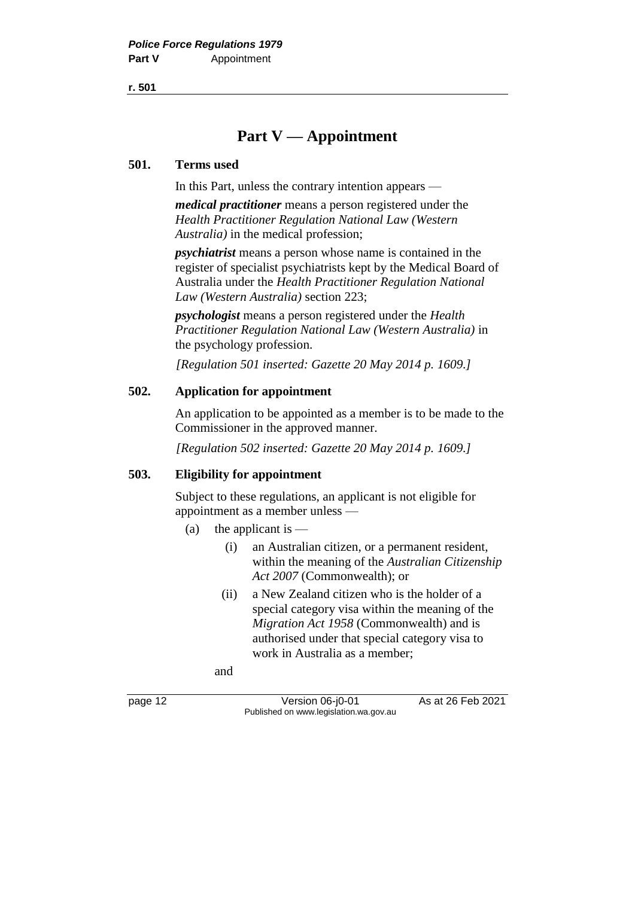# **Part V — Appointment**

### **501. Terms used**

In this Part, unless the contrary intention appears —

*medical practitioner* means a person registered under the *Health Practitioner Regulation National Law (Western Australia)* in the medical profession;

*psychiatrist* means a person whose name is contained in the register of specialist psychiatrists kept by the Medical Board of Australia under the *Health Practitioner Regulation National Law (Western Australia)* section 223;

*psychologist* means a person registered under the *Health Practitioner Regulation National Law (Western Australia)* in the psychology profession.

*[Regulation 501 inserted: Gazette 20 May 2014 p. 1609.]*

# **502. Application for appointment**

An application to be appointed as a member is to be made to the Commissioner in the approved manner.

*[Regulation 502 inserted: Gazette 20 May 2014 p. 1609.]*

# **503. Eligibility for appointment**

Subject to these regulations, an applicant is not eligible for appointment as a member unless —

- (a) the applicant is  $-$ 
	- (i) an Australian citizen, or a permanent resident, within the meaning of the *Australian Citizenship Act 2007* (Commonwealth); or
	- (ii) a New Zealand citizen who is the holder of a special category visa within the meaning of the *Migration Act 1958* (Commonwealth) and is authorised under that special category visa to work in Australia as a member;

and

page 12 Version 06-j0-01 As at 26 Feb 2021 Published on www.legislation.wa.gov.au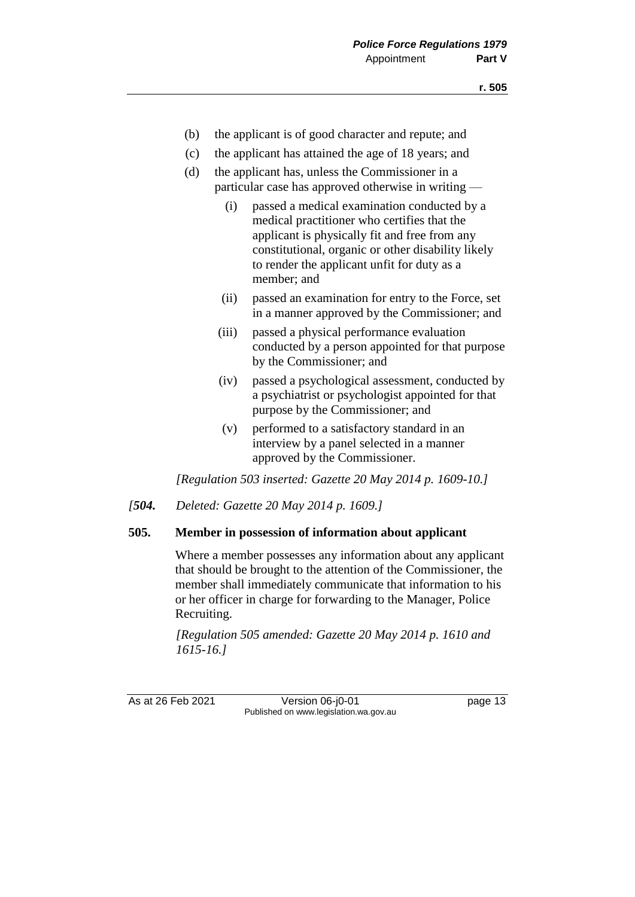- (b) the applicant is of good character and repute; and
- (c) the applicant has attained the age of 18 years; and
- (d) the applicant has, unless the Commissioner in a particular case has approved otherwise in writing —
	- (i) passed a medical examination conducted by a medical practitioner who certifies that the applicant is physically fit and free from any constitutional, organic or other disability likely to render the applicant unfit for duty as a member; and
	- (ii) passed an examination for entry to the Force, set in a manner approved by the Commissioner; and
	- (iii) passed a physical performance evaluation conducted by a person appointed for that purpose by the Commissioner; and
	- (iv) passed a psychological assessment, conducted by a psychiatrist or psychologist appointed for that purpose by the Commissioner; and
	- (v) performed to a satisfactory standard in an interview by a panel selected in a manner approved by the Commissioner.

*[Regulation 503 inserted: Gazette 20 May 2014 p. 1609-10.]*

*[504. Deleted: Gazette 20 May 2014 p. 1609.]*

#### **505. Member in possession of information about applicant**

Where a member possesses any information about any applicant that should be brought to the attention of the Commissioner, the member shall immediately communicate that information to his or her officer in charge for forwarding to the Manager, Police Recruiting.

*[Regulation 505 amended: Gazette 20 May 2014 p. 1610 and 1615-16.]*

As at 26 Feb 2021 Version 06-j0-01 page 13 Published on www.legislation.wa.gov.au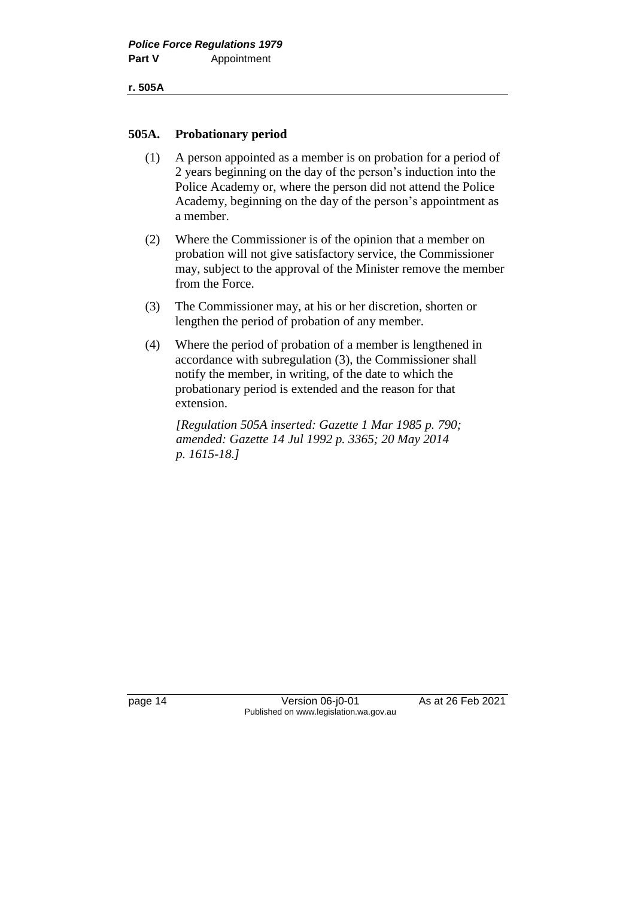#### **505A. Probationary period**

- (1) A person appointed as a member is on probation for a period of 2 years beginning on the day of the person's induction into the Police Academy or, where the person did not attend the Police Academy, beginning on the day of the person's appointment as a member.
- (2) Where the Commissioner is of the opinion that a member on probation will not give satisfactory service, the Commissioner may, subject to the approval of the Minister remove the member from the Force.
- (3) The Commissioner may, at his or her discretion, shorten or lengthen the period of probation of any member.
- (4) Where the period of probation of a member is lengthened in accordance with subregulation (3), the Commissioner shall notify the member, in writing, of the date to which the probationary period is extended and the reason for that extension.

*[Regulation 505A inserted: Gazette 1 Mar 1985 p. 790; amended: Gazette 14 Jul 1992 p. 3365; 20 May 2014 p. 1615-18.]*

page 14 Version 06-j0-01 As at 26 Feb 2021 Published on www.legislation.wa.gov.au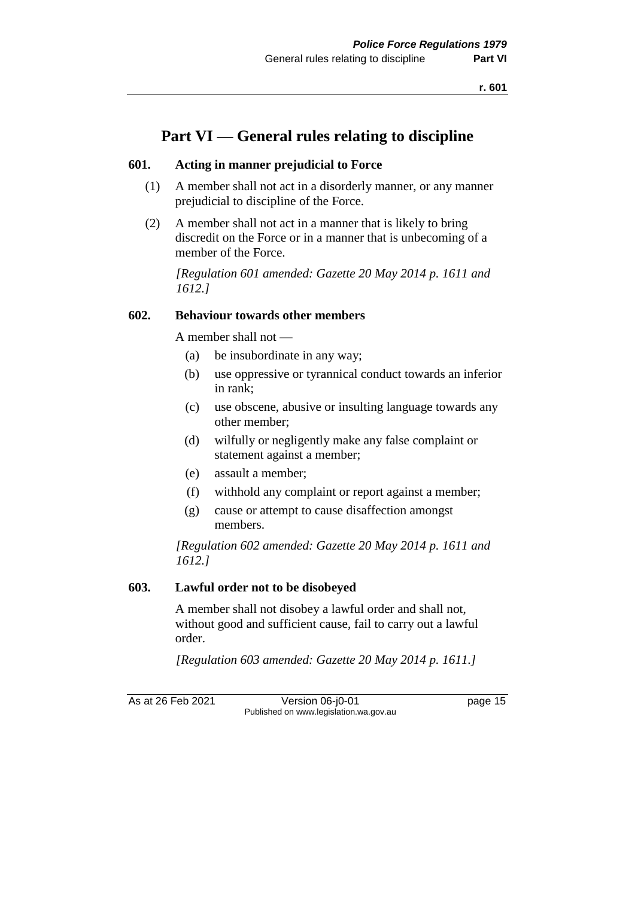# **Part VI — General rules relating to discipline**

## **601. Acting in manner prejudicial to Force**

- (1) A member shall not act in a disorderly manner, or any manner prejudicial to discipline of the Force.
- (2) A member shall not act in a manner that is likely to bring discredit on the Force or in a manner that is unbecoming of a member of the Force.

*[Regulation 601 amended: Gazette 20 May 2014 p. 1611 and 1612.]*

# **602. Behaviour towards other members**

A member shall not —

- (a) be insubordinate in any way;
- (b) use oppressive or tyrannical conduct towards an inferior in rank;
- (c) use obscene, abusive or insulting language towards any other member;
- (d) wilfully or negligently make any false complaint or statement against a member;
- (e) assault a member;
- (f) withhold any complaint or report against a member;
- (g) cause or attempt to cause disaffection amongst members.

*[Regulation 602 amended: Gazette 20 May 2014 p. 1611 and 1612.]*

# **603. Lawful order not to be disobeyed**

A member shall not disobey a lawful order and shall not, without good and sufficient cause, fail to carry out a lawful order.

*[Regulation 603 amended: Gazette 20 May 2014 p. 1611.]*

As at 26 Feb 2021 Version 06-j0-01 page 15 Published on www.legislation.wa.gov.au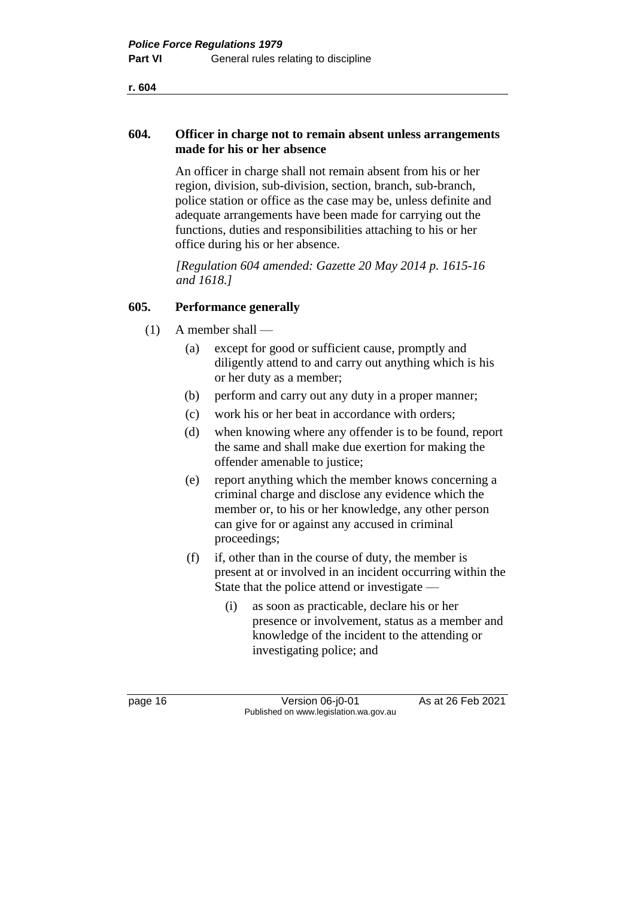### **604. Officer in charge not to remain absent unless arrangements made for his or her absence**

An officer in charge shall not remain absent from his or her region, division, sub-division, section, branch, sub-branch, police station or office as the case may be, unless definite and adequate arrangements have been made for carrying out the functions, duties and responsibilities attaching to his or her office during his or her absence.

*[Regulation 604 amended: Gazette 20 May 2014 p. 1615-16 and 1618.]*

## **605. Performance generally**

- $(1)$  A member shall
	- (a) except for good or sufficient cause, promptly and diligently attend to and carry out anything which is his or her duty as a member;
	- (b) perform and carry out any duty in a proper manner;
	- (c) work his or her beat in accordance with orders;
	- (d) when knowing where any offender is to be found, report the same and shall make due exertion for making the offender amenable to justice;
	- (e) report anything which the member knows concerning a criminal charge and disclose any evidence which the member or, to his or her knowledge, any other person can give for or against any accused in criminal proceedings;
	- (f) if, other than in the course of duty, the member is present at or involved in an incident occurring within the State that the police attend or investigate —
		- (i) as soon as practicable, declare his or her presence or involvement, status as a member and knowledge of the incident to the attending or investigating police; and

page 16 Version 06-j0-01 As at 26 Feb 2021 Published on www.legislation.wa.gov.au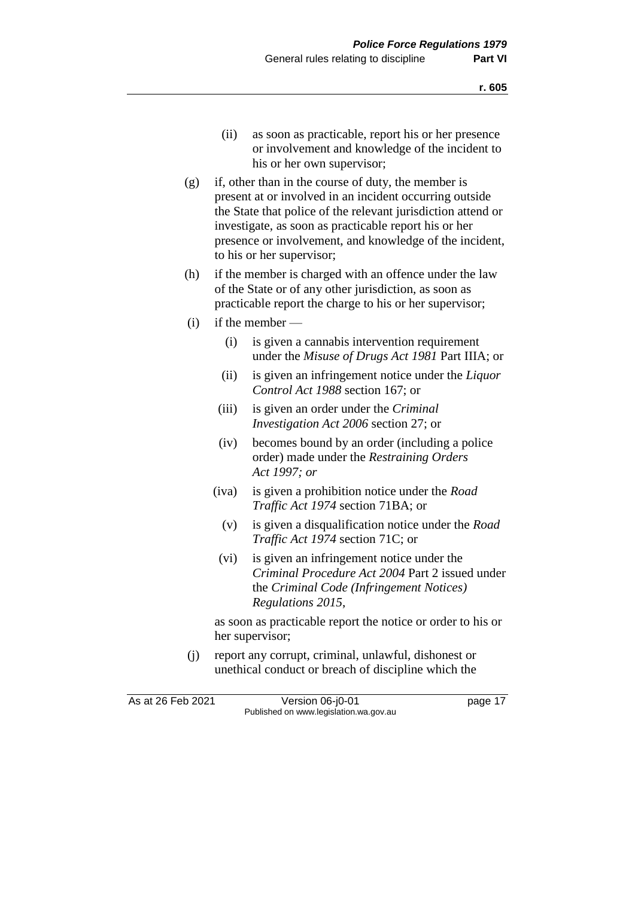- (ii) as soon as practicable, report his or her presence or involvement and knowledge of the incident to his or her own supervisor;
- (g) if, other than in the course of duty, the member is present at or involved in an incident occurring outside the State that police of the relevant jurisdiction attend or investigate, as soon as practicable report his or her presence or involvement, and knowledge of the incident, to his or her supervisor;
- (h) if the member is charged with an offence under the law of the State or of any other jurisdiction, as soon as practicable report the charge to his or her supervisor;
- (i) if the member
	- (i) is given a cannabis intervention requirement under the *Misuse of Drugs Act 1981* Part IIIA; or
	- (ii) is given an infringement notice under the *Liquor Control Act 1988* section 167; or
	- (iii) is given an order under the *Criminal Investigation Act 2006* section 27; or
	- (iv) becomes bound by an order (including a police order) made under the *Restraining Orders Act 1997; or*
	- (iva) is given a prohibition notice under the *Road Traffic Act 1974* section 71BA; or
		- (v) is given a disqualification notice under the *Road Traffic Act 1974* section 71C; or
	- (vi) is given an infringement notice under the *Criminal Procedure Act 2004* Part 2 issued under the *Criminal Code (Infringement Notices) Regulations 2015*,

as soon as practicable report the notice or order to his or her supervisor;

(j) report any corrupt, criminal, unlawful, dishonest or unethical conduct or breach of discipline which the

As at 26 Feb 2021 Version 06-j0-01 page 17 Published on www.legislation.wa.gov.au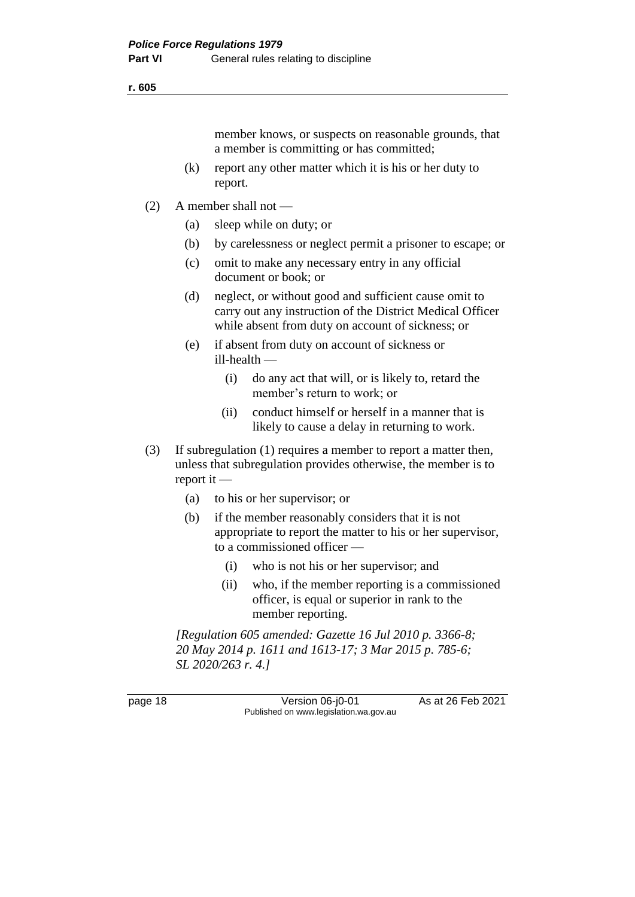member knows, or suspects on reasonable grounds, that a member is committing or has committed;

- (k) report any other matter which it is his or her duty to report.
- (2) A member shall not
	- (a) sleep while on duty; or
	- (b) by carelessness or neglect permit a prisoner to escape; or
	- (c) omit to make any necessary entry in any official document or book; or
	- (d) neglect, or without good and sufficient cause omit to carry out any instruction of the District Medical Officer while absent from duty on account of sickness; or
	- (e) if absent from duty on account of sickness or ill-health —
		- (i) do any act that will, or is likely to, retard the member's return to work; or
		- (ii) conduct himself or herself in a manner that is likely to cause a delay in returning to work.
- (3) If subregulation (1) requires a member to report a matter then, unless that subregulation provides otherwise, the member is to report it —
	- (a) to his or her supervisor; or
	- (b) if the member reasonably considers that it is not appropriate to report the matter to his or her supervisor, to a commissioned officer —
		- (i) who is not his or her supervisor; and
		- (ii) who, if the member reporting is a commissioned officer, is equal or superior in rank to the member reporting.

*[Regulation 605 amended: Gazette 16 Jul 2010 p. 3366-8; 20 May 2014 p. 1611 and 1613-17; 3 Mar 2015 p. 785-6; SL 2020/263 r. 4.]*

page 18 Version 06-j0-01 As at 26 Feb 2021 Published on www.legislation.wa.gov.au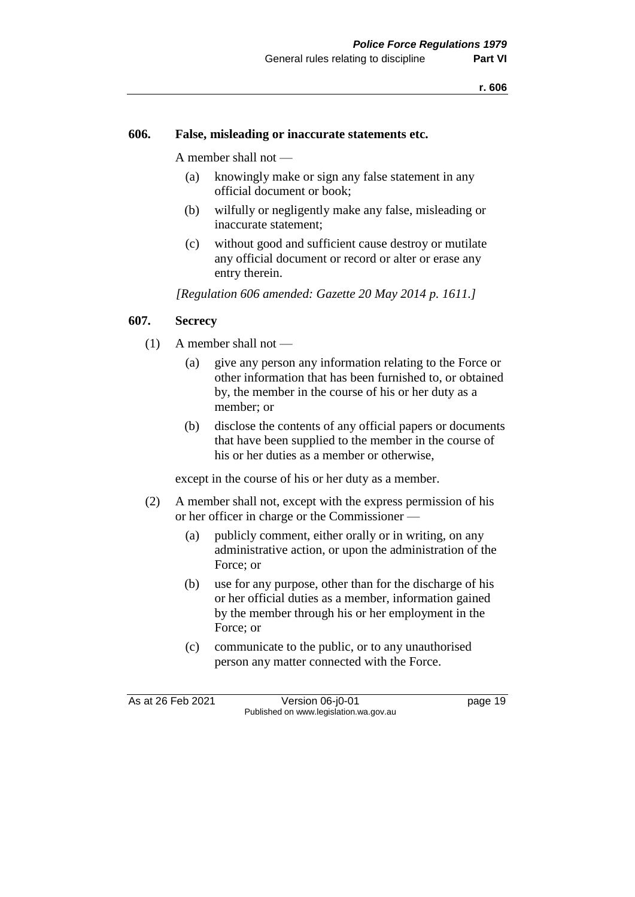#### **606. False, misleading or inaccurate statements etc.**

A member shall not —

- (a) knowingly make or sign any false statement in any official document or book;
- (b) wilfully or negligently make any false, misleading or inaccurate statement;
- (c) without good and sufficient cause destroy or mutilate any official document or record or alter or erase any entry therein.

*[Regulation 606 amended: Gazette 20 May 2014 p. 1611.]*

#### **607. Secrecy**

- (1) A member shall not
	- (a) give any person any information relating to the Force or other information that has been furnished to, or obtained by, the member in the course of his or her duty as a member; or
	- (b) disclose the contents of any official papers or documents that have been supplied to the member in the course of his or her duties as a member or otherwise,

except in the course of his or her duty as a member.

- (2) A member shall not, except with the express permission of his or her officer in charge or the Commissioner —
	- (a) publicly comment, either orally or in writing, on any administrative action, or upon the administration of the Force; or
	- (b) use for any purpose, other than for the discharge of his or her official duties as a member, information gained by the member through his or her employment in the Force; or
	- (c) communicate to the public, or to any unauthorised person any matter connected with the Force.

As at 26 Feb 2021 Version 06-j0-01 page 19 Published on www.legislation.wa.gov.au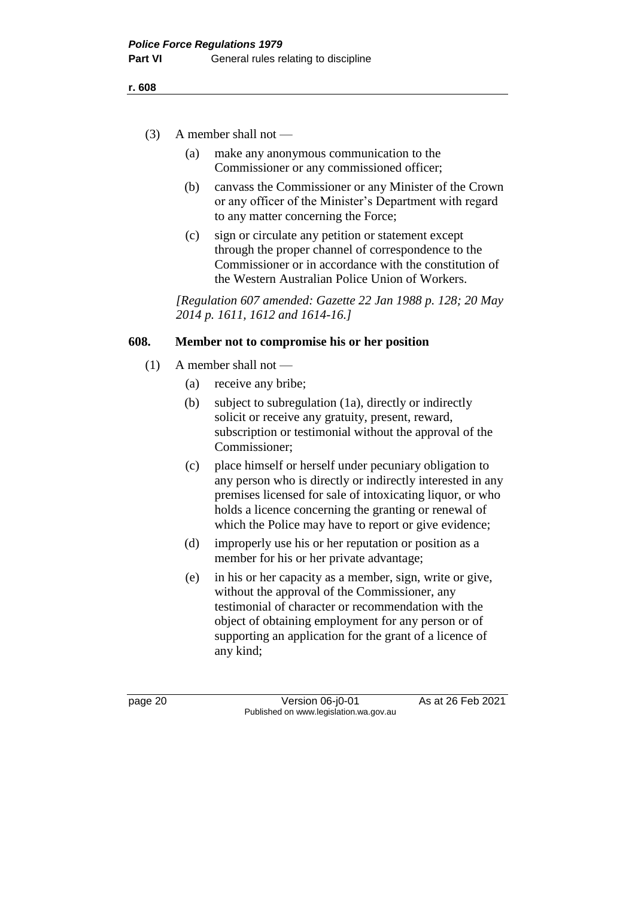- (3) A member shall not
	- (a) make any anonymous communication to the Commissioner or any commissioned officer;
	- (b) canvass the Commissioner or any Minister of the Crown or any officer of the Minister's Department with regard to any matter concerning the Force;
	- (c) sign or circulate any petition or statement except through the proper channel of correspondence to the Commissioner or in accordance with the constitution of the Western Australian Police Union of Workers.

*[Regulation 607 amended: Gazette 22 Jan 1988 p. 128; 20 May 2014 p. 1611, 1612 and 1614-16.]*

#### **608. Member not to compromise his or her position**

- $(1)$  A member shall not
	- (a) receive any bribe;
	- (b) subject to subregulation (1a), directly or indirectly solicit or receive any gratuity, present, reward, subscription or testimonial without the approval of the Commissioner;
	- (c) place himself or herself under pecuniary obligation to any person who is directly or indirectly interested in any premises licensed for sale of intoxicating liquor, or who holds a licence concerning the granting or renewal of which the Police may have to report or give evidence;
	- (d) improperly use his or her reputation or position as a member for his or her private advantage;
	- (e) in his or her capacity as a member, sign, write or give, without the approval of the Commissioner, any testimonial of character or recommendation with the object of obtaining employment for any person or of supporting an application for the grant of a licence of any kind;

page 20 **Version 06-j0-01** As at 26 Feb 2021 Published on www.legislation.wa.gov.au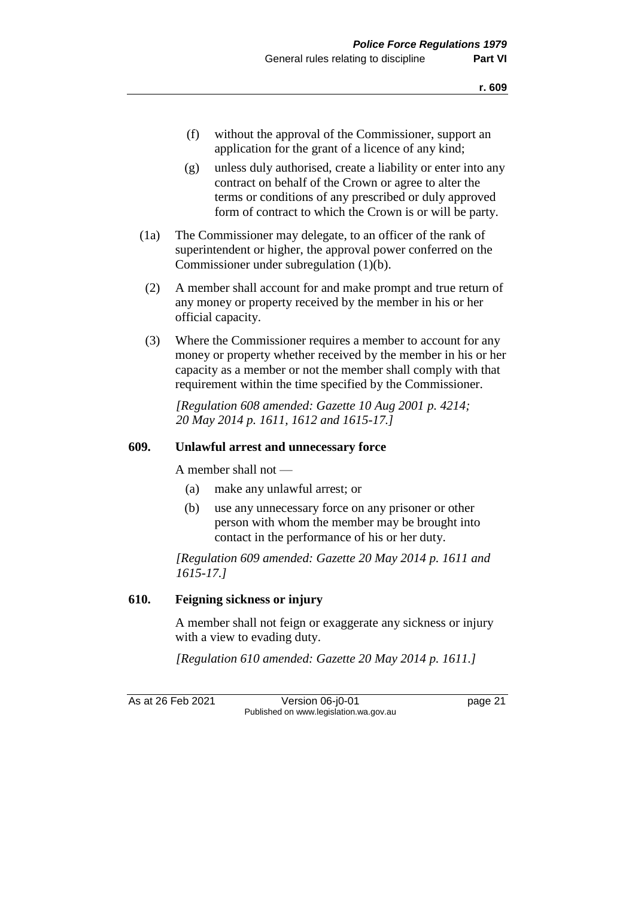- (f) without the approval of the Commissioner, support an application for the grant of a licence of any kind;
- (g) unless duly authorised, create a liability or enter into any contract on behalf of the Crown or agree to alter the terms or conditions of any prescribed or duly approved form of contract to which the Crown is or will be party.
- (1a) The Commissioner may delegate, to an officer of the rank of superintendent or higher, the approval power conferred on the Commissioner under subregulation (1)(b).
- (2) A member shall account for and make prompt and true return of any money or property received by the member in his or her official capacity.
- (3) Where the Commissioner requires a member to account for any money or property whether received by the member in his or her capacity as a member or not the member shall comply with that requirement within the time specified by the Commissioner.

*[Regulation 608 amended: Gazette 10 Aug 2001 p. 4214; 20 May 2014 p. 1611, 1612 and 1615-17.]*

#### **609. Unlawful arrest and unnecessary force**

A member shall not —

- (a) make any unlawful arrest; or
- (b) use any unnecessary force on any prisoner or other person with whom the member may be brought into contact in the performance of his or her duty.

*[Regulation 609 amended: Gazette 20 May 2014 p. 1611 and 1615-17.]*

#### **610. Feigning sickness or injury**

A member shall not feign or exaggerate any sickness or injury with a view to evading duty.

*[Regulation 610 amended: Gazette 20 May 2014 p. 1611.]*

As at 26 Feb 2021 Version 06-j0-01 page 21 Published on www.legislation.wa.gov.au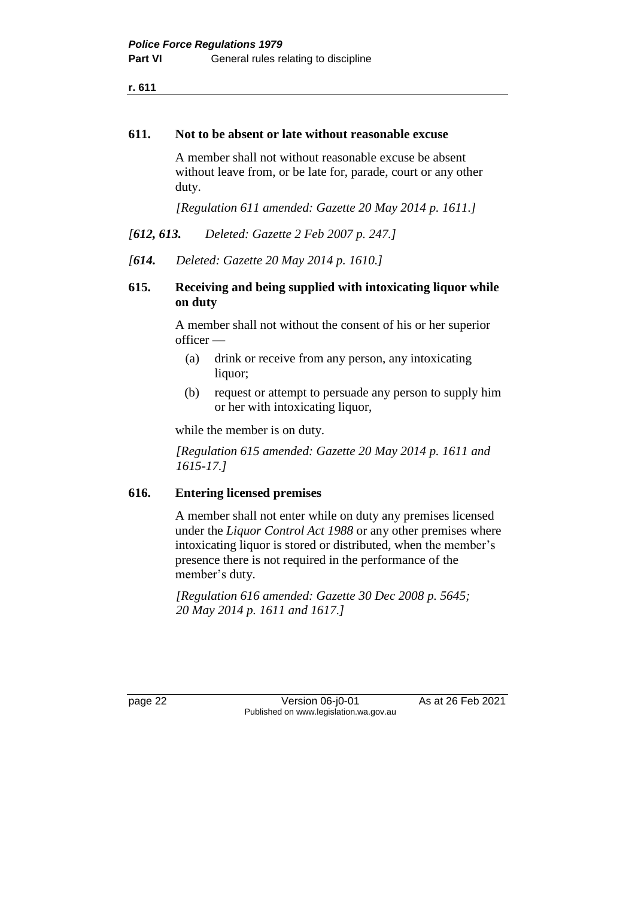#### **611. Not to be absent or late without reasonable excuse**

A member shall not without reasonable excuse be absent without leave from, or be late for, parade, court or any other duty.

*[Regulation 611 amended: Gazette 20 May 2014 p. 1611.]*

*[612, 613. Deleted: Gazette 2 Feb 2007 p. 247.]*

*[614. Deleted: Gazette 20 May 2014 p. 1610.]*

# **615. Receiving and being supplied with intoxicating liquor while on duty**

A member shall not without the consent of his or her superior officer —

- (a) drink or receive from any person, any intoxicating liquor;
- (b) request or attempt to persuade any person to supply him or her with intoxicating liquor,

while the member is on duty.

*[Regulation 615 amended: Gazette 20 May 2014 p. 1611 and 1615-17.]*

#### **616. Entering licensed premises**

A member shall not enter while on duty any premises licensed under the *Liquor Control Act 1988* or any other premises where intoxicating liquor is stored or distributed, when the member's presence there is not required in the performance of the member's duty.

*[Regulation 616 amended: Gazette 30 Dec 2008 p. 5645; 20 May 2014 p. 1611 and 1617.]*

page 22 Version 06-j0-01 As at 26 Feb 2021 Published on www.legislation.wa.gov.au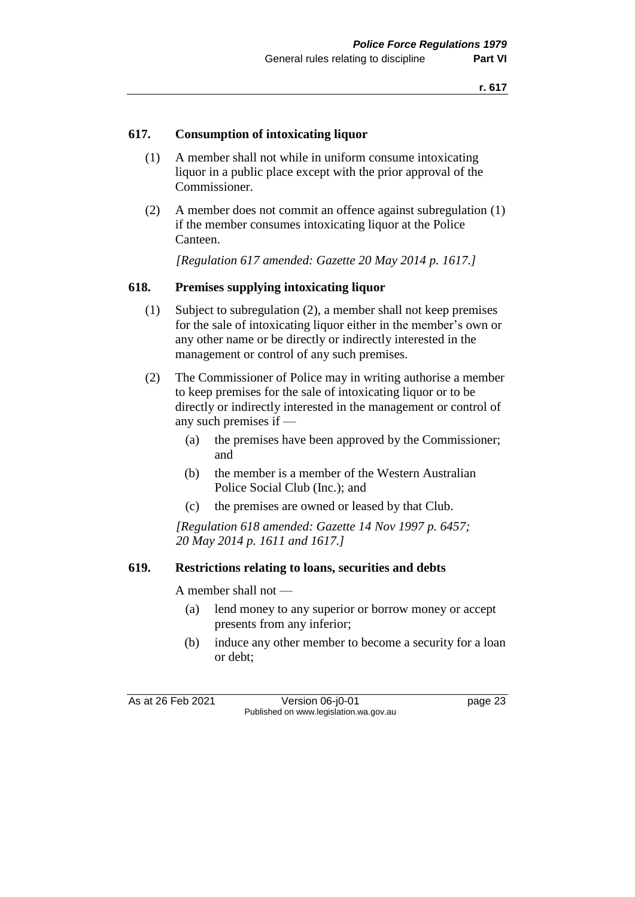## **617. Consumption of intoxicating liquor**

- (1) A member shall not while in uniform consume intoxicating liquor in a public place except with the prior approval of the Commissioner.
- (2) A member does not commit an offence against subregulation (1) if the member consumes intoxicating liquor at the Police Canteen.

*[Regulation 617 amended: Gazette 20 May 2014 p. 1617.]*

#### **618. Premises supplying intoxicating liquor**

- (1) Subject to subregulation (2), a member shall not keep premises for the sale of intoxicating liquor either in the member's own or any other name or be directly or indirectly interested in the management or control of any such premises.
- (2) The Commissioner of Police may in writing authorise a member to keep premises for the sale of intoxicating liquor or to be directly or indirectly interested in the management or control of any such premises if —
	- (a) the premises have been approved by the Commissioner; and
	- (b) the member is a member of the Western Australian Police Social Club (Inc.); and
	- (c) the premises are owned or leased by that Club.

*[Regulation 618 amended: Gazette 14 Nov 1997 p. 6457; 20 May 2014 p. 1611 and 1617.]*

### **619. Restrictions relating to loans, securities and debts**

A member shall not —

- (a) lend money to any superior or borrow money or accept presents from any inferior;
- (b) induce any other member to become a security for a loan or debt;

As at 26 Feb 2021 Version 06-j0-01 page 23 Published on www.legislation.wa.gov.au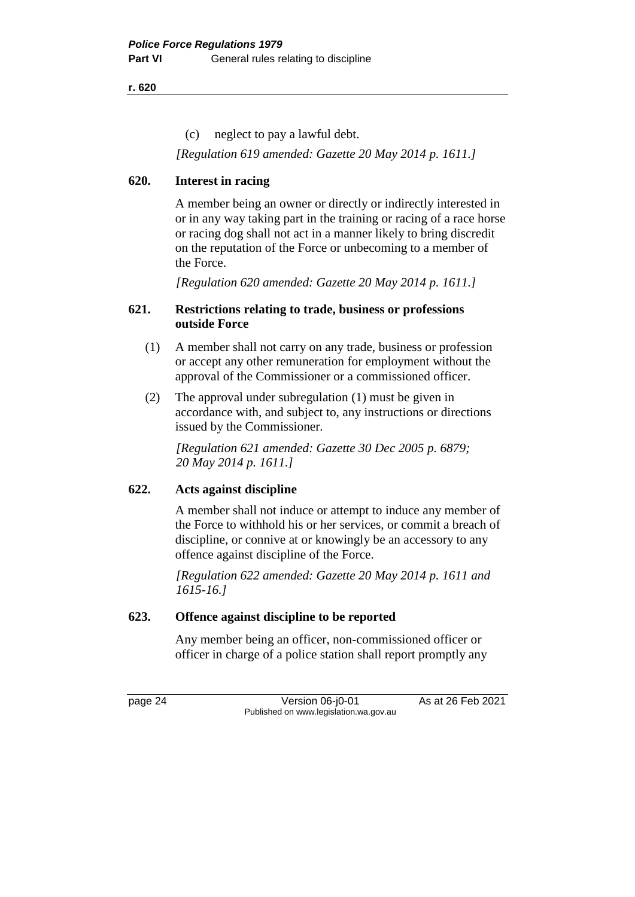(c) neglect to pay a lawful debt.

*[Regulation 619 amended: Gazette 20 May 2014 p. 1611.]*

# **620. Interest in racing**

A member being an owner or directly or indirectly interested in or in any way taking part in the training or racing of a race horse or racing dog shall not act in a manner likely to bring discredit on the reputation of the Force or unbecoming to a member of the Force.

*[Regulation 620 amended: Gazette 20 May 2014 p. 1611.]*

## **621. Restrictions relating to trade, business or professions outside Force**

- (1) A member shall not carry on any trade, business or profession or accept any other remuneration for employment without the approval of the Commissioner or a commissioned officer.
- (2) The approval under subregulation (1) must be given in accordance with, and subject to, any instructions or directions issued by the Commissioner.

*[Regulation 621 amended: Gazette 30 Dec 2005 p. 6879; 20 May 2014 p. 1611.]*

# **622. Acts against discipline**

A member shall not induce or attempt to induce any member of the Force to withhold his or her services, or commit a breach of discipline, or connive at or knowingly be an accessory to any offence against discipline of the Force.

*[Regulation 622 amended: Gazette 20 May 2014 p. 1611 and 1615-16.]*

# **623. Offence against discipline to be reported**

Any member being an officer, non-commissioned officer or officer in charge of a police station shall report promptly any

page 24 Version 06-j0-01 As at 26 Feb 2021 Published on www.legislation.wa.gov.au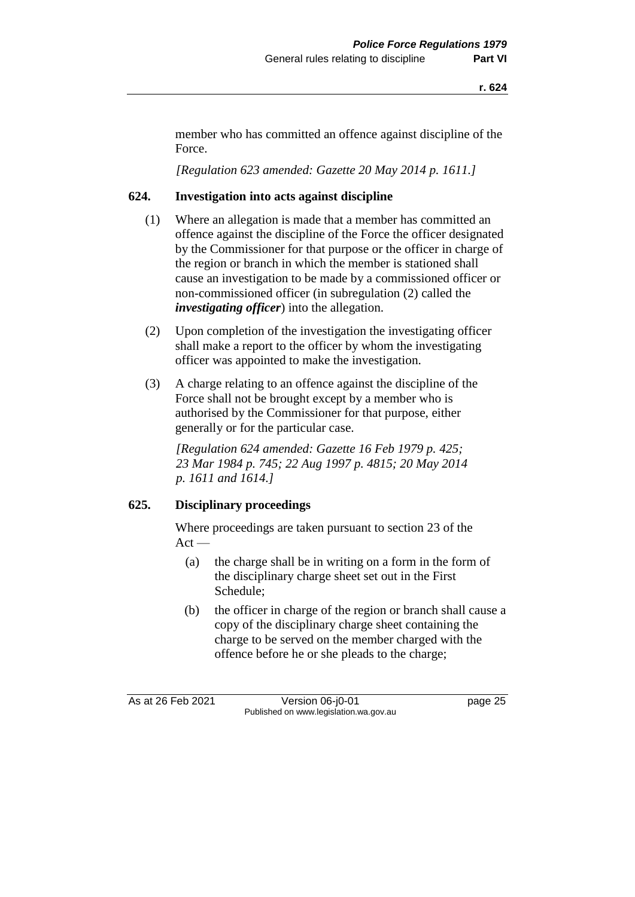member who has committed an offence against discipline of the Force.

*[Regulation 623 amended: Gazette 20 May 2014 p. 1611.]*

## **624. Investigation into acts against discipline**

- (1) Where an allegation is made that a member has committed an offence against the discipline of the Force the officer designated by the Commissioner for that purpose or the officer in charge of the region or branch in which the member is stationed shall cause an investigation to be made by a commissioned officer or non-commissioned officer (in subregulation (2) called the *investigating officer*) into the allegation.
- (2) Upon completion of the investigation the investigating officer shall make a report to the officer by whom the investigating officer was appointed to make the investigation.
- (3) A charge relating to an offence against the discipline of the Force shall not be brought except by a member who is authorised by the Commissioner for that purpose, either generally or for the particular case.

*[Regulation 624 amended: Gazette 16 Feb 1979 p. 425; 23 Mar 1984 p. 745; 22 Aug 1997 p. 4815; 20 May 2014 p. 1611 and 1614.]*

#### **625. Disciplinary proceedings**

Where proceedings are taken pursuant to section 23 of the  $Act -$ 

- (a) the charge shall be in writing on a form in the form of the disciplinary charge sheet set out in the First Schedule;
- (b) the officer in charge of the region or branch shall cause a copy of the disciplinary charge sheet containing the charge to be served on the member charged with the offence before he or she pleads to the charge;

As at 26 Feb 2021 Version 06-j0-01 page 25 Published on www.legislation.wa.gov.au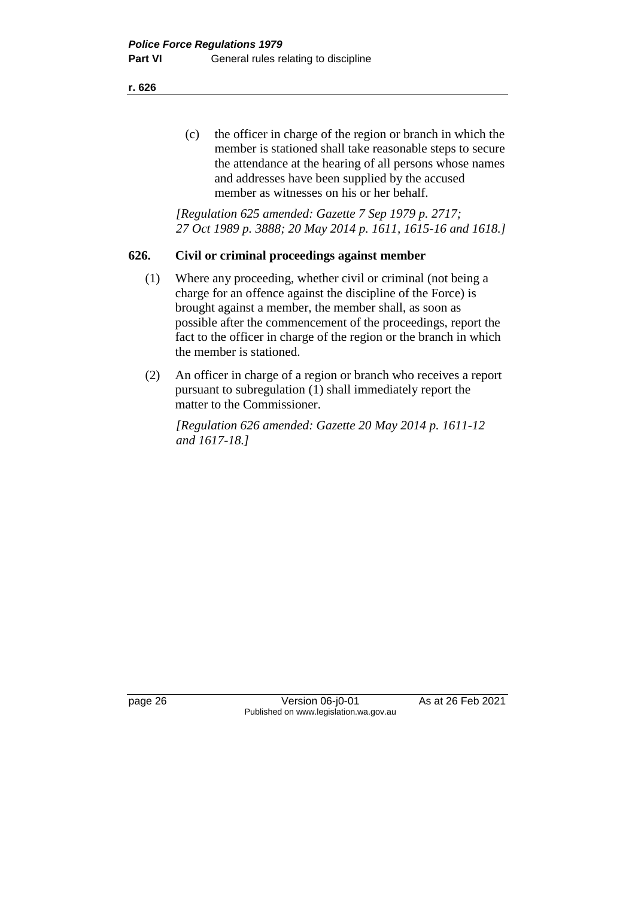(c) the officer in charge of the region or branch in which the member is stationed shall take reasonable steps to secure the attendance at the hearing of all persons whose names and addresses have been supplied by the accused member as witnesses on his or her behalf.

*[Regulation 625 amended: Gazette 7 Sep 1979 p. 2717; 27 Oct 1989 p. 3888; 20 May 2014 p. 1611, 1615-16 and 1618.]*

## **626. Civil or criminal proceedings against member**

- (1) Where any proceeding, whether civil or criminal (not being a charge for an offence against the discipline of the Force) is brought against a member, the member shall, as soon as possible after the commencement of the proceedings, report the fact to the officer in charge of the region or the branch in which the member is stationed.
- (2) An officer in charge of a region or branch who receives a report pursuant to subregulation (1) shall immediately report the matter to the Commissioner.

*[Regulation 626 amended: Gazette 20 May 2014 p. 1611-12 and 1617-18.]*

page 26 Version 06-j0-01 As at 26 Feb 2021 Published on www.legislation.wa.gov.au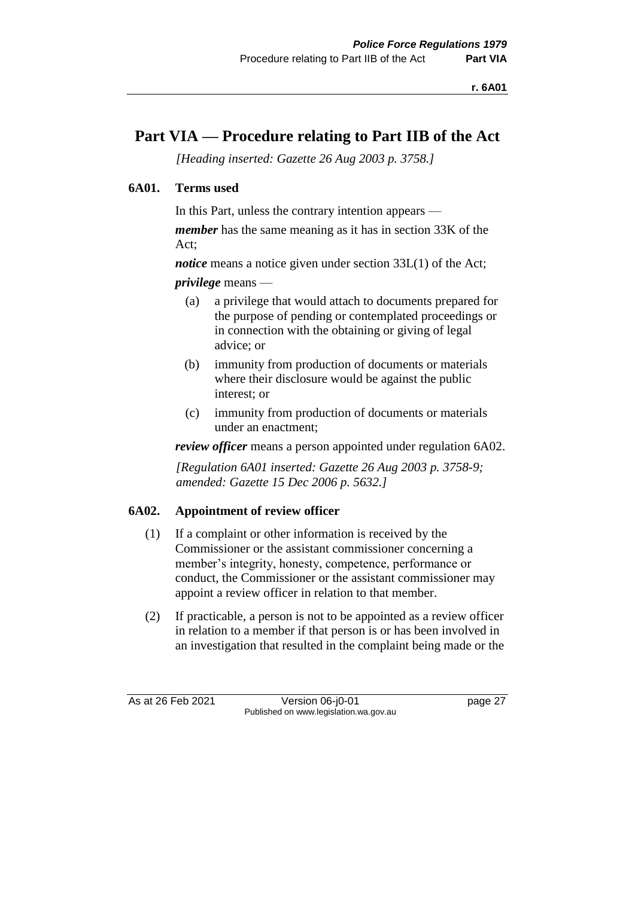# **Part VIA — Procedure relating to Part IIB of the Act**

*[Heading inserted: Gazette 26 Aug 2003 p. 3758.]*

# **6A01. Terms used**

In this Part, unless the contrary intention appears —

*member* has the same meaning as it has in section 33K of the Act;

*notice* means a notice given under section 33L(1) of the Act; *privilege* means —

- (a) a privilege that would attach to documents prepared for the purpose of pending or contemplated proceedings or in connection with the obtaining or giving of legal advice; or
- (b) immunity from production of documents or materials where their disclosure would be against the public interest; or
- (c) immunity from production of documents or materials under an enactment;

*review officer* means a person appointed under regulation 6A02.

*[Regulation 6A01 inserted: Gazette 26 Aug 2003 p. 3758-9; amended: Gazette 15 Dec 2006 p. 5632.]*

# **6A02. Appointment of review officer**

- (1) If a complaint or other information is received by the Commissioner or the assistant commissioner concerning a member's integrity, honesty, competence, performance or conduct, the Commissioner or the assistant commissioner may appoint a review officer in relation to that member.
- (2) If practicable, a person is not to be appointed as a review officer in relation to a member if that person is or has been involved in an investigation that resulted in the complaint being made or the

As at 26 Feb 2021 Version 06-j0-01 page 27 Published on www.legislation.wa.gov.au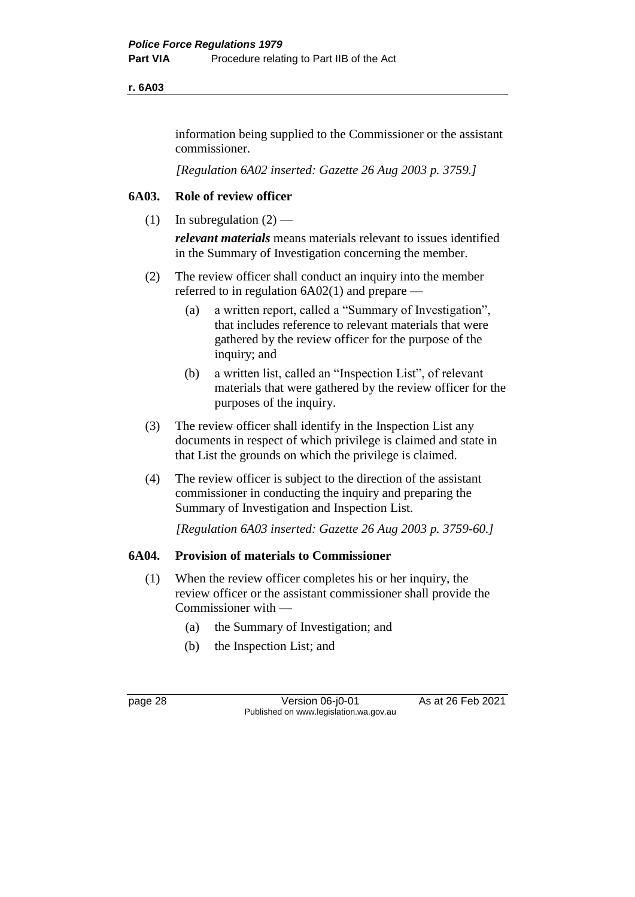#### **r. 6A03**

information being supplied to the Commissioner or the assistant commissioner.

*[Regulation 6A02 inserted: Gazette 26 Aug 2003 p. 3759.]*

# **6A03. Role of review officer**

(1) In subregulation  $(2)$  —

*relevant materials* means materials relevant to issues identified in the Summary of Investigation concerning the member.

- (2) The review officer shall conduct an inquiry into the member referred to in regulation 6A02(1) and prepare —
	- (a) a written report, called a "Summary of Investigation", that includes reference to relevant materials that were gathered by the review officer for the purpose of the inquiry; and
	- (b) a written list, called an "Inspection List", of relevant materials that were gathered by the review officer for the purposes of the inquiry.
- (3) The review officer shall identify in the Inspection List any documents in respect of which privilege is claimed and state in that List the grounds on which the privilege is claimed.
- (4) The review officer is subject to the direction of the assistant commissioner in conducting the inquiry and preparing the Summary of Investigation and Inspection List.

*[Regulation 6A03 inserted: Gazette 26 Aug 2003 p. 3759-60.]*

#### **6A04. Provision of materials to Commissioner**

- (1) When the review officer completes his or her inquiry, the review officer or the assistant commissioner shall provide the Commissioner with —
	- (a) the Summary of Investigation; and
	- (b) the Inspection List; and

page 28 Version 06-j0-01 As at 26 Feb 2021 Published on www.legislation.wa.gov.au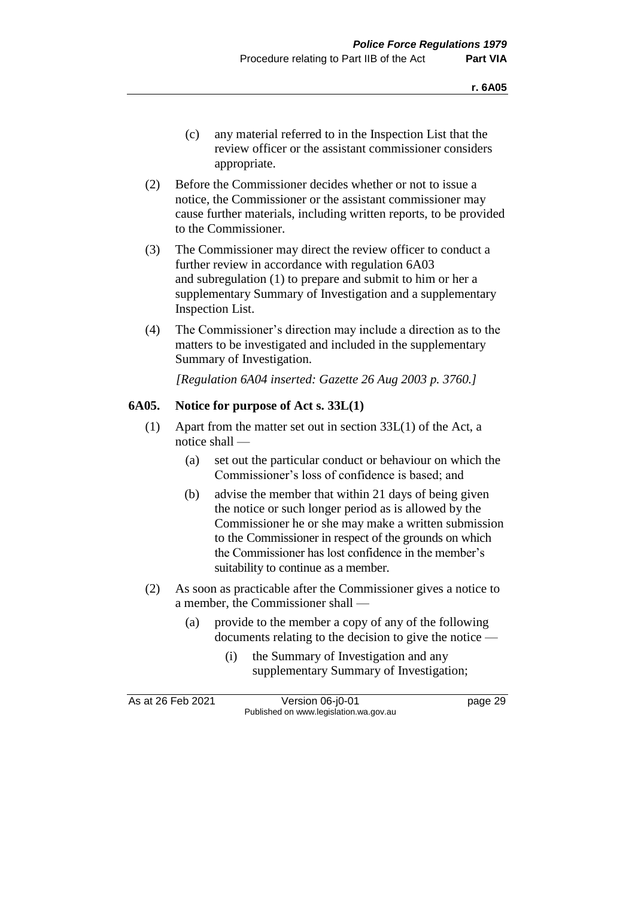- (c) any material referred to in the Inspection List that the review officer or the assistant commissioner considers appropriate.
- (2) Before the Commissioner decides whether or not to issue a notice, the Commissioner or the assistant commissioner may cause further materials, including written reports, to be provided to the Commissioner.
- (3) The Commissioner may direct the review officer to conduct a further review in accordance with regulation 6A03 and subregulation (1) to prepare and submit to him or her a supplementary Summary of Investigation and a supplementary Inspection List.
- (4) The Commissioner's direction may include a direction as to the matters to be investigated and included in the supplementary Summary of Investigation.

*[Regulation 6A04 inserted: Gazette 26 Aug 2003 p. 3760.]*

## **6A05. Notice for purpose of Act s. 33L(1)**

- (1) Apart from the matter set out in section 33L(1) of the Act, a notice shall —
	- (a) set out the particular conduct or behaviour on which the Commissioner's loss of confidence is based; and
	- (b) advise the member that within 21 days of being given the notice or such longer period as is allowed by the Commissioner he or she may make a written submission to the Commissioner in respect of the grounds on which the Commissioner has lost confidence in the member's suitability to continue as a member.
- (2) As soon as practicable after the Commissioner gives a notice to a member, the Commissioner shall —
	- (a) provide to the member a copy of any of the following documents relating to the decision to give the notice —
		- (i) the Summary of Investigation and any supplementary Summary of Investigation;

| As at 26 Feb 2021 | Version 06-j0-01                       | page 29 |
|-------------------|----------------------------------------|---------|
|                   | Published on www.legislation.wa.gov.au |         |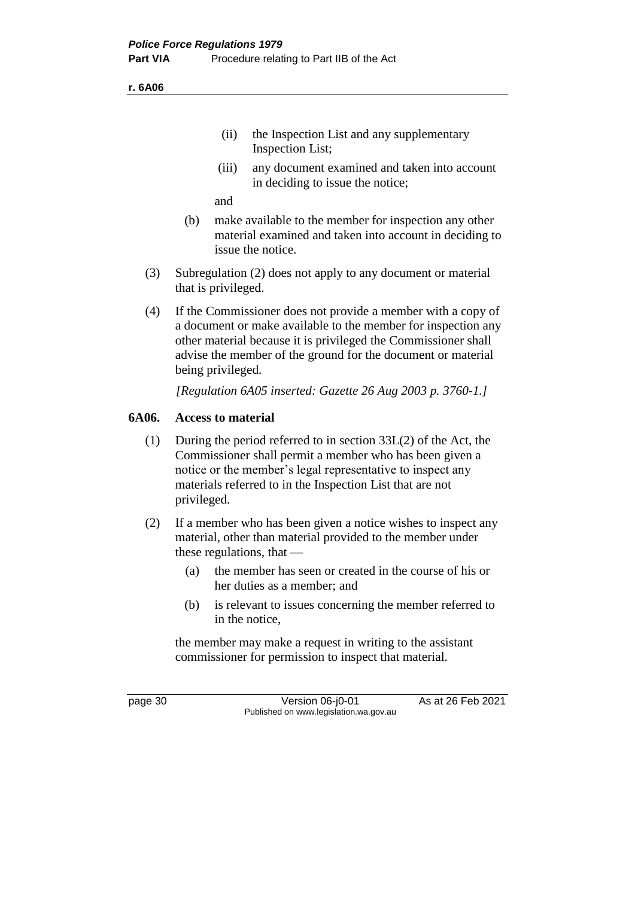**r. 6A06**

- (ii) the Inspection List and any supplementary Inspection List;
- (iii) any document examined and taken into account in deciding to issue the notice;

and

- (b) make available to the member for inspection any other material examined and taken into account in deciding to issue the notice.
- (3) Subregulation (2) does not apply to any document or material that is privileged.
- (4) If the Commissioner does not provide a member with a copy of a document or make available to the member for inspection any other material because it is privileged the Commissioner shall advise the member of the ground for the document or material being privileged.

*[Regulation 6A05 inserted: Gazette 26 Aug 2003 p. 3760-1.]*

#### **6A06. Access to material**

- (1) During the period referred to in section 33L(2) of the Act, the Commissioner shall permit a member who has been given a notice or the member's legal representative to inspect any materials referred to in the Inspection List that are not privileged.
- (2) If a member who has been given a notice wishes to inspect any material, other than material provided to the member under these regulations, that —
	- (a) the member has seen or created in the course of his or her duties as a member; and
	- (b) is relevant to issues concerning the member referred to in the notice,

the member may make a request in writing to the assistant commissioner for permission to inspect that material.

page 30 **Version 06-j0-01** As at 26 Feb 2021 Published on www.legislation.wa.gov.au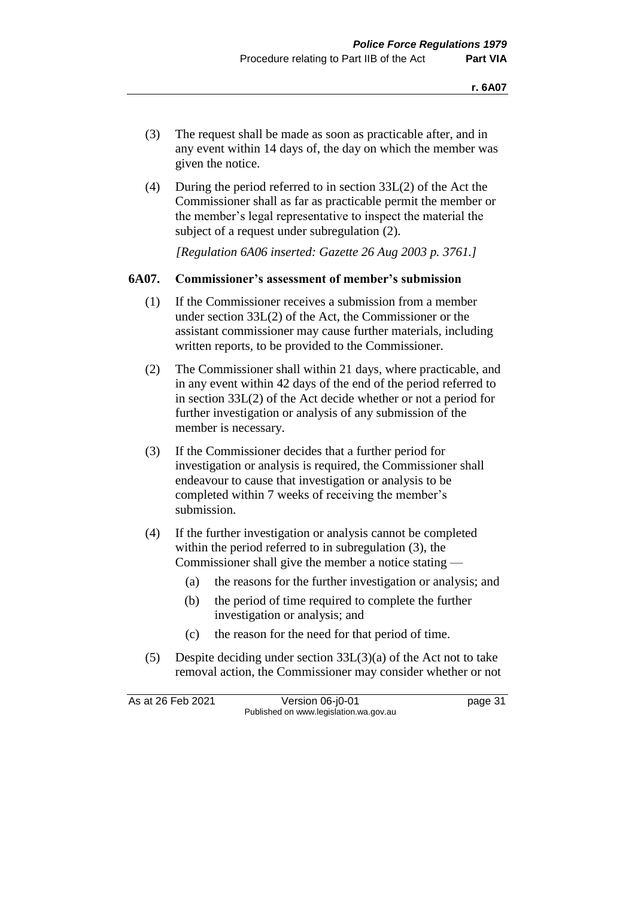- (3) The request shall be made as soon as practicable after, and in any event within 14 days of, the day on which the member was given the notice.
- (4) During the period referred to in section 33L(2) of the Act the Commissioner shall as far as practicable permit the member or the member's legal representative to inspect the material the subject of a request under subregulation (2).

*[Regulation 6A06 inserted: Gazette 26 Aug 2003 p. 3761.]*

## **6A07. Commissioner's assessment of member's submission**

- (1) If the Commissioner receives a submission from a member under section 33L(2) of the Act, the Commissioner or the assistant commissioner may cause further materials, including written reports, to be provided to the Commissioner.
- (2) The Commissioner shall within 21 days, where practicable, and in any event within 42 days of the end of the period referred to in section 33L(2) of the Act decide whether or not a period for further investigation or analysis of any submission of the member is necessary.
- (3) If the Commissioner decides that a further period for investigation or analysis is required, the Commissioner shall endeavour to cause that investigation or analysis to be completed within 7 weeks of receiving the member's submission.
- (4) If the further investigation or analysis cannot be completed within the period referred to in subregulation (3), the Commissioner shall give the member a notice stating —
	- (a) the reasons for the further investigation or analysis; and
	- (b) the period of time required to complete the further investigation or analysis; and
	- (c) the reason for the need for that period of time.
- (5) Despite deciding under section 33L(3)(a) of the Act not to take removal action, the Commissioner may consider whether or not

As at 26 Feb 2021 Version 06-j0-01 page 31 Published on www.legislation.wa.gov.au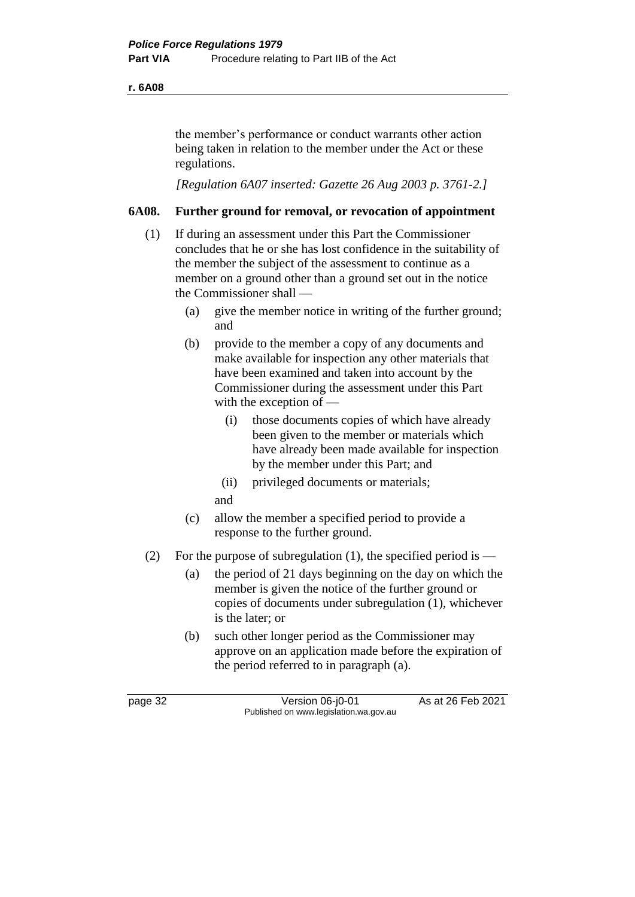#### **r. 6A08**

the member's performance or conduct warrants other action being taken in relation to the member under the Act or these regulations.

*[Regulation 6A07 inserted: Gazette 26 Aug 2003 p. 3761-2.]*

## **6A08. Further ground for removal, or revocation of appointment**

- (1) If during an assessment under this Part the Commissioner concludes that he or she has lost confidence in the suitability of the member the subject of the assessment to continue as a member on a ground other than a ground set out in the notice the Commissioner shall —
	- (a) give the member notice in writing of the further ground; and
	- (b) provide to the member a copy of any documents and make available for inspection any other materials that have been examined and taken into account by the Commissioner during the assessment under this Part with the exception of —
		- (i) those documents copies of which have already been given to the member or materials which have already been made available for inspection by the member under this Part; and
		- (ii) privileged documents or materials;
		- and
	- (c) allow the member a specified period to provide a response to the further ground.
- (2) For the purpose of subregulation (1), the specified period is
	- (a) the period of 21 days beginning on the day on which the member is given the notice of the further ground or copies of documents under subregulation (1), whichever is the later; or
	- (b) such other longer period as the Commissioner may approve on an application made before the expiration of the period referred to in paragraph (a).

page 32 Version 06-j0-01 As at 26 Feb 2021 Published on www.legislation.wa.gov.au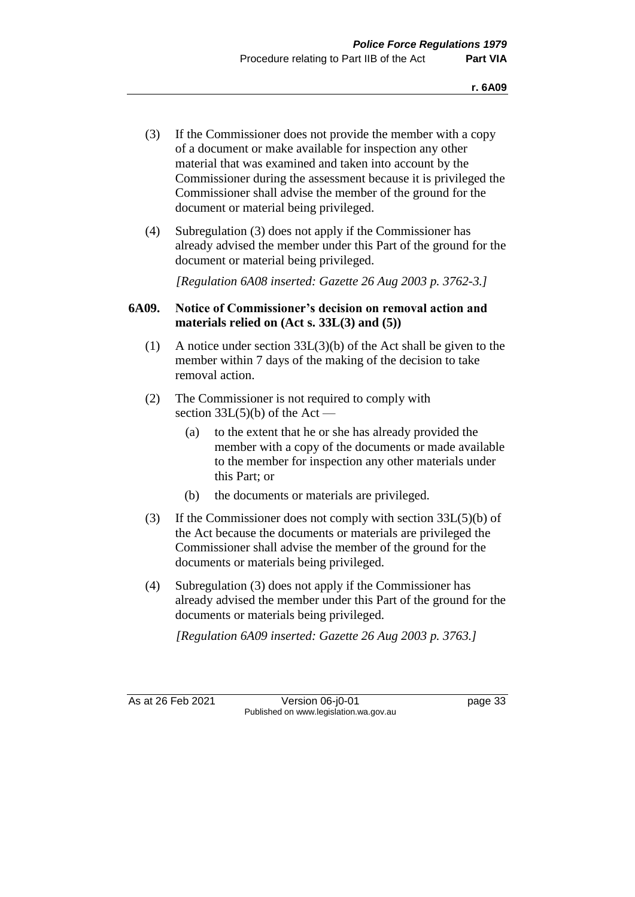- (3) If the Commissioner does not provide the member with a copy of a document or make available for inspection any other material that was examined and taken into account by the Commissioner during the assessment because it is privileged the Commissioner shall advise the member of the ground for the document or material being privileged.
- (4) Subregulation (3) does not apply if the Commissioner has already advised the member under this Part of the ground for the document or material being privileged.

*[Regulation 6A08 inserted: Gazette 26 Aug 2003 p. 3762-3.]*

# **6A09. Notice of Commissioner's decision on removal action and materials relied on (Act s. 33L(3) and (5))**

- (1) A notice under section 33L(3)(b) of the Act shall be given to the member within 7 days of the making of the decision to take removal action.
- (2) The Commissioner is not required to comply with section  $33L(5)(b)$  of the Act –
	- (a) to the extent that he or she has already provided the member with a copy of the documents or made available to the member for inspection any other materials under this Part; or
	- (b) the documents or materials are privileged.
- (3) If the Commissioner does not comply with section 33L(5)(b) of the Act because the documents or materials are privileged the Commissioner shall advise the member of the ground for the documents or materials being privileged.
- (4) Subregulation (3) does not apply if the Commissioner has already advised the member under this Part of the ground for the documents or materials being privileged.

*[Regulation 6A09 inserted: Gazette 26 Aug 2003 p. 3763.]*

As at 26 Feb 2021 Version 06-j0-01 page 33 Published on www.legislation.wa.gov.au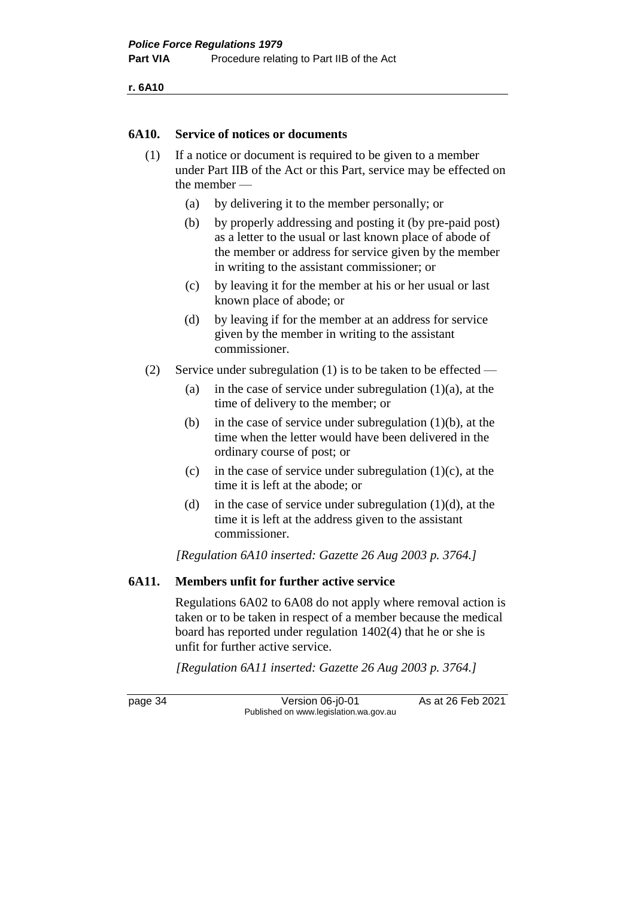**r. 6A10**

#### **6A10. Service of notices or documents**

- (1) If a notice or document is required to be given to a member under Part IIB of the Act or this Part, service may be effected on the member —
	- (a) by delivering it to the member personally; or
	- (b) by properly addressing and posting it (by pre-paid post) as a letter to the usual or last known place of abode of the member or address for service given by the member in writing to the assistant commissioner; or
	- (c) by leaving it for the member at his or her usual or last known place of abode; or
	- (d) by leaving if for the member at an address for service given by the member in writing to the assistant commissioner.
- (2) Service under subregulation (1) is to be taken to be effected
	- (a) in the case of service under subregulation  $(1)(a)$ , at the time of delivery to the member; or
	- (b) in the case of service under subregulation  $(1)(b)$ , at the time when the letter would have been delivered in the ordinary course of post; or
	- (c) in the case of service under subregulation  $(1)(c)$ , at the time it is left at the abode; or
	- (d) in the case of service under subregulation  $(1)(d)$ , at the time it is left at the address given to the assistant commissioner.

*[Regulation 6A10 inserted: Gazette 26 Aug 2003 p. 3764.]*

#### **6A11. Members unfit for further active service**

Regulations 6A02 to 6A08 do not apply where removal action is taken or to be taken in respect of a member because the medical board has reported under regulation 1402(4) that he or she is unfit for further active service.

*[Regulation 6A11 inserted: Gazette 26 Aug 2003 p. 3764.]*

page 34 Version 06-j0-01 As at 26 Feb 2021 Published on www.legislation.wa.gov.au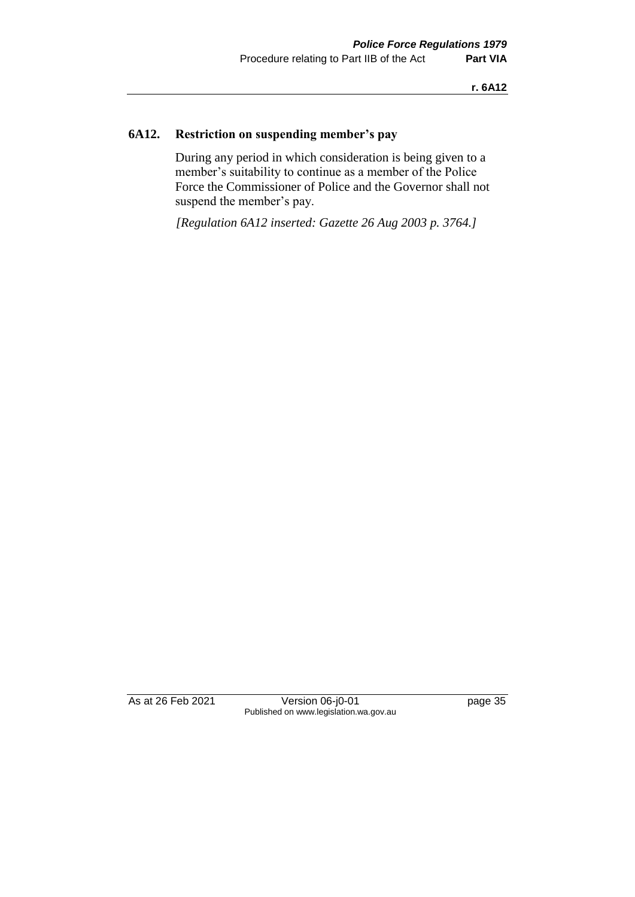# **6A12. Restriction on suspending member's pay**

During any period in which consideration is being given to a member's suitability to continue as a member of the Police Force the Commissioner of Police and the Governor shall not suspend the member's pay.

*[Regulation 6A12 inserted: Gazette 26 Aug 2003 p. 3764.]*

As at 26 Feb 2021 Version 06-j0-01 page 35 Published on www.legislation.wa.gov.au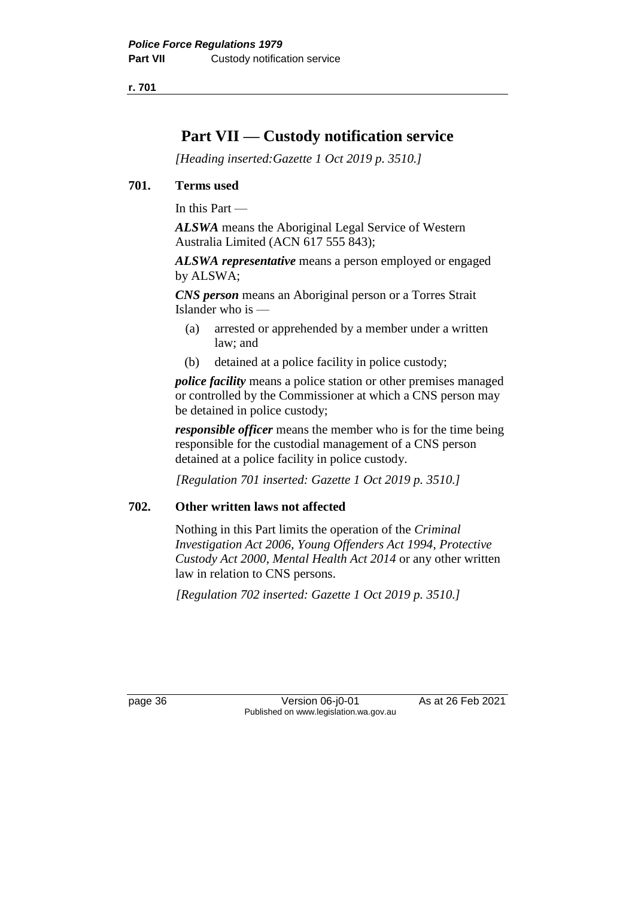# **Part VII — Custody notification service**

*[Heading inserted:Gazette 1 Oct 2019 p. 3510.]*

## **701. Terms used**

In this Part —

*ALSWA* means the Aboriginal Legal Service of Western Australia Limited (ACN 617 555 843);

*ALSWA representative* means a person employed or engaged by ALSWA;

*CNS person* means an Aboriginal person or a Torres Strait Islander who is —

- (a) arrested or apprehended by a member under a written law; and
- (b) detained at a police facility in police custody;

*police facility* means a police station or other premises managed or controlled by the Commissioner at which a CNS person may be detained in police custody;

*responsible officer* means the member who is for the time being responsible for the custodial management of a CNS person detained at a police facility in police custody.

*[Regulation 701 inserted: Gazette 1 Oct 2019 p. 3510.]*

# **702. Other written laws not affected**

Nothing in this Part limits the operation of the *Criminal Investigation Act 2006, Young Offenders Act 1994*, *Protective Custody Act 2000*, *Mental Health Act 2014* or any other written law in relation to CNS persons.

*[Regulation 702 inserted: Gazette 1 Oct 2019 p. 3510.]*

page 36 Version 06-j0-01 As at 26 Feb 2021 Published on www.legislation.wa.gov.au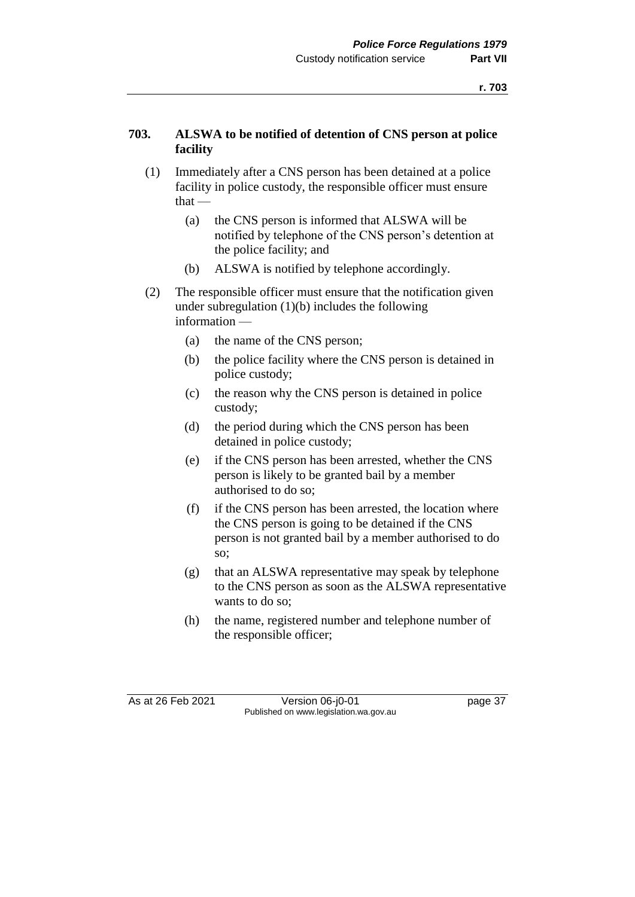## **703. ALSWA to be notified of detention of CNS person at police facility**

- (1) Immediately after a CNS person has been detained at a police facility in police custody, the responsible officer must ensure that —
	- (a) the CNS person is informed that ALSWA will be notified by telephone of the CNS person's detention at the police facility; and
	- (b) ALSWA is notified by telephone accordingly.
- (2) The responsible officer must ensure that the notification given under subregulation (1)(b) includes the following information —
	- (a) the name of the CNS person;
	- (b) the police facility where the CNS person is detained in police custody;
	- (c) the reason why the CNS person is detained in police custody;
	- (d) the period during which the CNS person has been detained in police custody;
	- (e) if the CNS person has been arrested, whether the CNS person is likely to be granted bail by a member authorised to do so;
	- (f) if the CNS person has been arrested, the location where the CNS person is going to be detained if the CNS person is not granted bail by a member authorised to do so;
	- (g) that an ALSWA representative may speak by telephone to the CNS person as soon as the ALSWA representative wants to do so;
	- (h) the name, registered number and telephone number of the responsible officer;

As at 26 Feb 2021 Version 06-j0-01 page 37 Published on www.legislation.wa.gov.au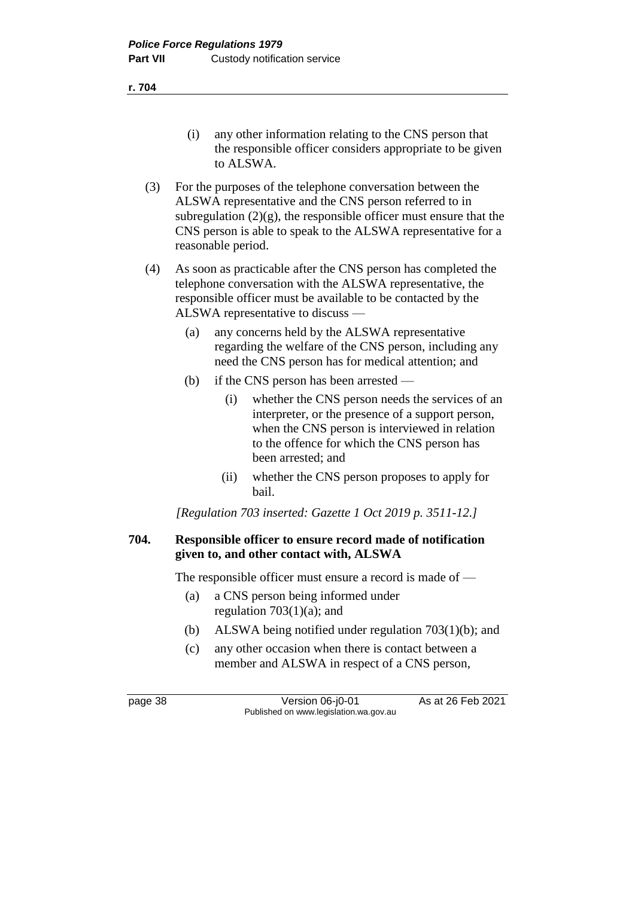- (i) any other information relating to the CNS person that the responsible officer considers appropriate to be given to ALSWA.
- (3) For the purposes of the telephone conversation between the ALSWA representative and the CNS person referred to in subregulation  $(2)(g)$ , the responsible officer must ensure that the CNS person is able to speak to the ALSWA representative for a reasonable period.
- (4) As soon as practicable after the CNS person has completed the telephone conversation with the ALSWA representative, the responsible officer must be available to be contacted by the ALSWA representative to discuss —
	- (a) any concerns held by the ALSWA representative regarding the welfare of the CNS person, including any need the CNS person has for medical attention; and
	- (b) if the CNS person has been arrested
		- (i) whether the CNS person needs the services of an interpreter, or the presence of a support person, when the CNS person is interviewed in relation to the offence for which the CNS person has been arrested; and
		- (ii) whether the CNS person proposes to apply for bail.

*[Regulation 703 inserted: Gazette 1 Oct 2019 p. 3511-12.]*

## **704. Responsible officer to ensure record made of notification given to, and other contact with, ALSWA**

The responsible officer must ensure a record is made of —

- (a) a CNS person being informed under regulation  $703(1)(a)$ ; and
- (b) ALSWA being notified under regulation 703(1)(b); and
- (c) any other occasion when there is contact between a member and ALSWA in respect of a CNS person,

page 38 Version 06-j0-01 As at 26 Feb 2021 Published on www.legislation.wa.gov.au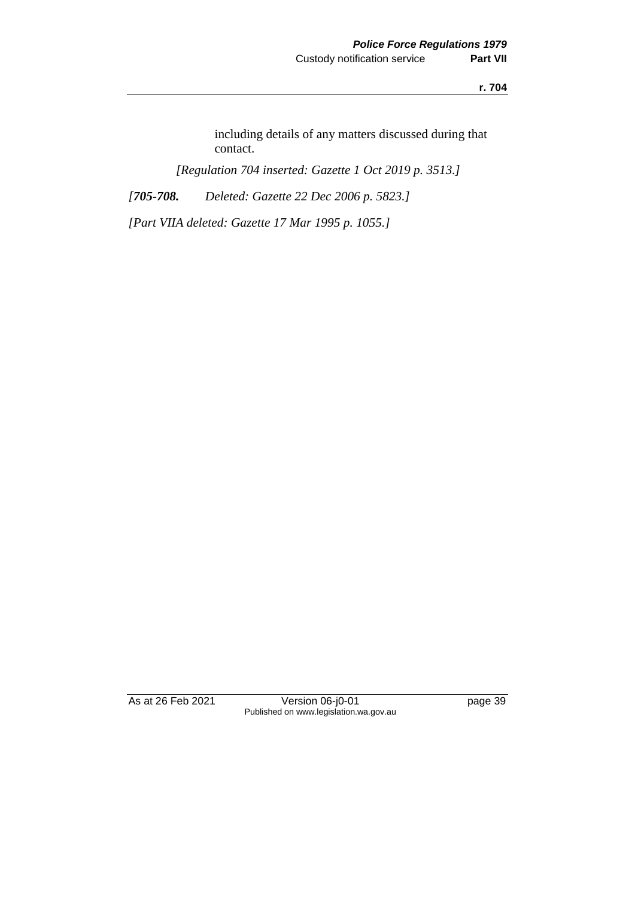including details of any matters discussed during that contact.

*[Regulation 704 inserted: Gazette 1 Oct 2019 p. 3513.]*

*[705-708. Deleted: Gazette 22 Dec 2006 p. 5823.]*

*[Part VIIA deleted: Gazette 17 Mar 1995 p. 1055.]*

As at 26 Feb 2021 Version 06-j0-01 page 39 Published on www.legislation.wa.gov.au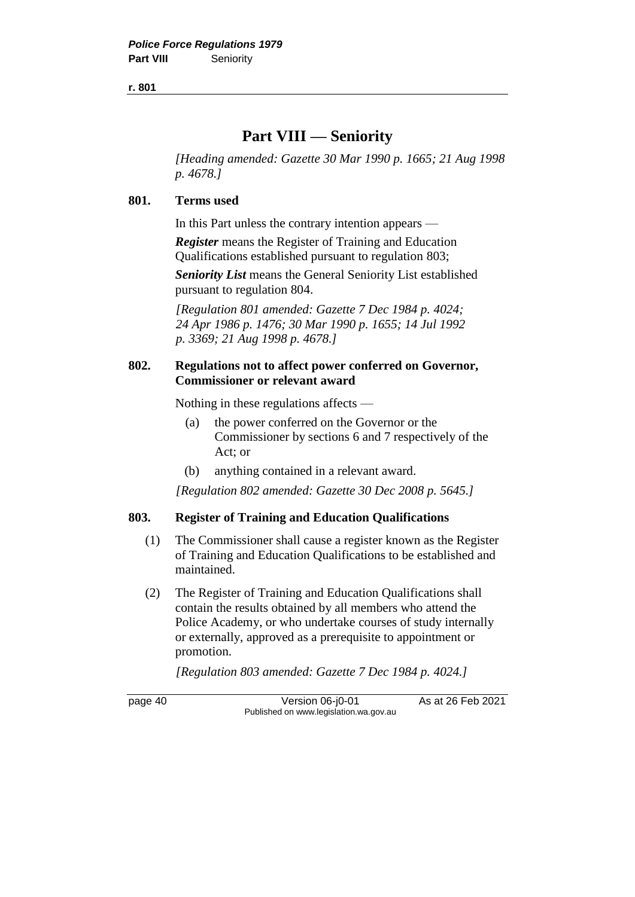# **Part VIII — Seniority**

*[Heading amended: Gazette 30 Mar 1990 p. 1665; 21 Aug 1998 p. 4678.]*

#### **801. Terms used**

In this Part unless the contrary intention appears —

*Register* means the Register of Training and Education Qualifications established pursuant to regulation 803;

*Seniority List* means the General Seniority List established pursuant to regulation 804.

*[Regulation 801 amended: Gazette 7 Dec 1984 p. 4024; 24 Apr 1986 p. 1476; 30 Mar 1990 p. 1655; 14 Jul 1992 p. 3369; 21 Aug 1998 p. 4678.]*

#### **802. Regulations not to affect power conferred on Governor, Commissioner or relevant award**

Nothing in these regulations affects —

- (a) the power conferred on the Governor or the Commissioner by sections 6 and 7 respectively of the Act; or
- (b) anything contained in a relevant award.

*[Regulation 802 amended: Gazette 30 Dec 2008 p. 5645.]*

#### **803. Register of Training and Education Qualifications**

- (1) The Commissioner shall cause a register known as the Register of Training and Education Qualifications to be established and maintained.
- (2) The Register of Training and Education Qualifications shall contain the results obtained by all members who attend the Police Academy, or who undertake courses of study internally or externally, approved as a prerequisite to appointment or promotion.

*[Regulation 803 amended: Gazette 7 Dec 1984 p. 4024.]*

page 40 Version 06-j0-01 As at 26 Feb 2021 Published on www.legislation.wa.gov.au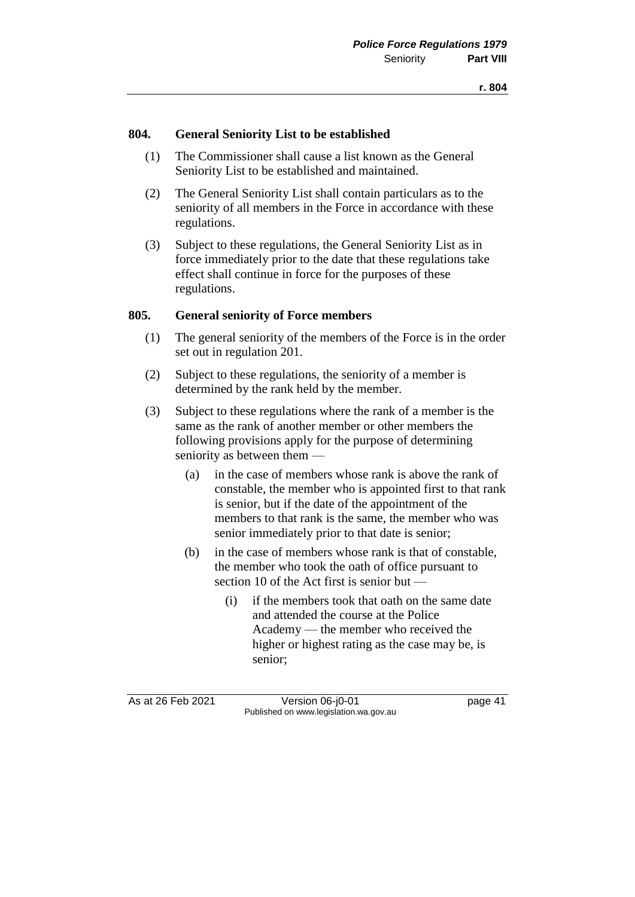#### **804. General Seniority List to be established**

- (1) The Commissioner shall cause a list known as the General Seniority List to be established and maintained.
- (2) The General Seniority List shall contain particulars as to the seniority of all members in the Force in accordance with these regulations.
- (3) Subject to these regulations, the General Seniority List as in force immediately prior to the date that these regulations take effect shall continue in force for the purposes of these regulations.

#### **805. General seniority of Force members**

- (1) The general seniority of the members of the Force is in the order set out in regulation 201.
- (2) Subject to these regulations, the seniority of a member is determined by the rank held by the member.
- (3) Subject to these regulations where the rank of a member is the same as the rank of another member or other members the following provisions apply for the purpose of determining seniority as between them —
	- (a) in the case of members whose rank is above the rank of constable, the member who is appointed first to that rank is senior, but if the date of the appointment of the members to that rank is the same, the member who was senior immediately prior to that date is senior;
	- (b) in the case of members whose rank is that of constable, the member who took the oath of office pursuant to section 10 of the Act first is senior but —
		- (i) if the members took that oath on the same date and attended the course at the Police Academy — the member who received the higher or highest rating as the case may be, is senior;

As at 26 Feb 2021 Version 06-j0-01 page 41 Published on www.legislation.wa.gov.au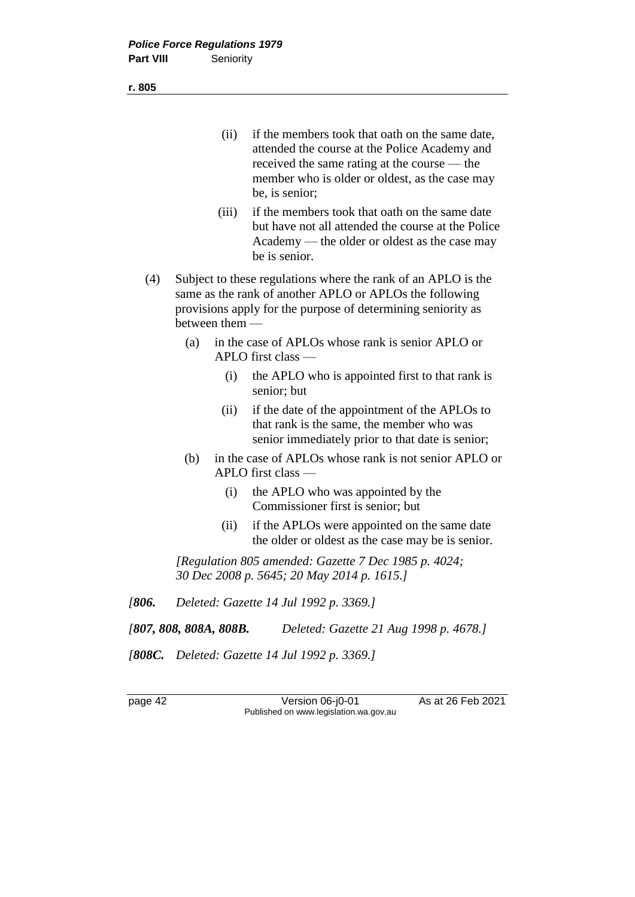- (ii) if the members took that oath on the same date, attended the course at the Police Academy and received the same rating at the course — the member who is older or oldest, as the case may be, is senior;
- (iii) if the members took that oath on the same date but have not all attended the course at the Police Academy — the older or oldest as the case may be is senior.
- (4) Subject to these regulations where the rank of an APLO is the same as the rank of another APLO or APLOs the following provisions apply for the purpose of determining seniority as between them —
	- (a) in the case of APLOs whose rank is senior APLO or APLO first class —
		- (i) the APLO who is appointed first to that rank is senior; but
		- (ii) if the date of the appointment of the APLOs to that rank is the same, the member who was senior immediately prior to that date is senior;
	- (b) in the case of APLOs whose rank is not senior APLO or APLO first class —
		- (i) the APLO who was appointed by the Commissioner first is senior; but
		- (ii) if the APLOs were appointed on the same date the older or oldest as the case may be is senior.

*[Regulation 805 amended: Gazette 7 Dec 1985 p. 4024; 30 Dec 2008 p. 5645; 20 May 2014 p. 1615.]*

*[806. Deleted: Gazette 14 Jul 1992 p. 3369.]*

*[807, 808, 808A, 808B. Deleted: Gazette 21 Aug 1998 p. 4678.]*

*[808C. Deleted: Gazette 14 Jul 1992 p. 3369.]*

page 42 Version 06-j0-01 As at 26 Feb 2021 Published on www.legislation.wa.gov.au

**r. 805**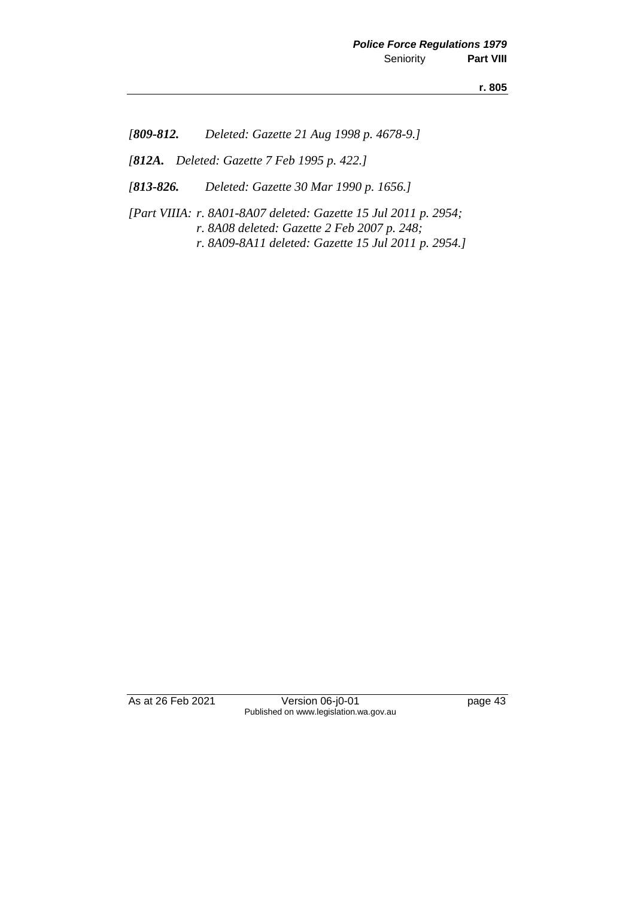*[809-812. Deleted: Gazette 21 Aug 1998 p. 4678-9.]*

*[812A. Deleted: Gazette 7 Feb 1995 p. 422.]*

*[813-826. Deleted: Gazette 30 Mar 1990 p. 1656.]*

*[Part VIIIA: r. 8A01-8A07 deleted: Gazette 15 Jul 2011 p. 2954; r. 8A08 deleted: Gazette 2 Feb 2007 p. 248; r. 8A09-8A11 deleted: Gazette 15 Jul 2011 p. 2954.]*

As at 26 Feb 2021 Version 06-j0-01 page 43 Published on www.legislation.wa.gov.au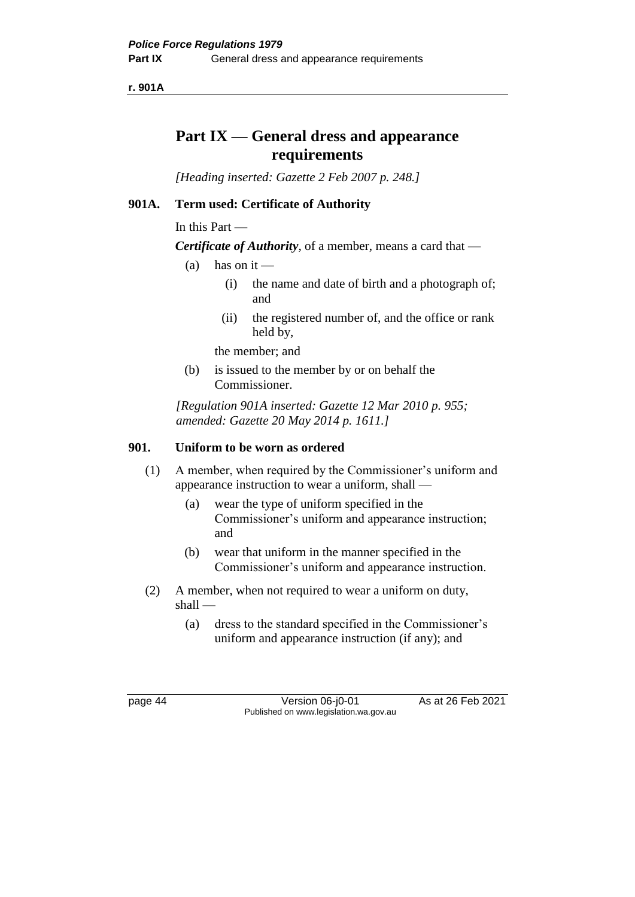**r. 901A**

# **Part IX — General dress and appearance requirements**

*[Heading inserted: Gazette 2 Feb 2007 p. 248.]*

# **901A. Term used: Certificate of Authority**

In this Part —

*Certificate of Authority*, of a member, means a card that —

- (a) has on it
	- (i) the name and date of birth and a photograph of; and
	- (ii) the registered number of, and the office or rank held by,

the member; and

(b) is issued to the member by or on behalf the Commissioner.

*[Regulation 901A inserted: Gazette 12 Mar 2010 p. 955; amended: Gazette 20 May 2014 p. 1611.]*

## **901. Uniform to be worn as ordered**

- (1) A member, when required by the Commissioner's uniform and appearance instruction to wear a uniform, shall —
	- (a) wear the type of uniform specified in the Commissioner's uniform and appearance instruction; and
	- (b) wear that uniform in the manner specified in the Commissioner's uniform and appearance instruction.
- (2) A member, when not required to wear a uniform on duty, shall —
	- (a) dress to the standard specified in the Commissioner's uniform and appearance instruction (if any); and

page 44 Version 06-j0-01 As at 26 Feb 2021 Published on www.legislation.wa.gov.au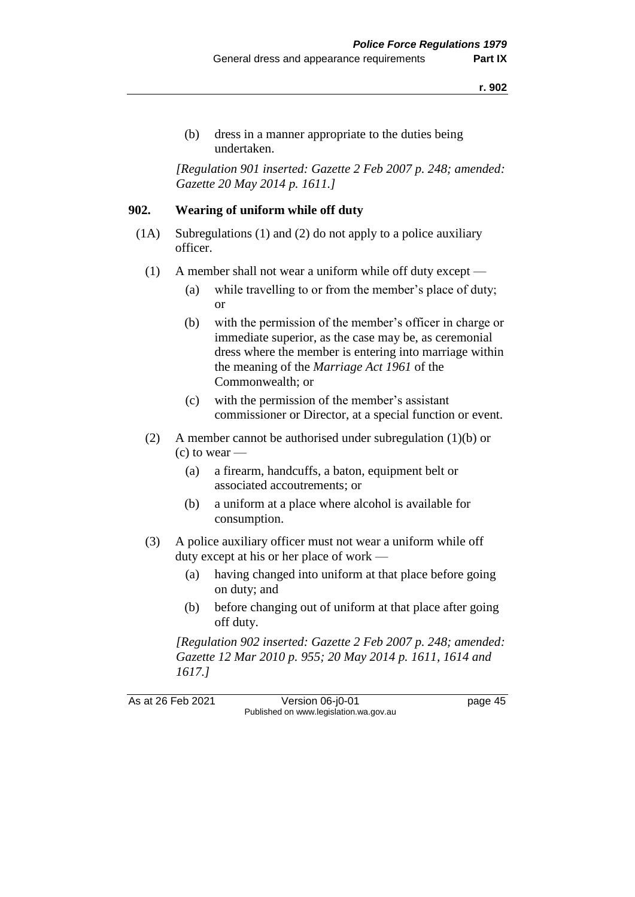(b) dress in a manner appropriate to the duties being undertaken.

*[Regulation 901 inserted: Gazette 2 Feb 2007 p. 248; amended: Gazette 20 May 2014 p. 1611.]*

#### **902. Wearing of uniform while off duty**

- (1A) Subregulations (1) and (2) do not apply to a police auxiliary officer.
	- (1) A member shall not wear a uniform while off duty except
		- (a) while travelling to or from the member's place of duty; or
		- (b) with the permission of the member's officer in charge or immediate superior, as the case may be, as ceremonial dress where the member is entering into marriage within the meaning of the *Marriage Act 1961* of the Commonwealth; or
		- (c) with the permission of the member's assistant commissioner or Director, at a special function or event.
	- (2) A member cannot be authorised under subregulation (1)(b) or  $(c)$  to wear  $-$ 
		- (a) a firearm, handcuffs, a baton, equipment belt or associated accoutrements; or
		- (b) a uniform at a place where alcohol is available for consumption.
	- (3) A police auxiliary officer must not wear a uniform while off duty except at his or her place of work —
		- (a) having changed into uniform at that place before going on duty; and
		- (b) before changing out of uniform at that place after going off duty.

*[Regulation 902 inserted: Gazette 2 Feb 2007 p. 248; amended: Gazette 12 Mar 2010 p. 955; 20 May 2014 p. 1611, 1614 and 1617.]*

As at 26 Feb 2021 Version 06-j0-01 page 45 Published on www.legislation.wa.gov.au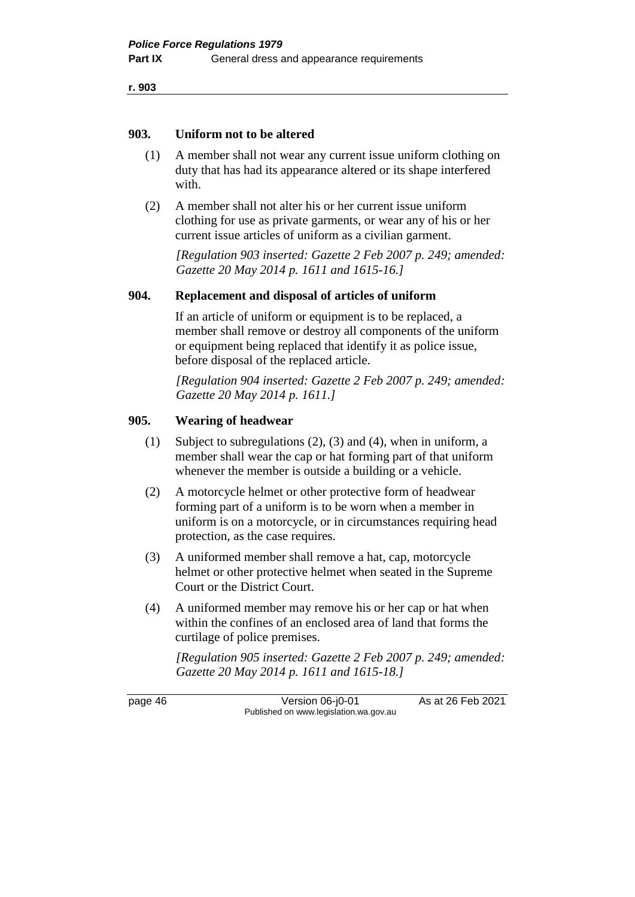#### **903. Uniform not to be altered**

- (1) A member shall not wear any current issue uniform clothing on duty that has had its appearance altered or its shape interfered with.
- (2) A member shall not alter his or her current issue uniform clothing for use as private garments, or wear any of his or her current issue articles of uniform as a civilian garment.

*[Regulation 903 inserted: Gazette 2 Feb 2007 p. 249; amended: Gazette 20 May 2014 p. 1611 and 1615-16.]*

## **904. Replacement and disposal of articles of uniform**

If an article of uniform or equipment is to be replaced, a member shall remove or destroy all components of the uniform or equipment being replaced that identify it as police issue, before disposal of the replaced article.

*[Regulation 904 inserted: Gazette 2 Feb 2007 p. 249; amended: Gazette 20 May 2014 p. 1611.]*

## **905. Wearing of headwear**

- (1) Subject to subregulations (2), (3) and (4), when in uniform, a member shall wear the cap or hat forming part of that uniform whenever the member is outside a building or a vehicle.
- (2) A motorcycle helmet or other protective form of headwear forming part of a uniform is to be worn when a member in uniform is on a motorcycle, or in circumstances requiring head protection, as the case requires.
- (3) A uniformed member shall remove a hat, cap, motorcycle helmet or other protective helmet when seated in the Supreme Court or the District Court.
- (4) A uniformed member may remove his or her cap or hat when within the confines of an enclosed area of land that forms the curtilage of police premises.

*[Regulation 905 inserted: Gazette 2 Feb 2007 p. 249; amended: Gazette 20 May 2014 p. 1611 and 1615-18.]*

page 46 Version 06-j0-01 As at 26 Feb 2021 Published on www.legislation.wa.gov.au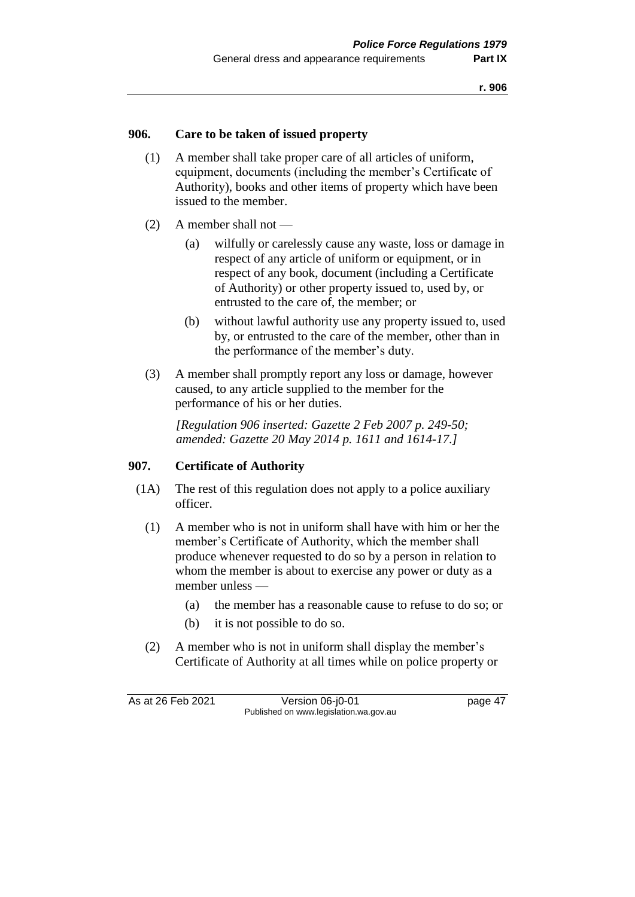## **906. Care to be taken of issued property**

- (1) A member shall take proper care of all articles of uniform, equipment, documents (including the member's Certificate of Authority), books and other items of property which have been issued to the member.
- (2) A member shall not
	- (a) wilfully or carelessly cause any waste, loss or damage in respect of any article of uniform or equipment, or in respect of any book, document (including a Certificate of Authority) or other property issued to, used by, or entrusted to the care of, the member; or
	- (b) without lawful authority use any property issued to, used by, or entrusted to the care of the member, other than in the performance of the member's duty.
- (3) A member shall promptly report any loss or damage, however caused, to any article supplied to the member for the performance of his or her duties.

*[Regulation 906 inserted: Gazette 2 Feb 2007 p. 249-50; amended: Gazette 20 May 2014 p. 1611 and 1614-17.]*

#### **907. Certificate of Authority**

- (1A) The rest of this regulation does not apply to a police auxiliary officer.
	- (1) A member who is not in uniform shall have with him or her the member's Certificate of Authority, which the member shall produce whenever requested to do so by a person in relation to whom the member is about to exercise any power or duty as a member unless —
		- (a) the member has a reasonable cause to refuse to do so; or
		- (b) it is not possible to do so.
	- (2) A member who is not in uniform shall display the member's Certificate of Authority at all times while on police property or

As at 26 Feb 2021 Version 06-j0-01 page 47 Published on www.legislation.wa.gov.au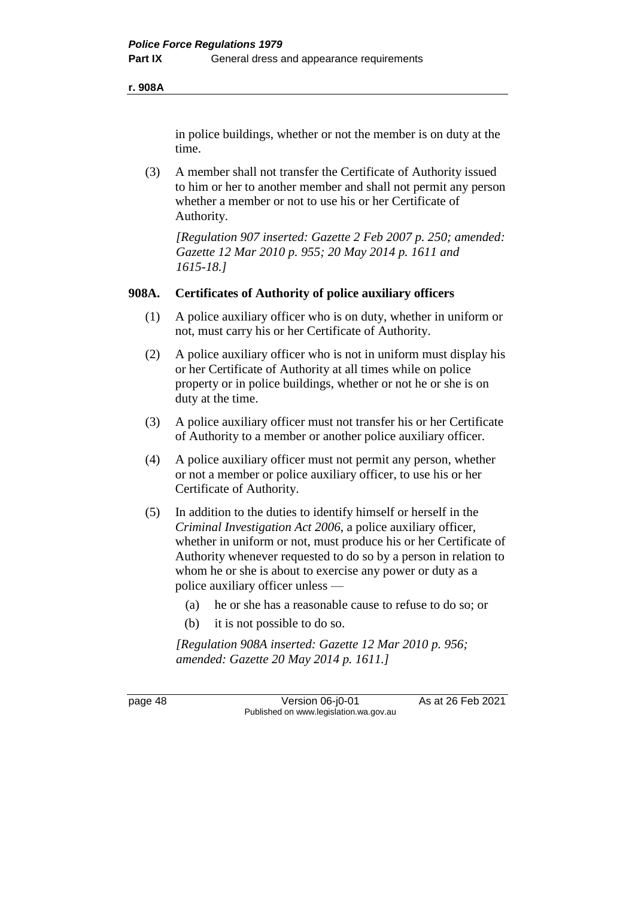**r. 908A**

in police buildings, whether or not the member is on duty at the time.

(3) A member shall not transfer the Certificate of Authority issued to him or her to another member and shall not permit any person whether a member or not to use his or her Certificate of Authority.

*[Regulation 907 inserted: Gazette 2 Feb 2007 p. 250; amended: Gazette 12 Mar 2010 p. 955; 20 May 2014 p. 1611 and 1615-18.]*

# **908A. Certificates of Authority of police auxiliary officers**

- (1) A police auxiliary officer who is on duty, whether in uniform or not, must carry his or her Certificate of Authority.
- (2) A police auxiliary officer who is not in uniform must display his or her Certificate of Authority at all times while on police property or in police buildings, whether or not he or she is on duty at the time.
- (3) A police auxiliary officer must not transfer his or her Certificate of Authority to a member or another police auxiliary officer.
- (4) A police auxiliary officer must not permit any person, whether or not a member or police auxiliary officer, to use his or her Certificate of Authority.
- (5) In addition to the duties to identify himself or herself in the *Criminal Investigation Act 2006*, a police auxiliary officer, whether in uniform or not, must produce his or her Certificate of Authority whenever requested to do so by a person in relation to whom he or she is about to exercise any power or duty as a police auxiliary officer unless —
	- (a) he or she has a reasonable cause to refuse to do so; or
	- (b) it is not possible to do so.

*[Regulation 908A inserted: Gazette 12 Mar 2010 p. 956; amended: Gazette 20 May 2014 p. 1611.]*

page 48 Version 06-j0-01 As at 26 Feb 2021 Published on www.legislation.wa.gov.au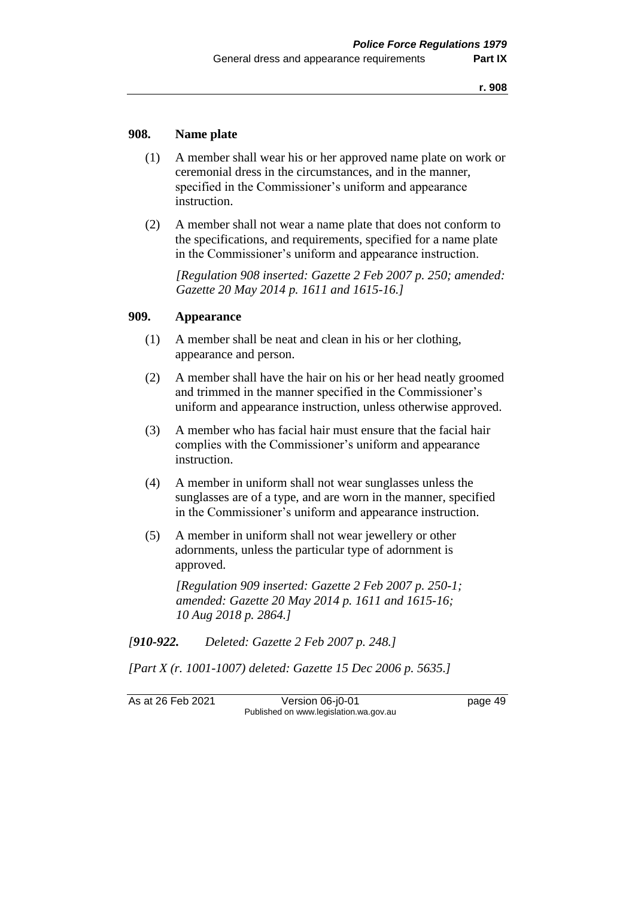#### **908. Name plate**

- (1) A member shall wear his or her approved name plate on work or ceremonial dress in the circumstances, and in the manner, specified in the Commissioner's uniform and appearance instruction.
- (2) A member shall not wear a name plate that does not conform to the specifications, and requirements, specified for a name plate in the Commissioner's uniform and appearance instruction.

*[Regulation 908 inserted: Gazette 2 Feb 2007 p. 250; amended: Gazette 20 May 2014 p. 1611 and 1615-16.]*

#### **909. Appearance**

- (1) A member shall be neat and clean in his or her clothing, appearance and person.
- (2) A member shall have the hair on his or her head neatly groomed and trimmed in the manner specified in the Commissioner's uniform and appearance instruction, unless otherwise approved.
- (3) A member who has facial hair must ensure that the facial hair complies with the Commissioner's uniform and appearance instruction.
- (4) A member in uniform shall not wear sunglasses unless the sunglasses are of a type, and are worn in the manner, specified in the Commissioner's uniform and appearance instruction.
- (5) A member in uniform shall not wear jewellery or other adornments, unless the particular type of adornment is approved.

*[Regulation 909 inserted: Gazette 2 Feb 2007 p. 250-1; amended: Gazette 20 May 2014 p. 1611 and 1615-16; 10 Aug 2018 p. 2864.]*

*[910-922. Deleted: Gazette 2 Feb 2007 p. 248.]*

*[Part X (r. 1001-1007) deleted: Gazette 15 Dec 2006 p. 5635.]*

As at 26 Feb 2021 Version 06-j0-01 page 49 Published on www.legislation.wa.gov.au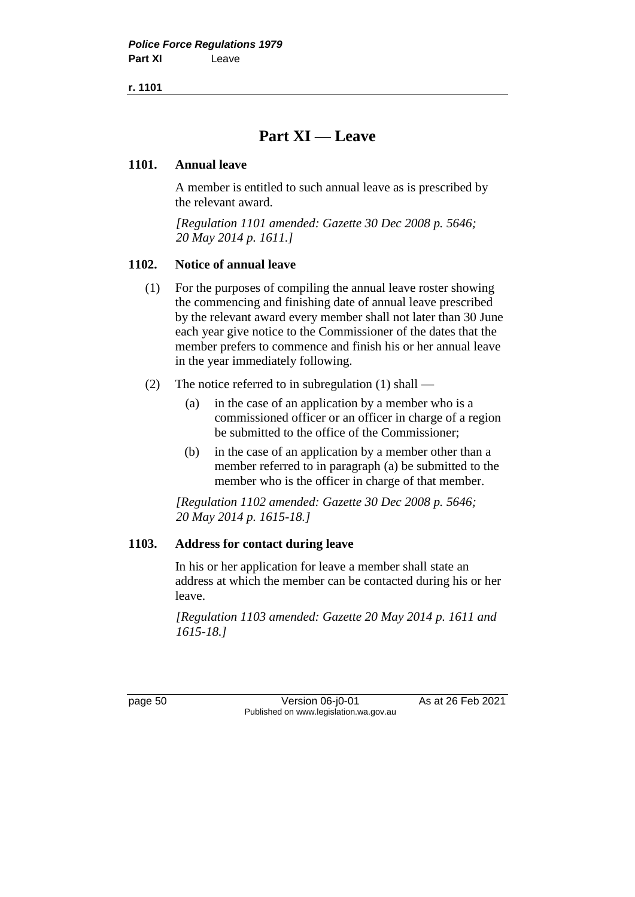# **Part XI — Leave**

## **1101. Annual leave**

A member is entitled to such annual leave as is prescribed by the relevant award.

*[Regulation 1101 amended: Gazette 30 Dec 2008 p. 5646; 20 May 2014 p. 1611.]*

## **1102. Notice of annual leave**

- (1) For the purposes of compiling the annual leave roster showing the commencing and finishing date of annual leave prescribed by the relevant award every member shall not later than 30 June each year give notice to the Commissioner of the dates that the member prefers to commence and finish his or her annual leave in the year immediately following.
- (2) The notice referred to in subregulation (1) shall
	- (a) in the case of an application by a member who is a commissioned officer or an officer in charge of a region be submitted to the office of the Commissioner;
	- (b) in the case of an application by a member other than a member referred to in paragraph (a) be submitted to the member who is the officer in charge of that member.

*[Regulation 1102 amended: Gazette 30 Dec 2008 p. 5646; 20 May 2014 p. 1615-18.]*

# **1103. Address for contact during leave**

In his or her application for leave a member shall state an address at which the member can be contacted during his or her leave.

*[Regulation 1103 amended: Gazette 20 May 2014 p. 1611 and 1615-18.]*

page 50 Version 06-j0-01 As at 26 Feb 2021 Published on www.legislation.wa.gov.au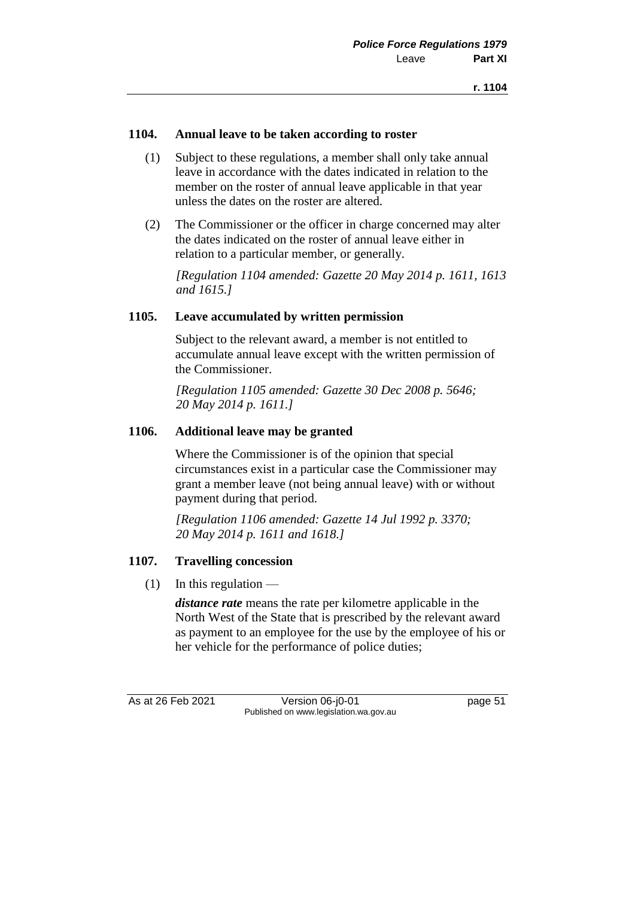## **1104. Annual leave to be taken according to roster**

- (1) Subject to these regulations, a member shall only take annual leave in accordance with the dates indicated in relation to the member on the roster of annual leave applicable in that year unless the dates on the roster are altered.
- (2) The Commissioner or the officer in charge concerned may alter the dates indicated on the roster of annual leave either in relation to a particular member, or generally.

*[Regulation 1104 amended: Gazette 20 May 2014 p. 1611, 1613 and 1615.]*

## **1105. Leave accumulated by written permission**

Subject to the relevant award, a member is not entitled to accumulate annual leave except with the written permission of the Commissioner.

*[Regulation 1105 amended: Gazette 30 Dec 2008 p. 5646; 20 May 2014 p. 1611.]*

## **1106. Additional leave may be granted**

Where the Commissioner is of the opinion that special circumstances exist in a particular case the Commissioner may grant a member leave (not being annual leave) with or without payment during that period.

*[Regulation 1106 amended: Gazette 14 Jul 1992 p. 3370; 20 May 2014 p. 1611 and 1618.]*

# **1107. Travelling concession**

 $(1)$  In this regulation —

*distance rate* means the rate per kilometre applicable in the North West of the State that is prescribed by the relevant award as payment to an employee for the use by the employee of his or her vehicle for the performance of police duties;

As at 26 Feb 2021 Version 06-j0-01 page 51 Published on www.legislation.wa.gov.au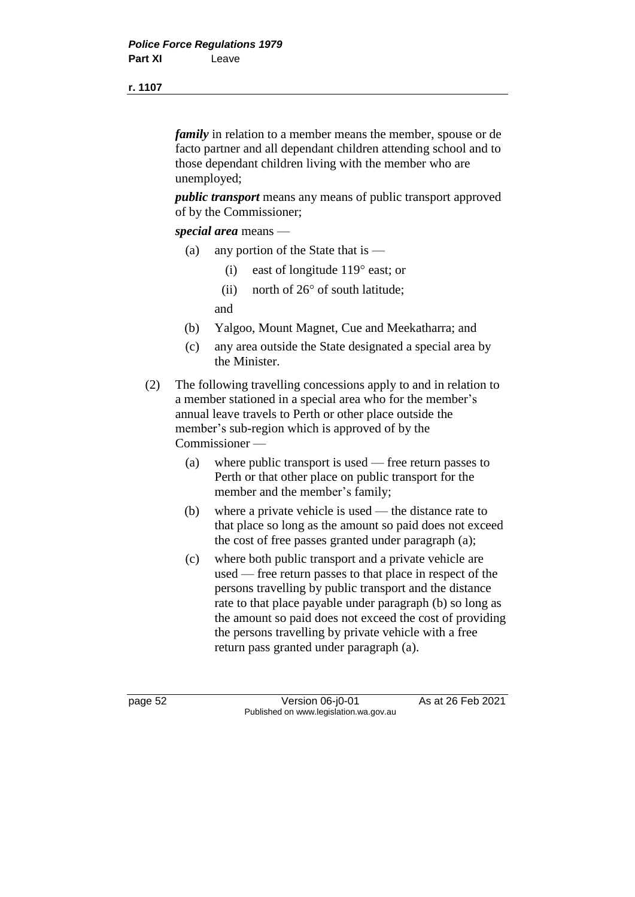*family* in relation to a member means the member, spouse or de facto partner and all dependant children attending school and to those dependant children living with the member who are unemployed;

*public transport* means any means of public transport approved of by the Commissioner;

*special area* means —

- (a) any portion of the State that is
	- (i) east of longitude  $119^{\circ}$  east; or
	- (ii) north of  $26^{\circ}$  of south latitude;

and

- (b) Yalgoo, Mount Magnet, Cue and Meekatharra; and
- (c) any area outside the State designated a special area by the Minister.
- (2) The following travelling concessions apply to and in relation to a member stationed in a special area who for the member's annual leave travels to Perth or other place outside the member's sub-region which is approved of by the Commissioner —
	- (a) where public transport is used free return passes to Perth or that other place on public transport for the member and the member's family;
	- (b) where a private vehicle is used the distance rate to that place so long as the amount so paid does not exceed the cost of free passes granted under paragraph (a);
	- (c) where both public transport and a private vehicle are used — free return passes to that place in respect of the persons travelling by public transport and the distance rate to that place payable under paragraph (b) so long as the amount so paid does not exceed the cost of providing the persons travelling by private vehicle with a free return pass granted under paragraph (a).

page 52 Version 06-j0-01 As at 26 Feb 2021 Published on www.legislation.wa.gov.au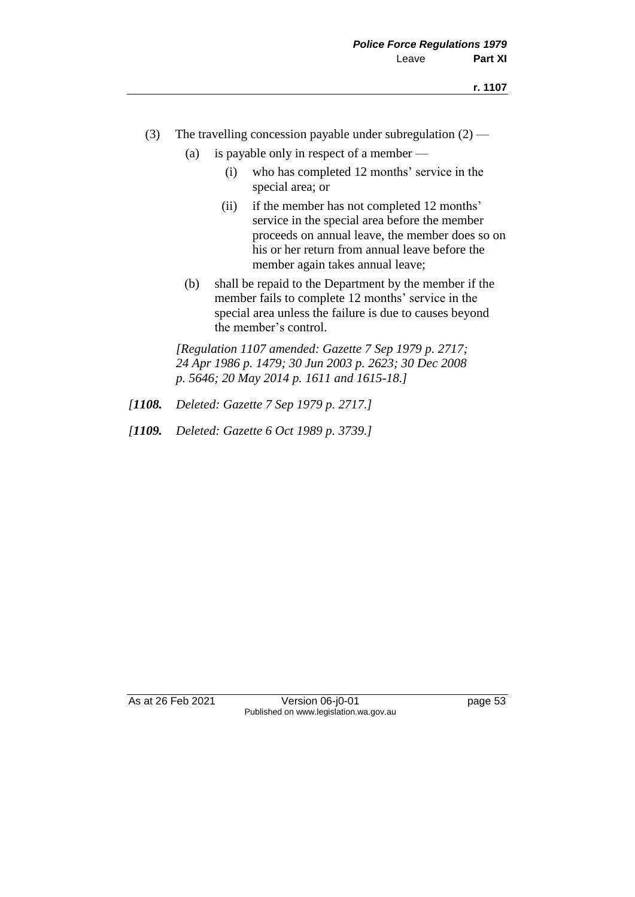- (3) The travelling concession payable under subregulation  $(2)$ 
	- (a) is payable only in respect of a member
		- (i) who has completed 12 months' service in the special area; or
		- (ii) if the member has not completed 12 months' service in the special area before the member proceeds on annual leave, the member does so on his or her return from annual leave before the member again takes annual leave;
	- (b) shall be repaid to the Department by the member if the member fails to complete 12 months' service in the special area unless the failure is due to causes beyond the member's control.

*[Regulation 1107 amended: Gazette 7 Sep 1979 p. 2717; 24 Apr 1986 p. 1479; 30 Jun 2003 p. 2623; 30 Dec 2008 p. 5646; 20 May 2014 p. 1611 and 1615-18.]*

- *[1108. Deleted: Gazette 7 Sep 1979 p. 2717.]*
- *[1109. Deleted: Gazette 6 Oct 1989 p. 3739.]*

As at 26 Feb 2021 Version 06-j0-01 page 53 Published on www.legislation.wa.gov.au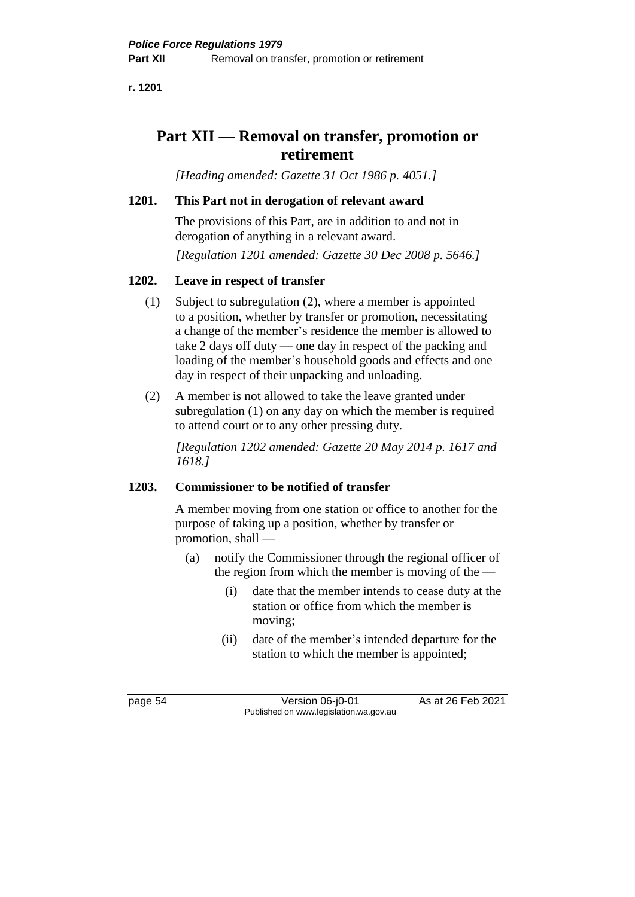# **Part XII — Removal on transfer, promotion or retirement**

*[Heading amended: Gazette 31 Oct 1986 p. 4051.]*

## **1201. This Part not in derogation of relevant award**

The provisions of this Part, are in addition to and not in derogation of anything in a relevant award.

*[Regulation 1201 amended: Gazette 30 Dec 2008 p. 5646.]*

## **1202. Leave in respect of transfer**

- (1) Subject to subregulation (2), where a member is appointed to a position, whether by transfer or promotion, necessitating a change of the member's residence the member is allowed to take 2 days off duty — one day in respect of the packing and loading of the member's household goods and effects and one day in respect of their unpacking and unloading.
- (2) A member is not allowed to take the leave granted under subregulation (1) on any day on which the member is required to attend court or to any other pressing duty.

*[Regulation 1202 amended: Gazette 20 May 2014 p. 1617 and 1618.]*

#### **1203. Commissioner to be notified of transfer**

A member moving from one station or office to another for the purpose of taking up a position, whether by transfer or promotion, shall —

- (a) notify the Commissioner through the regional officer of the region from which the member is moving of the —
	- (i) date that the member intends to cease duty at the station or office from which the member is moving;
	- (ii) date of the member's intended departure for the station to which the member is appointed;

page 54 Version 06-j0-01 As at 26 Feb 2021 Published on www.legislation.wa.gov.au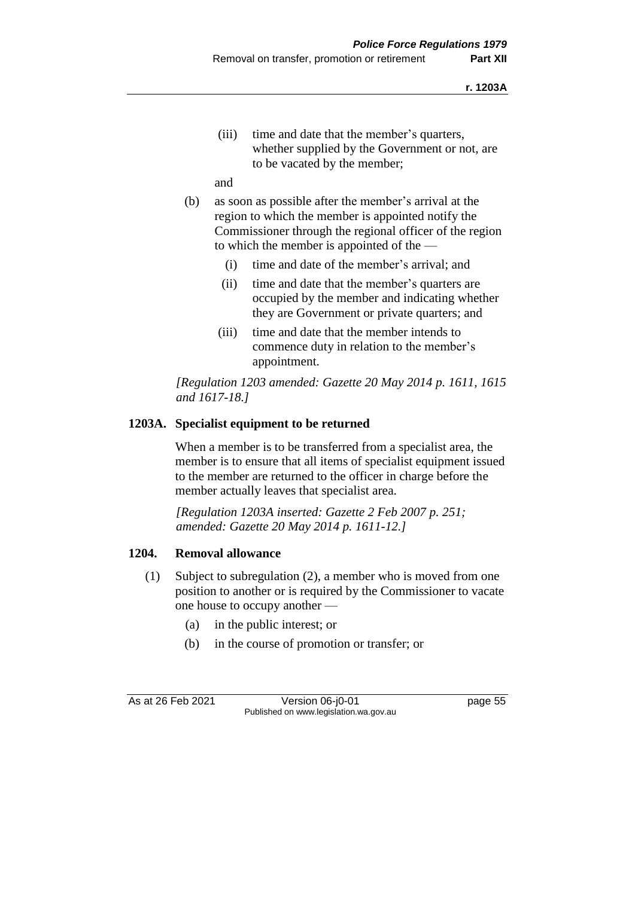(iii) time and date that the member's quarters, whether supplied by the Government or not, are to be vacated by the member;

and

- (b) as soon as possible after the member's arrival at the region to which the member is appointed notify the Commissioner through the regional officer of the region to which the member is appointed of the —
	- (i) time and date of the member's arrival; and
	- (ii) time and date that the member's quarters are occupied by the member and indicating whether they are Government or private quarters; and
	- (iii) time and date that the member intends to commence duty in relation to the member's appointment.

*[Regulation 1203 amended: Gazette 20 May 2014 p. 1611, 1615 and 1617-18.]*

# **1203A. Specialist equipment to be returned**

When a member is to be transferred from a specialist area, the member is to ensure that all items of specialist equipment issued to the member are returned to the officer in charge before the member actually leaves that specialist area.

*[Regulation 1203A inserted: Gazette 2 Feb 2007 p. 251; amended: Gazette 20 May 2014 p. 1611-12.]*

# **1204. Removal allowance**

- (1) Subject to subregulation (2), a member who is moved from one position to another or is required by the Commissioner to vacate one house to occupy another —
	- (a) in the public interest; or
	- (b) in the course of promotion or transfer; or

As at 26 Feb 2021 Version 06-j0-01 page 55 Published on www.legislation.wa.gov.au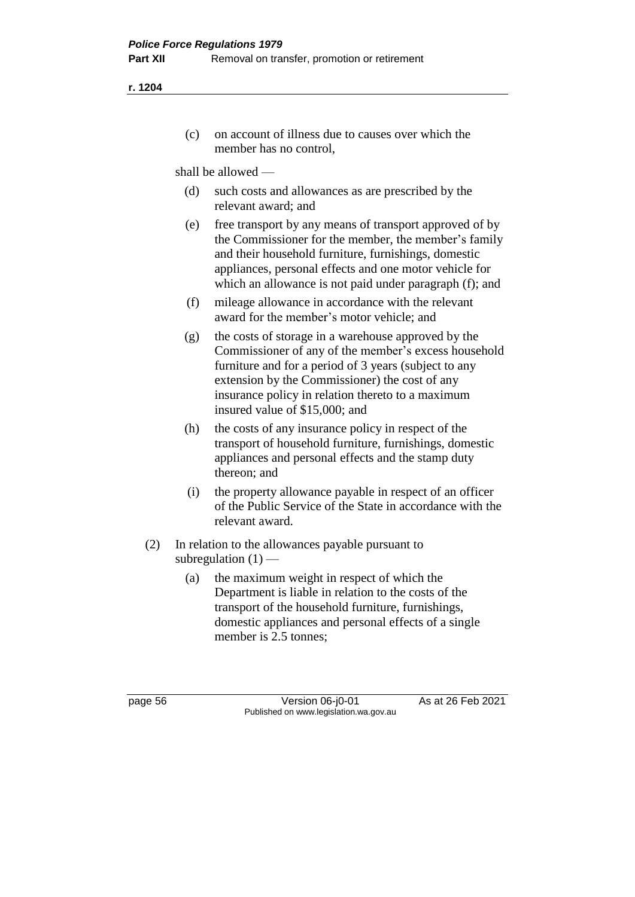(c) on account of illness due to causes over which the member has no control,

shall be allowed —

- (d) such costs and allowances as are prescribed by the relevant award; and
- (e) free transport by any means of transport approved of by the Commissioner for the member, the member's family and their household furniture, furnishings, domestic appliances, personal effects and one motor vehicle for which an allowance is not paid under paragraph (f); and
- (f) mileage allowance in accordance with the relevant award for the member's motor vehicle; and
- (g) the costs of storage in a warehouse approved by the Commissioner of any of the member's excess household furniture and for a period of 3 years (subject to any extension by the Commissioner) the cost of any insurance policy in relation thereto to a maximum insured value of \$15,000; and
- (h) the costs of any insurance policy in respect of the transport of household furniture, furnishings, domestic appliances and personal effects and the stamp duty thereon; and
- (i) the property allowance payable in respect of an officer of the Public Service of the State in accordance with the relevant award.
- (2) In relation to the allowances payable pursuant to subregulation  $(1)$  —
	- (a) the maximum weight in respect of which the Department is liable in relation to the costs of the transport of the household furniture, furnishings, domestic appliances and personal effects of a single member is 2.5 tonnes:

page 56 Version 06-j0-01 As at 26 Feb 2021 Published on www.legislation.wa.gov.au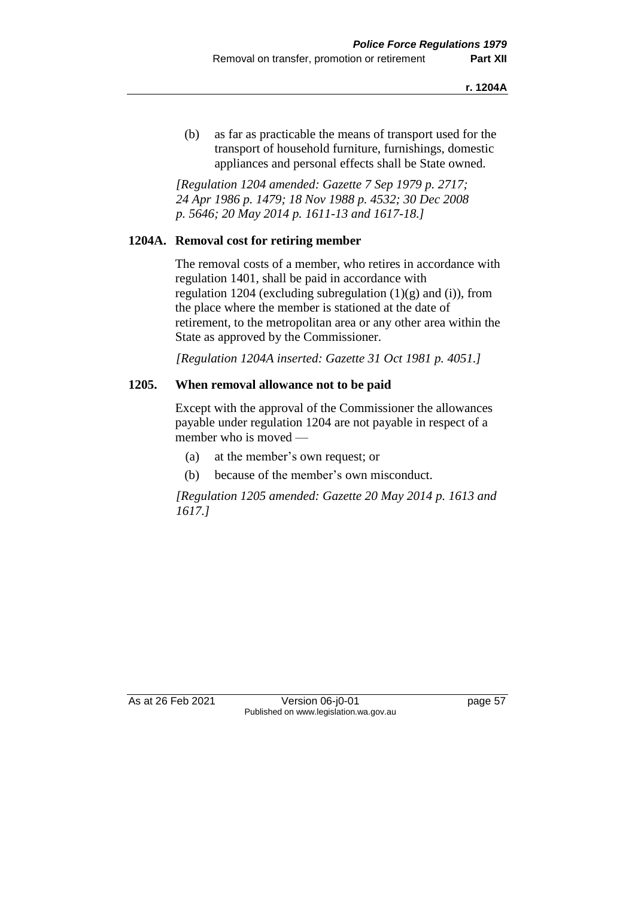(b) as far as practicable the means of transport used for the transport of household furniture, furnishings, domestic appliances and personal effects shall be State owned.

*[Regulation 1204 amended: Gazette 7 Sep 1979 p. 2717; 24 Apr 1986 p. 1479; 18 Nov 1988 p. 4532; 30 Dec 2008 p. 5646; 20 May 2014 p. 1611-13 and 1617-18.]*

# **1204A. Removal cost for retiring member**

The removal costs of a member, who retires in accordance with regulation 1401, shall be paid in accordance with regulation 1204 (excluding subregulation  $(1)(g)$  and  $(i)$ ), from the place where the member is stationed at the date of retirement, to the metropolitan area or any other area within the State as approved by the Commissioner.

*[Regulation 1204A inserted: Gazette 31 Oct 1981 p. 4051.]*

## **1205. When removal allowance not to be paid**

Except with the approval of the Commissioner the allowances payable under regulation 1204 are not payable in respect of a member who is moved —

- (a) at the member's own request; or
- (b) because of the member's own misconduct.

*[Regulation 1205 amended: Gazette 20 May 2014 p. 1613 and 1617.]*

As at 26 Feb 2021 Version 06-j0-01 page 57 Published on www.legislation.wa.gov.au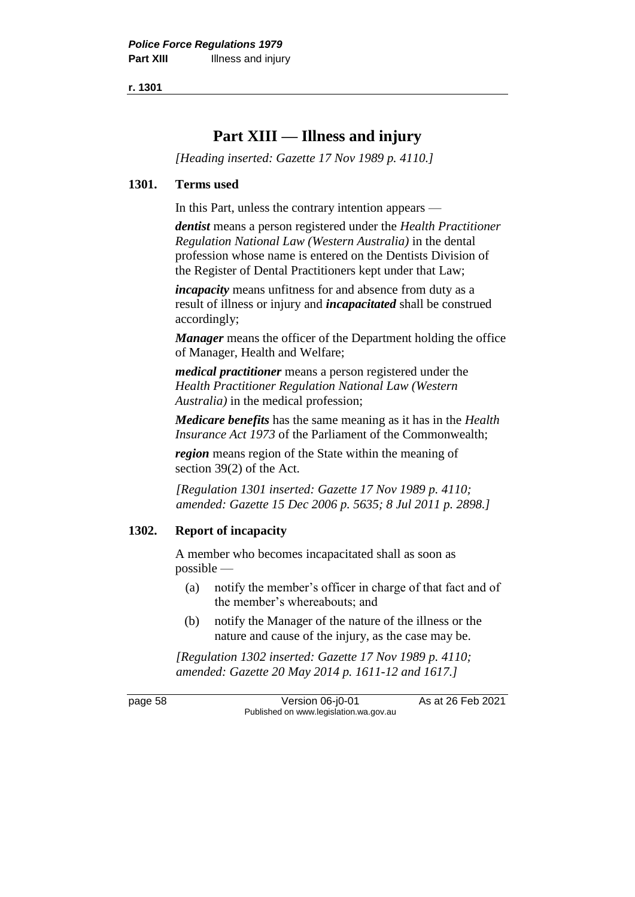# **Part XIII — Illness and injury**

*[Heading inserted: Gazette 17 Nov 1989 p. 4110.]*

#### **1301. Terms used**

In this Part, unless the contrary intention appears —

*dentist* means a person registered under the *Health Practitioner Regulation National Law (Western Australia)* in the dental profession whose name is entered on the Dentists Division of the Register of Dental Practitioners kept under that Law;

*incapacity* means unfitness for and absence from duty as a result of illness or injury and *incapacitated* shall be construed accordingly;

*Manager* means the officer of the Department holding the office of Manager, Health and Welfare;

*medical practitioner* means a person registered under the *Health Practitioner Regulation National Law (Western Australia)* in the medical profession;

*Medicare benefits* has the same meaning as it has in the *Health Insurance Act 1973* of the Parliament of the Commonwealth;

*region* means region of the State within the meaning of section 39(2) of the Act.

*[Regulation 1301 inserted: Gazette 17 Nov 1989 p. 4110; amended: Gazette 15 Dec 2006 p. 5635; 8 Jul 2011 p. 2898.]*

# **1302. Report of incapacity**

A member who becomes incapacitated shall as soon as possible —

- (a) notify the member's officer in charge of that fact and of the member's whereabouts; and
- (b) notify the Manager of the nature of the illness or the nature and cause of the injury, as the case may be.

*[Regulation 1302 inserted: Gazette 17 Nov 1989 p. 4110; amended: Gazette 20 May 2014 p. 1611-12 and 1617.]*

page 58 Version 06-j0-01 As at 26 Feb 2021 Published on www.legislation.wa.gov.au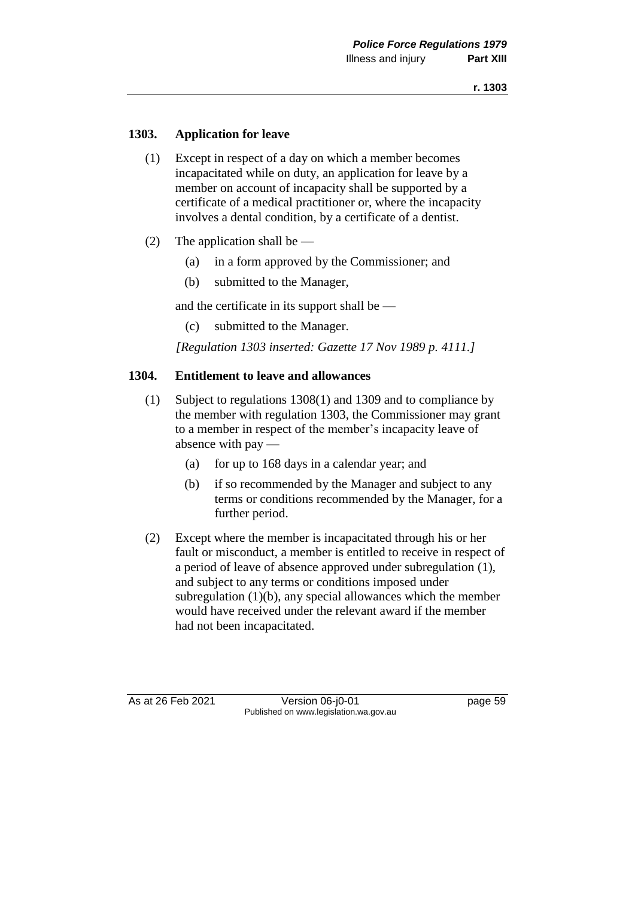# **1303. Application for leave**

- (1) Except in respect of a day on which a member becomes incapacitated while on duty, an application for leave by a member on account of incapacity shall be supported by a certificate of a medical practitioner or, where the incapacity involves a dental condition, by a certificate of a dentist.
- (2) The application shall be
	- (a) in a form approved by the Commissioner; and
	- (b) submitted to the Manager,

and the certificate in its support shall be —

(c) submitted to the Manager.

*[Regulation 1303 inserted: Gazette 17 Nov 1989 p. 4111.]*

## **1304. Entitlement to leave and allowances**

- (1) Subject to regulations 1308(1) and 1309 and to compliance by the member with regulation 1303, the Commissioner may grant to a member in respect of the member's incapacity leave of absence with pay —
	- (a) for up to 168 days in a calendar year; and
	- (b) if so recommended by the Manager and subject to any terms or conditions recommended by the Manager, for a further period.
- (2) Except where the member is incapacitated through his or her fault or misconduct, a member is entitled to receive in respect of a period of leave of absence approved under subregulation (1), and subject to any terms or conditions imposed under subregulation (1)(b), any special allowances which the member would have received under the relevant award if the member had not been incapacitated.

As at 26 Feb 2021 Version 06-j0-01 page 59 Published on www.legislation.wa.gov.au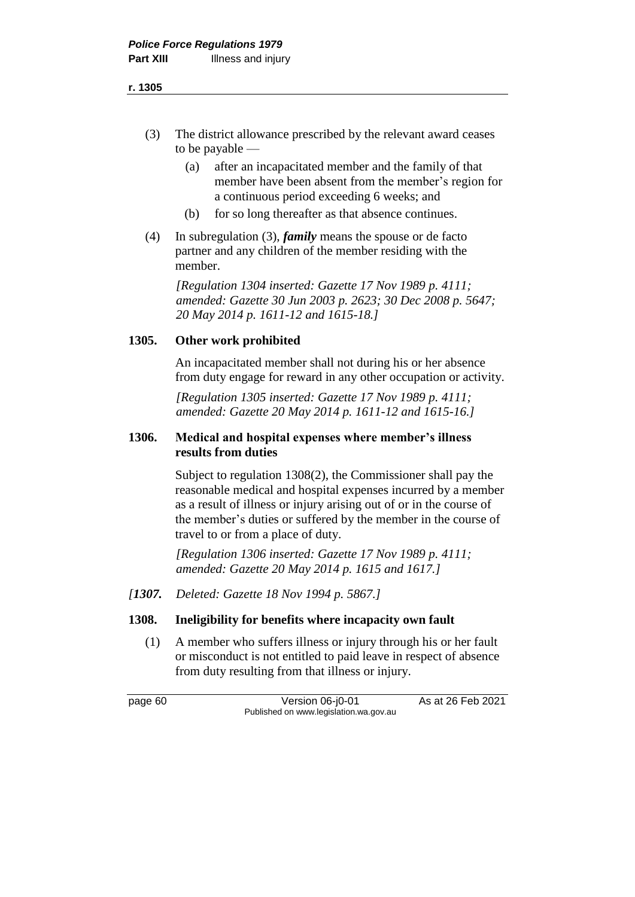- (3) The district allowance prescribed by the relevant award ceases to be payable —
	- (a) after an incapacitated member and the family of that member have been absent from the member's region for a continuous period exceeding 6 weeks; and
	- (b) for so long thereafter as that absence continues.
- (4) In subregulation (3), *family* means the spouse or de facto partner and any children of the member residing with the member.

*[Regulation 1304 inserted: Gazette 17 Nov 1989 p. 4111; amended: Gazette 30 Jun 2003 p. 2623; 30 Dec 2008 p. 5647; 20 May 2014 p. 1611-12 and 1615-18.]*

# **1305. Other work prohibited**

An incapacitated member shall not during his or her absence from duty engage for reward in any other occupation or activity.

*[Regulation 1305 inserted: Gazette 17 Nov 1989 p. 4111; amended: Gazette 20 May 2014 p. 1611-12 and 1615-16.]*

## **1306. Medical and hospital expenses where member's illness results from duties**

Subject to regulation 1308(2), the Commissioner shall pay the reasonable medical and hospital expenses incurred by a member as a result of illness or injury arising out of or in the course of the member's duties or suffered by the member in the course of travel to or from a place of duty.

*[Regulation 1306 inserted: Gazette 17 Nov 1989 p. 4111; amended: Gazette 20 May 2014 p. 1615 and 1617.]*

*[1307. Deleted: Gazette 18 Nov 1994 p. 5867.]*

# **1308. Ineligibility for benefits where incapacity own fault**

(1) A member who suffers illness or injury through his or her fault or misconduct is not entitled to paid leave in respect of absence from duty resulting from that illness or injury.

page 60 Version 06-j0-01 As at 26 Feb 2021 Published on www.legislation.wa.gov.au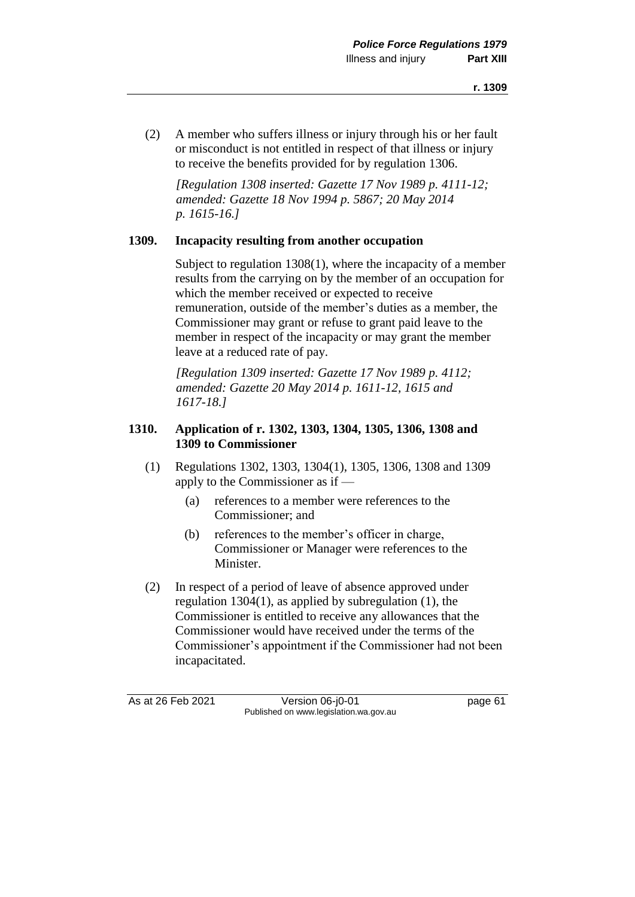(2) A member who suffers illness or injury through his or her fault or misconduct is not entitled in respect of that illness or injury to receive the benefits provided for by regulation 1306.

*[Regulation 1308 inserted: Gazette 17 Nov 1989 p. 4111-12; amended: Gazette 18 Nov 1994 p. 5867; 20 May 2014 p. 1615-16.]*

## **1309. Incapacity resulting from another occupation**

Subject to regulation 1308(1), where the incapacity of a member results from the carrying on by the member of an occupation for which the member received or expected to receive remuneration, outside of the member's duties as a member, the Commissioner may grant or refuse to grant paid leave to the member in respect of the incapacity or may grant the member leave at a reduced rate of pay.

*[Regulation 1309 inserted: Gazette 17 Nov 1989 p. 4112; amended: Gazette 20 May 2014 p. 1611-12, 1615 and 1617-18.]*

# **1310. Application of r. 1302, 1303, 1304, 1305, 1306, 1308 and 1309 to Commissioner**

- (1) Regulations 1302, 1303, 1304(1), 1305, 1306, 1308 and 1309 apply to the Commissioner as if —
	- (a) references to a member were references to the Commissioner; and
	- (b) references to the member's officer in charge, Commissioner or Manager were references to the Minister.
- (2) In respect of a period of leave of absence approved under regulation 1304(1), as applied by subregulation (1), the Commissioner is entitled to receive any allowances that the Commissioner would have received under the terms of the Commissioner's appointment if the Commissioner had not been incapacitated.

As at 26 Feb 2021 Version 06-j0-01 page 61 Published on www.legislation.wa.gov.au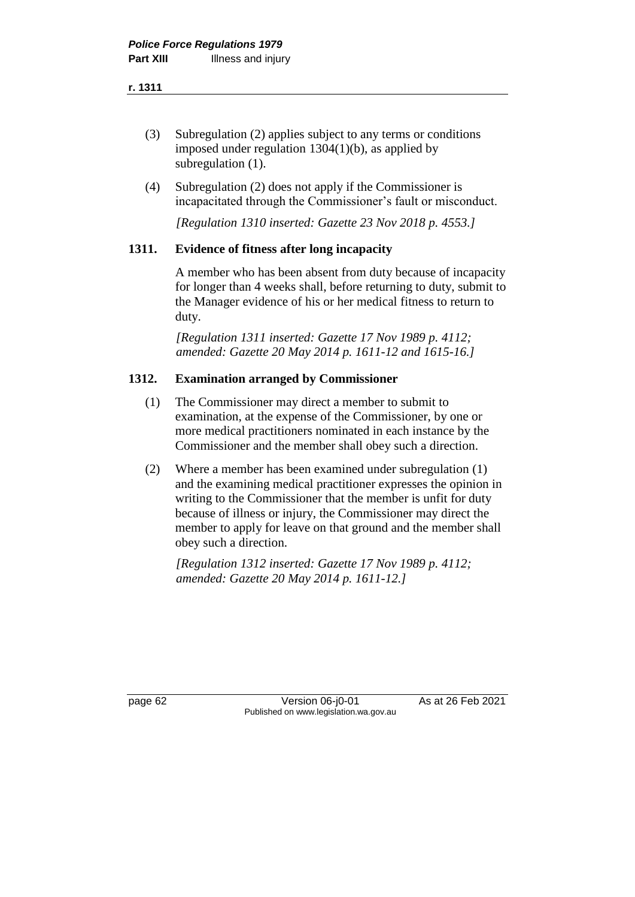- (3) Subregulation (2) applies subject to any terms or conditions imposed under regulation 1304(1)(b), as applied by subregulation  $(1)$ .
- (4) Subregulation (2) does not apply if the Commissioner is incapacitated through the Commissioner's fault or misconduct.

*[Regulation 1310 inserted: Gazette 23 Nov 2018 p. 4553.]*

# **1311. Evidence of fitness after long incapacity**

A member who has been absent from duty because of incapacity for longer than 4 weeks shall, before returning to duty, submit to the Manager evidence of his or her medical fitness to return to duty.

*[Regulation 1311 inserted: Gazette 17 Nov 1989 p. 4112; amended: Gazette 20 May 2014 p. 1611-12 and 1615-16.]*

## **1312. Examination arranged by Commissioner**

- (1) The Commissioner may direct a member to submit to examination, at the expense of the Commissioner, by one or more medical practitioners nominated in each instance by the Commissioner and the member shall obey such a direction.
- (2) Where a member has been examined under subregulation (1) and the examining medical practitioner expresses the opinion in writing to the Commissioner that the member is unfit for duty because of illness or injury, the Commissioner may direct the member to apply for leave on that ground and the member shall obey such a direction.

*[Regulation 1312 inserted: Gazette 17 Nov 1989 p. 4112; amended: Gazette 20 May 2014 p. 1611-12.]*

page 62 Version 06-j0-01 As at 26 Feb 2021 Published on www.legislation.wa.gov.au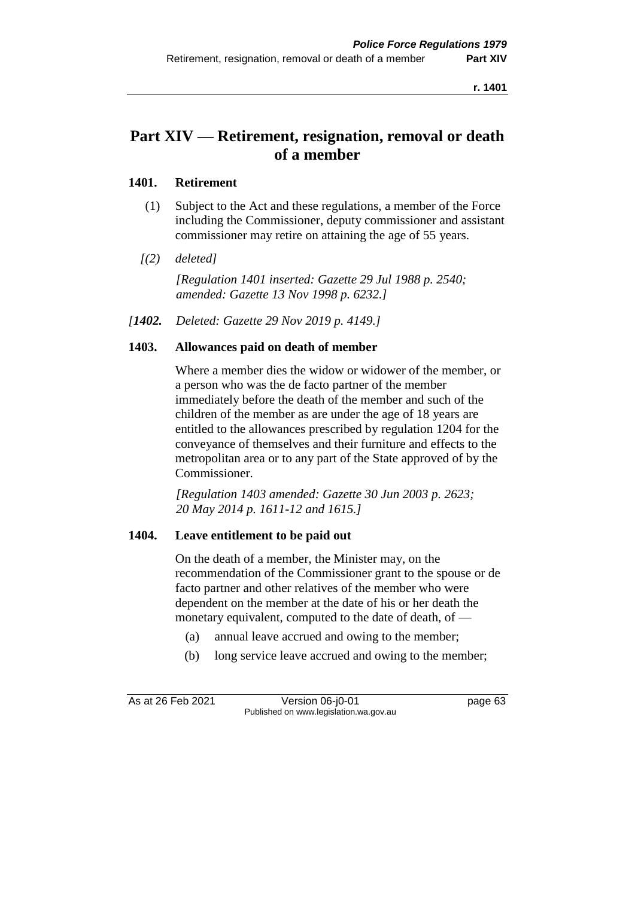# **Part XIV — Retirement, resignation, removal or death of a member**

## **1401. Retirement**

- (1) Subject to the Act and these regulations, a member of the Force including the Commissioner, deputy commissioner and assistant commissioner may retire on attaining the age of 55 years.
- *[(2) deleted]*

*[Regulation 1401 inserted: Gazette 29 Jul 1988 p. 2540; amended: Gazette 13 Nov 1998 p. 6232.]*

*[1402. Deleted: Gazette 29 Nov 2019 p. 4149.]*

# **1403. Allowances paid on death of member**

Where a member dies the widow or widower of the member, or a person who was the de facto partner of the member immediately before the death of the member and such of the children of the member as are under the age of 18 years are entitled to the allowances prescribed by regulation 1204 for the conveyance of themselves and their furniture and effects to the metropolitan area or to any part of the State approved of by the Commissioner.

*[Regulation 1403 amended: Gazette 30 Jun 2003 p. 2623; 20 May 2014 p. 1611-12 and 1615.]*

#### **1404. Leave entitlement to be paid out**

On the death of a member, the Minister may, on the recommendation of the Commissioner grant to the spouse or de facto partner and other relatives of the member who were dependent on the member at the date of his or her death the monetary equivalent, computed to the date of death, of —

- (a) annual leave accrued and owing to the member;
- (b) long service leave accrued and owing to the member;

As at 26 Feb 2021 Version 06-j0-01 page 63 Published on www.legislation.wa.gov.au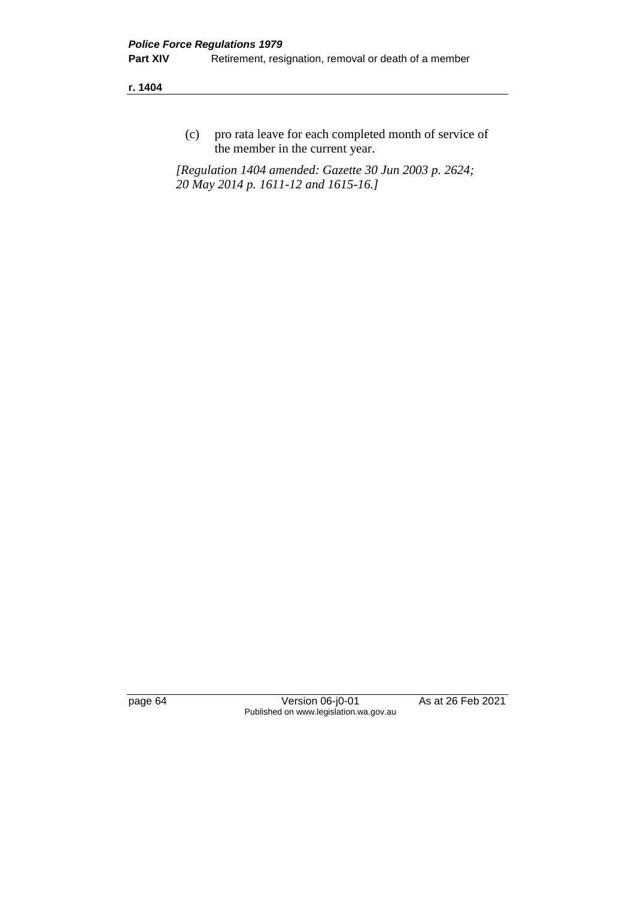(c) pro rata leave for each completed month of service of the member in the current year.

*[Regulation 1404 amended: Gazette 30 Jun 2003 p. 2624; 20 May 2014 p. 1611-12 and 1615-16.]*

page 64 Version 06-j0-01 As at 26 Feb 2021 Published on www.legislation.wa.gov.au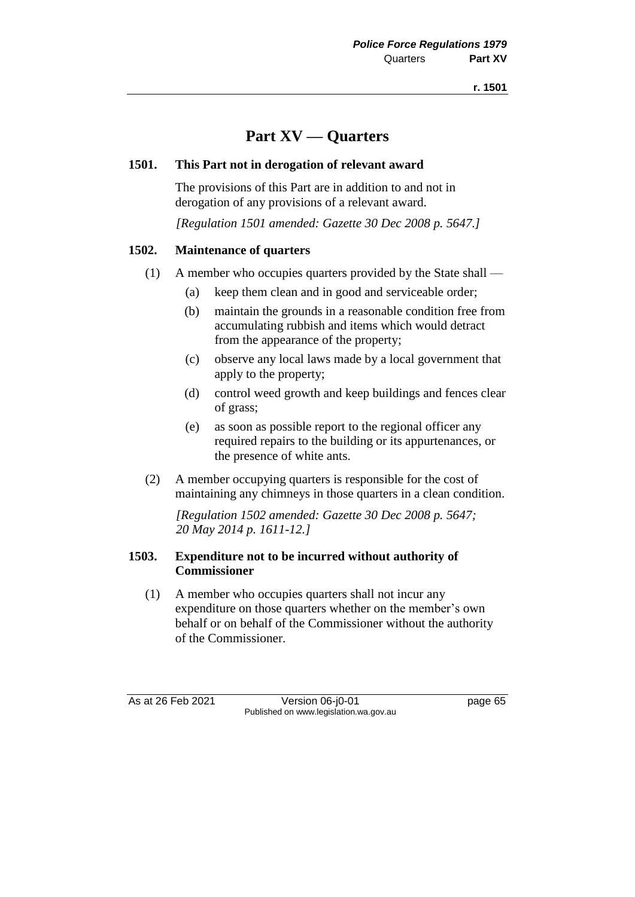## **Part XV — Quarters**

### **1501. This Part not in derogation of relevant award**

The provisions of this Part are in addition to and not in derogation of any provisions of a relevant award.

*[Regulation 1501 amended: Gazette 30 Dec 2008 p. 5647.]*

### **1502. Maintenance of quarters**

- (1) A member who occupies quarters provided by the State shall
	- (a) keep them clean and in good and serviceable order;
	- (b) maintain the grounds in a reasonable condition free from accumulating rubbish and items which would detract from the appearance of the property;
	- (c) observe any local laws made by a local government that apply to the property;
	- (d) control weed growth and keep buildings and fences clear of grass;
	- (e) as soon as possible report to the regional officer any required repairs to the building or its appurtenances, or the presence of white ants.
- (2) A member occupying quarters is responsible for the cost of maintaining any chimneys in those quarters in a clean condition.

*[Regulation 1502 amended: Gazette 30 Dec 2008 p. 5647; 20 May 2014 p. 1611-12.]*

### **1503. Expenditure not to be incurred without authority of Commissioner**

(1) A member who occupies quarters shall not incur any expenditure on those quarters whether on the member's own behalf or on behalf of the Commissioner without the authority of the Commissioner.

As at 26 Feb 2021 Version 06-j0-01 page 65 Published on www.legislation.wa.gov.au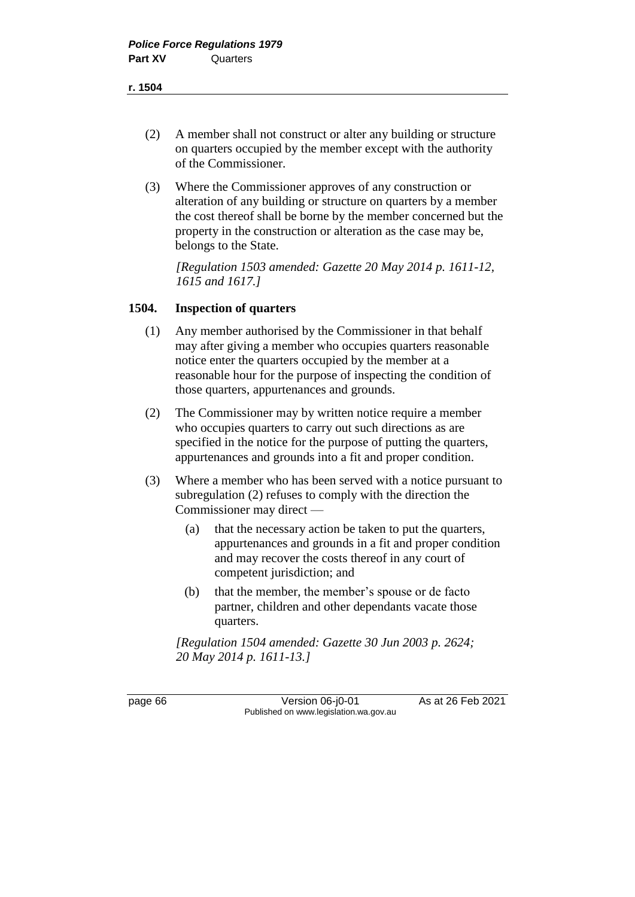- (2) A member shall not construct or alter any building or structure on quarters occupied by the member except with the authority of the Commissioner.
- (3) Where the Commissioner approves of any construction or alteration of any building or structure on quarters by a member the cost thereof shall be borne by the member concerned but the property in the construction or alteration as the case may be, belongs to the State.

*[Regulation 1503 amended: Gazette 20 May 2014 p. 1611-12, 1615 and 1617.]*

#### **1504. Inspection of quarters**

- (1) Any member authorised by the Commissioner in that behalf may after giving a member who occupies quarters reasonable notice enter the quarters occupied by the member at a reasonable hour for the purpose of inspecting the condition of those quarters, appurtenances and grounds.
- (2) The Commissioner may by written notice require a member who occupies quarters to carry out such directions as are specified in the notice for the purpose of putting the quarters, appurtenances and grounds into a fit and proper condition.
- (3) Where a member who has been served with a notice pursuant to subregulation (2) refuses to comply with the direction the Commissioner may direct —
	- (a) that the necessary action be taken to put the quarters, appurtenances and grounds in a fit and proper condition and may recover the costs thereof in any court of competent jurisdiction; and
	- (b) that the member, the member's spouse or de facto partner, children and other dependants vacate those quarters.

*[Regulation 1504 amended: Gazette 30 Jun 2003 p. 2624; 20 May 2014 p. 1611-13.]*

page 66 Version 06-j0-01 As at 26 Feb 2021 Published on www.legislation.wa.gov.au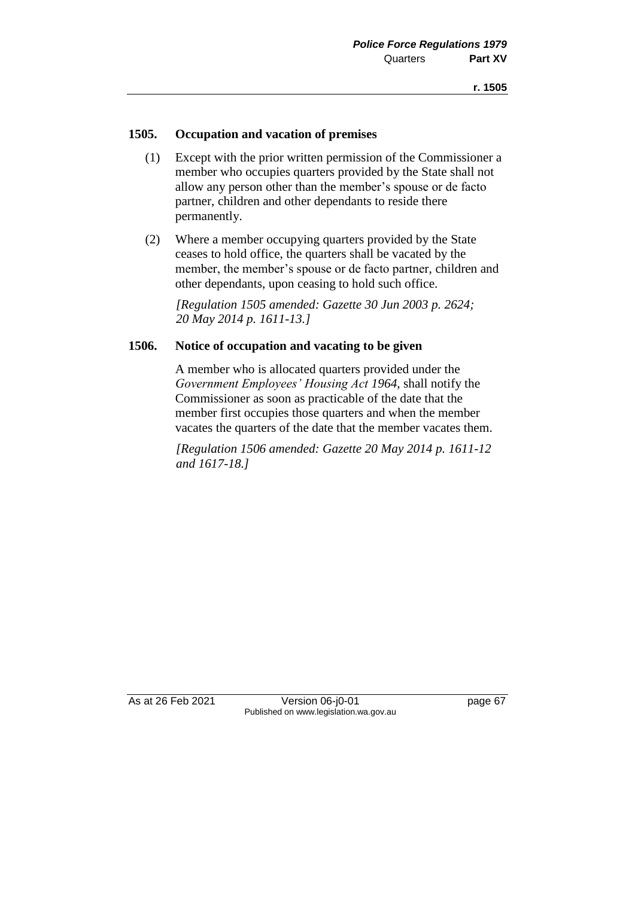### **1505. Occupation and vacation of premises**

- (1) Except with the prior written permission of the Commissioner a member who occupies quarters provided by the State shall not allow any person other than the member's spouse or de facto partner, children and other dependants to reside there permanently.
- (2) Where a member occupying quarters provided by the State ceases to hold office, the quarters shall be vacated by the member, the member's spouse or de facto partner, children and other dependants, upon ceasing to hold such office.

*[Regulation 1505 amended: Gazette 30 Jun 2003 p. 2624; 20 May 2014 p. 1611-13.]*

### **1506. Notice of occupation and vacating to be given**

A member who is allocated quarters provided under the *Government Employees' Housing Act 1964*, shall notify the Commissioner as soon as practicable of the date that the member first occupies those quarters and when the member vacates the quarters of the date that the member vacates them.

*[Regulation 1506 amended: Gazette 20 May 2014 p. 1611-12 and 1617-18.]*

As at 26 Feb 2021 Version 06-j0-01 page 67 Published on www.legislation.wa.gov.au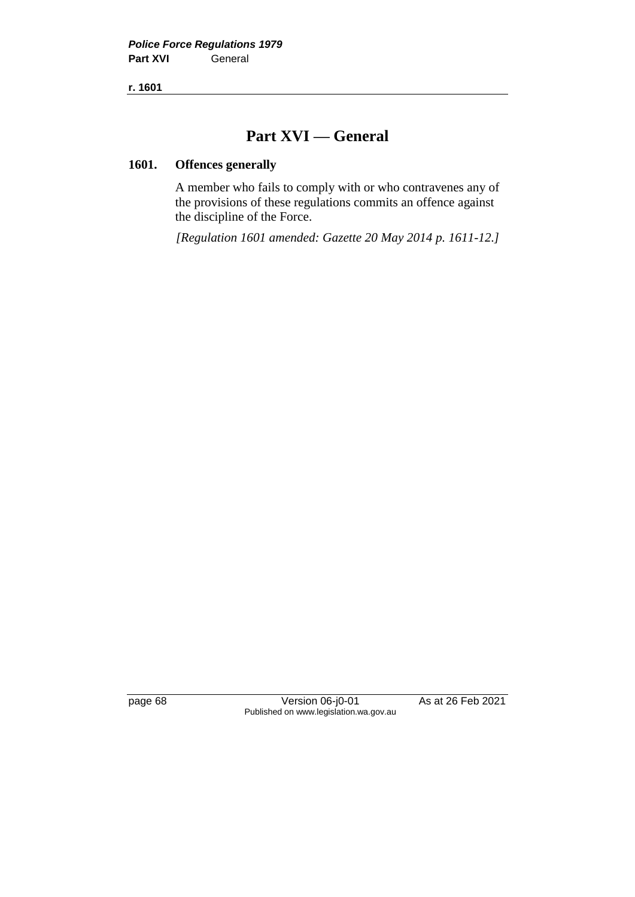**r. 1601**

## **Part XVI — General**

### **1601. Offences generally**

A member who fails to comply with or who contravenes any of the provisions of these regulations commits an offence against the discipline of the Force.

*[Regulation 1601 amended: Gazette 20 May 2014 p. 1611-12.]*

page 68 Version 06-j0-01 As at 26 Feb 2021 Published on www.legislation.wa.gov.au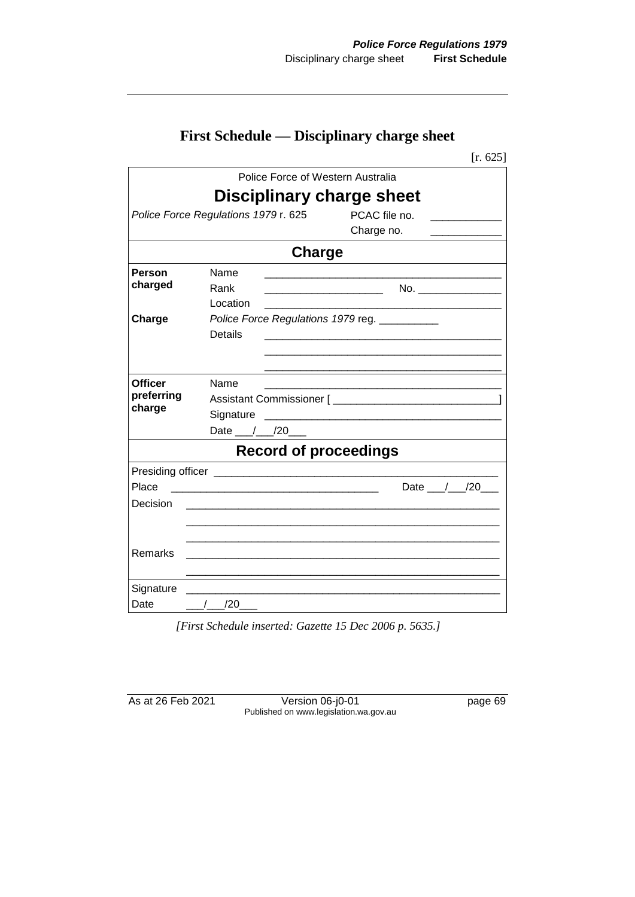| <b>First Schedule — Disciplinary charge sheet</b> |  |  |
|---------------------------------------------------|--|--|
|---------------------------------------------------|--|--|

|                |                                                                     | [ $r. 625$ ]                                                                                                         |
|----------------|---------------------------------------------------------------------|----------------------------------------------------------------------------------------------------------------------|
|                | Police Force of Western Australia                                   |                                                                                                                      |
|                | <b>Disciplinary charge sheet</b>                                    |                                                                                                                      |
|                | Police Force Regulations 1979 r. 625                                | PCAC file no.                                                                                                        |
|                |                                                                     | Charge no.                                                                                                           |
|                | <b>Charge</b>                                                       |                                                                                                                      |
| Person         | Name                                                                |                                                                                                                      |
| charged        | Rank                                                                | the contract of the contract of the contract of the contract of                                                      |
|                | Location                                                            |                                                                                                                      |
| Charge         | Police Force Regulations 1979 reg. __________                       |                                                                                                                      |
|                | <b>Details</b>                                                      |                                                                                                                      |
|                |                                                                     |                                                                                                                      |
| <b>Officer</b> | Name                                                                |                                                                                                                      |
| preferring     |                                                                     |                                                                                                                      |
| charge         |                                                                     |                                                                                                                      |
|                | Date $_{\_\_\/$ /20                                                 |                                                                                                                      |
|                | <b>Record of proceedings</b>                                        |                                                                                                                      |
|                |                                                                     |                                                                                                                      |
| Place          | <u> 1980 - Jan Barnett, fransk konge en forsk politik (f. 1980)</u> | Date $/20$                                                                                                           |
| Decision       |                                                                     |                                                                                                                      |
|                |                                                                     |                                                                                                                      |
|                |                                                                     |                                                                                                                      |
| Remarks        |                                                                     | <u> 1989 - Johann John Stone, mensk politik en beskrivet foar it fan de fan de fan de fan de fan de fan de fan d</u> |
|                |                                                                     |                                                                                                                      |
| Signature      |                                                                     |                                                                                                                      |
| Date           | $/$ $/20$                                                           |                                                                                                                      |

*[First Schedule inserted: Gazette 15 Dec 2006 p. 5635.]*

As at 26 Feb 2021 Version 06-j0-01 page 69 Published on www.legislation.wa.gov.au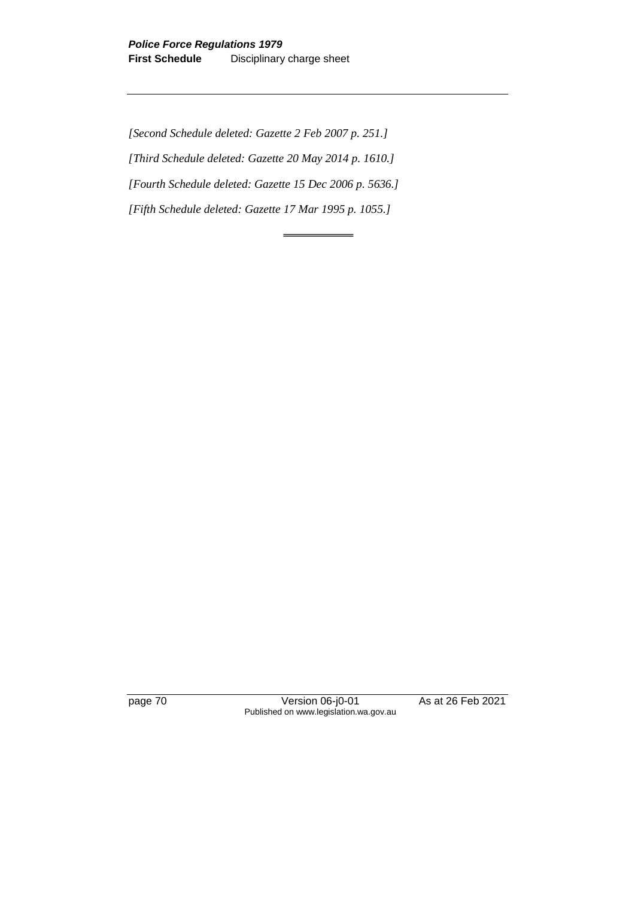*[Second Schedule deleted: Gazette 2 Feb 2007 p. 251.] [Third Schedule deleted: Gazette 20 May 2014 p. 1610.] [Fourth Schedule deleted: Gazette 15 Dec 2006 p. 5636.] [Fifth Schedule deleted: Gazette 17 Mar 1995 p. 1055.]*

page 70 Version 06-j0-01 As at 26 Feb 2021 Published on www.legislation.wa.gov.au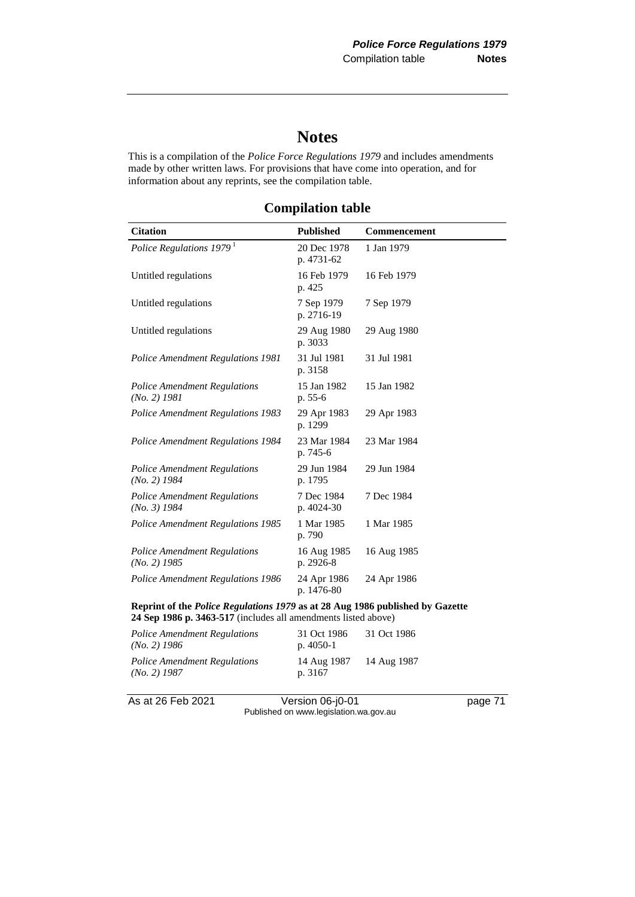# **Notes**

This is a compilation of the *Police Force Regulations 1979* and includes amendments made by other written laws. For provisions that have come into operation, and for information about any reprints, see the compilation table.

| <b>Citation</b>                                                                                                                                 | <b>Published</b>          | Commencement |
|-------------------------------------------------------------------------------------------------------------------------------------------------|---------------------------|--------------|
| Police Regulations 1979 <sup>1</sup>                                                                                                            | 20 Dec 1978<br>p. 4731-62 | 1 Jan 1979   |
| Untitled regulations                                                                                                                            | 16 Feb 1979<br>p. 425     | 16 Feb 1979  |
| Untitled regulations                                                                                                                            | 7 Sep 1979<br>p. 2716-19  | 7 Sep 1979   |
| Untitled regulations                                                                                                                            | 29 Aug 1980<br>p. 3033    | 29 Aug 1980  |
| <b>Police Amendment Regulations 1981</b>                                                                                                        | 31 Jul 1981<br>p. 3158    | 31 Jul 1981  |
| <b>Police Amendment Regulations</b><br>$(No. 2)$ 1981                                                                                           | 15 Jan 1982<br>p. 55-6    | 15 Jan 1982  |
| <b>Police Amendment Regulations 1983</b>                                                                                                        | 29 Apr 1983<br>p. 1299    | 29 Apr 1983  |
| Police Amendment Regulations 1984                                                                                                               | 23 Mar 1984<br>p. 745-6   | 23 Mar 1984  |
| <b>Police Amendment Regulations</b><br>$(No. 2)$ 1984                                                                                           | 29 Jun 1984<br>p. 1795    | 29 Jun 1984  |
| <b>Police Amendment Regulations</b><br>$(No. 3)$ 1984                                                                                           | 7 Dec 1984<br>p. 4024-30  | 7 Dec 1984   |
| Police Amendment Regulations 1985                                                                                                               | 1 Mar 1985<br>p. 790      | 1 Mar 1985   |
| <b>Police Amendment Regulations</b><br>$(No. 2)$ 1985                                                                                           | 16 Aug 1985<br>p. 2926-8  | 16 Aug 1985  |
| Police Amendment Regulations 1986                                                                                                               | 24 Apr 1986<br>p. 1476-80 | 24 Apr 1986  |
| Reprint of the Police Regulations 1979 as at 28 Aug 1986 published by Gazette<br>24 Sep 1986 p. 3463-517 (includes all amendments listed above) |                           |              |

**Compilation table**

*Police Amendment Regulations (No. 2) 1986* 31 Oct 1986 p. 4050-1 31 Oct 1986 *Police Amendment Regulations (No. 2) 1987* 14 Aug 1987 p. 3167 14 Aug 1987

As at 26 Feb 2021 Version 06-j0-01 page 71

Published on www.legislation.wa.gov.au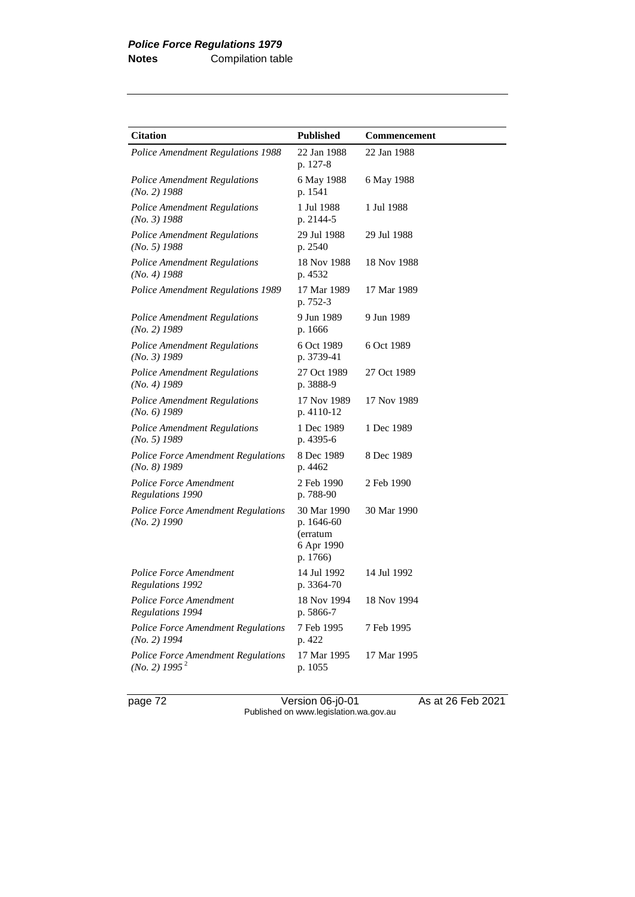| <b>Citation</b>                                                        | <b>Published</b>                                                | Commencement |
|------------------------------------------------------------------------|-----------------------------------------------------------------|--------------|
| <b>Police Amendment Regulations 1988</b>                               | 22 Jan 1988<br>p. 127-8                                         | 22 Jan 1988  |
| <b>Police Amendment Regulations</b><br>$(No. 2)$ 1988                  | 6 May 1988<br>p. 1541                                           | 6 May 1988   |
| <b>Police Amendment Regulations</b><br>$(No. 3)$ 1988                  | 1 Jul 1988<br>p. 2144-5                                         | 1 Jul 1988   |
| <b>Police Amendment Regulations</b><br>$(No. 5)$ 1988                  | 29 Jul 1988<br>p. 2540                                          | 29 Jul 1988  |
| <b>Police Amendment Regulations</b><br>$(No. 4)$ 1988                  | 18 Nov 1988<br>p. 4532                                          | 18 Nov 1988  |
| Police Amendment Regulations 1989                                      | 17 Mar 1989<br>p. 752-3                                         | 17 Mar 1989  |
| <b>Police Amendment Regulations</b><br>$(No. 2)$ 1989                  | 9 Jun 1989<br>p. 1666                                           | 9 Jun 1989   |
| <b>Police Amendment Regulations</b><br>$(No. 3)$ 1989                  | 6 Oct 1989<br>p. 3739-41                                        | 6 Oct 1989   |
| <b>Police Amendment Regulations</b><br>$(No. 4)$ 1989                  | 27 Oct 1989<br>p. 3888-9                                        | 27 Oct 1989  |
| <b>Police Amendment Regulations</b><br>$(No. 6)$ 1989                  | 17 Nov 1989<br>p. 4110-12                                       | 17 Nov 1989  |
| <b>Police Amendment Regulations</b><br>$(No. 5)$ 1989                  | 1 Dec 1989<br>p. 4395-6                                         | 1 Dec 1989   |
| <b>Police Force Amendment Regulations</b><br>$(No, 8)$ 1989            | 8 Dec 1989<br>p. 4462                                           | 8 Dec 1989   |
| <b>Police Force Amendment</b><br>Regulations 1990                      | 2 Feb 1990<br>p. 788-90                                         | 2 Feb 1990   |
| <b>Police Force Amendment Regulations</b><br>$(No. 2)$ 1990            | 30 Mar 1990<br>p. 1646-60<br>(erratum<br>6 Apr 1990<br>p. 1766) | 30 Mar 1990  |
| <b>Police Force Amendment</b><br>Regulations 1992                      | 14 Jul 1992<br>p. 3364-70                                       | 14 Jul 1992  |
| <b>Police Force Amendment</b><br><b>Regulations 1994</b>               | 18 Nov 1994<br>p. 5866-7                                        | 18 Nov 1994  |
| <b>Police Force Amendment Regulations</b><br>$(No. 2)$ 1994            | 7 Feb 1995<br>p. 422                                            | 7 Feb 1995   |
| <b>Police Force Amendment Regulations</b><br>(No. 2) 1995 <sup>2</sup> | 17 Mar 1995<br>p. 1055                                          | 17 Mar 1995  |

page 72 Version 06-j0-01 As at 26 Feb 2021 Published on www.legislation.wa.gov.au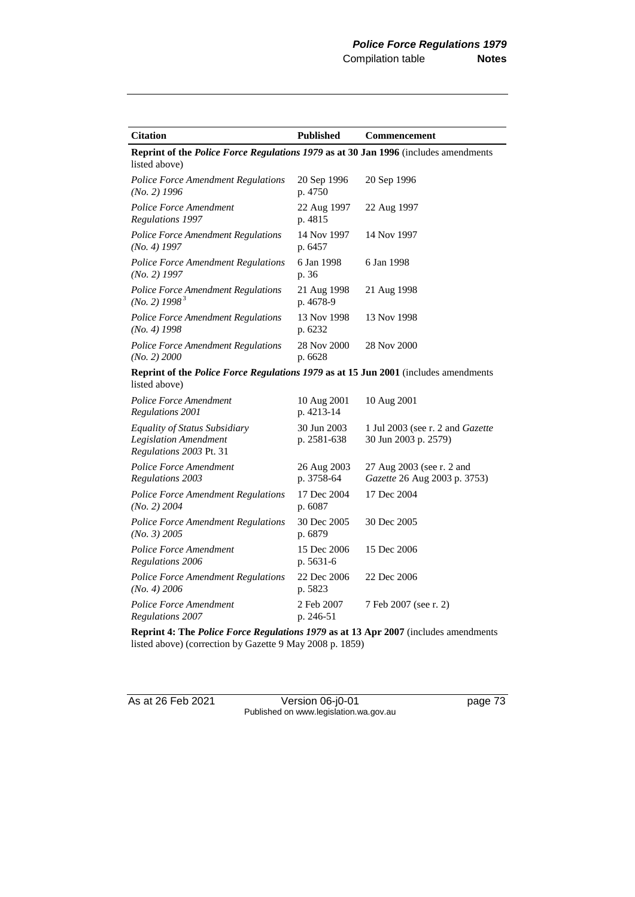| <b>Citation</b>                                                                                             | <b>Published</b>           | <b>Commencement</b>                                       |
|-------------------------------------------------------------------------------------------------------------|----------------------------|-----------------------------------------------------------|
| Reprint of the <i>Police Force Regulations 1979</i> as at 30 Jan 1996 (includes amendments<br>listed above) |                            |                                                           |
| <b>Police Force Amendment Regulations</b><br>$(No. 2)$ 1996                                                 | 20 Sep 1996<br>p. 4750     | 20 Sep 1996                                               |
| Police Force Amendment<br>Regulations 1997                                                                  | 22 Aug 1997<br>p. 4815     | 22 Aug 1997                                               |
| Police Force Amendment Regulations<br>$(No. 4)$ 1997                                                        | 14 Nov 1997<br>p. 6457     | 14 Nov 1997                                               |
| <b>Police Force Amendment Regulations</b><br>$(No. 2)$ 1997                                                 | 6 Jan 1998<br>p. 36        | 6 Jan 1998                                                |
| Police Force Amendment Regulations<br>(No. 2) 1998 <sup>3</sup>                                             | 21 Aug 1998<br>p. 4678-9   | 21 Aug 1998                                               |
| Police Force Amendment Regulations<br>$(No. 4)$ 1998                                                        | 13 Nov 1998<br>p. 6232     | 13 Nov 1998                                               |
| Police Force Amendment Regulations<br>(No. 2) 2000                                                          | 28 Nov 2000<br>p. 6628     | 28 Nov 2000                                               |
| Reprint of the <i>Police Force Regulations 1979</i> as at 15 Jun 2001 (includes amendments<br>listed above) |                            |                                                           |
| Police Force Amendment<br>Regulations 2001                                                                  | 10 Aug 2001<br>p. 4213-14  | 10 Aug 2001                                               |
| Equality of Status Subsidiary<br><b>Legislation Amendment</b><br>Regulations 2003 Pt. 31                    | 30 Jun 2003<br>p. 2581-638 | 1 Jul 2003 (see r. 2 and Gazette<br>30 Jun 2003 p. 2579)  |
| <b>Police Force Amendment</b><br>Regulations 2003                                                           | 26 Aug 2003<br>p. 3758-64  | 27 Aug 2003 (see r. 2 and<br>Gazette 26 Aug 2003 p. 3753) |
| <b>Police Force Amendment Regulations</b><br>$(No. 2)$ 2004                                                 | 17 Dec 2004<br>p. 6087     | 17 Dec 2004                                               |
| <b>Police Force Amendment Regulations</b><br>(No. 3) 2005                                                   | 30 Dec 2005<br>p. 6879     | 30 Dec 2005                                               |
| Police Force Amendment<br>Regulations 2006                                                                  | 15 Dec 2006<br>p. 5631-6   | 15 Dec 2006                                               |
| <b>Police Force Amendment Regulations</b><br>(No. 4) 2006                                                   | 22 Dec 2006<br>p. 5823     | 22 Dec 2006                                               |
| Police Force Amendment<br>Regulations 2007                                                                  | 2 Feb 2007<br>p. 246-51    | 7 Feb 2007 (see r. 2)                                     |

**Reprint 4: The** *Police Force Regulations 1979* **as at 13 Apr 2007** (includes amendments listed above) (correction by Gazette 9 May 2008 p. 1859)

As at 26 Feb 2021 Version 06-j0-01 page 73 Published on www.legislation.wa.gov.au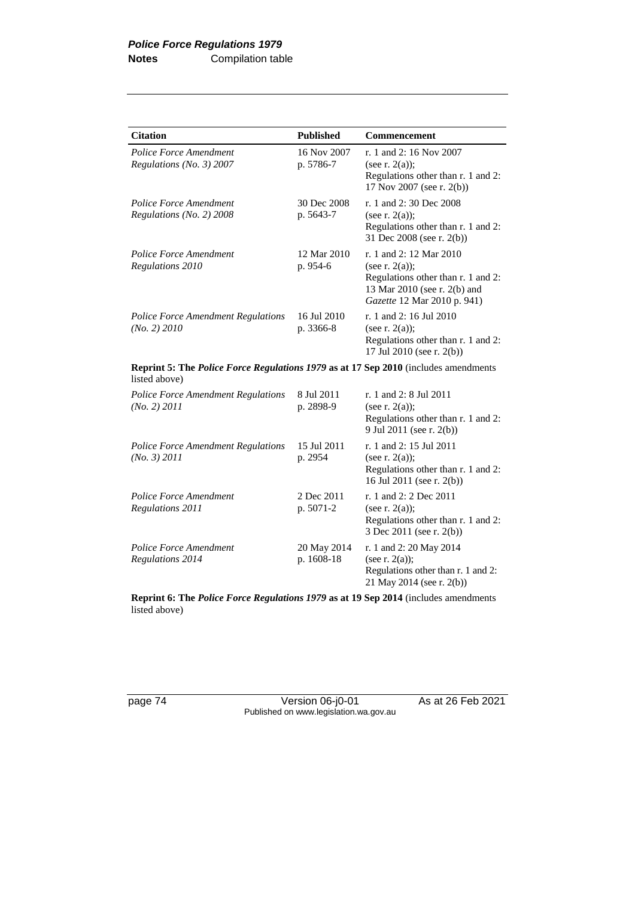| <b>Citation</b>                                                                                             | <b>Published</b>          | Commencement                                                                                                                                      |
|-------------------------------------------------------------------------------------------------------------|---------------------------|---------------------------------------------------------------------------------------------------------------------------------------------------|
| Police Force Amendment<br>Regulations (No. 3) 2007                                                          | 16 Nov 2007<br>p. 5786-7  | r. 1 and 2: 16 Nov 2007<br>(see r. $2(a)$ );<br>Regulations other than r. 1 and 2:<br>17 Nov 2007 (see r. 2(b))                                   |
| Police Force Amendment<br>Regulations (No. 2) 2008                                                          | 30 Dec 2008<br>p. 5643-7  | r. 1 and 2:30 Dec 2008<br>(see r. $2(a)$ );<br>Regulations other than r. 1 and 2:<br>31 Dec 2008 (see r. 2(b))                                    |
| <b>Police Force Amendment</b><br>Regulations 2010                                                           | 12 Mar 2010<br>p. 954-6   | r. 1 and 2: 12 Mar 2010<br>(see r. $2(a)$ );<br>Regulations other than r. 1 and 2:<br>13 Mar 2010 (see r. 2(b) and<br>Gazette 12 Mar 2010 p. 941) |
| Police Force Amendment Regulations<br>(No. 2) 2010                                                          | 16 Jul 2010<br>p. 3366-8  | r. 1 and 2: 16 Jul 2010<br>(see r. $2(a)$ );<br>Regulations other than r. 1 and 2:<br>17 Jul 2010 (see r. 2(b))                                   |
| <b>Reprint 5: The Police Force Regulations 1979 as at 17 Sep 2010</b> (includes amendments<br>listed above) |                           |                                                                                                                                                   |
| <b>Police Force Amendment Regulations</b><br>(No. 2) 2011                                                   | 8 Jul 2011<br>p. 2898-9   | r. 1 and 2: 8 Jul 2011<br>(see r. $2(a)$ );<br>Regulations other than r. 1 and 2:<br>9 Jul 2011 (see r. 2(b))                                     |
| Police Force Amendment Regulations<br>(No. 3) 2011                                                          | 15 Jul 2011<br>p. 2954    | r. 1 and 2: 15 Jul 2011<br>(see r. $2(a)$ );<br>Regulations other than r. 1 and 2:<br>16 Jul 2011 (see r. 2(b))                                   |
| Police Force Amendment<br>Regulations 2011                                                                  | 2 Dec 2011<br>p. 5071-2   | r. 1 and 2: 2 Dec 2011<br>(see r. $2(a)$ );<br>Regulations other than r. 1 and 2:<br>3 Dec 2011 (see r. 2(b))                                     |
| <b>Police Force Amendment</b><br>Regulations 2014                                                           | 20 May 2014<br>p. 1608-18 | r. 1 and 2: 20 May 2014<br>(see r. $2(a)$ );<br>Regulations other than r. 1 and 2:<br>21 May 2014 (see r. 2(b))                                   |

**Reprint 6: The** *Police Force Regulations 1979* **as at 19 Sep 2014** (includes amendments listed above)

page 74 Version 06-j0-01 As at 26 Feb 2021 Published on www.legislation.wa.gov.au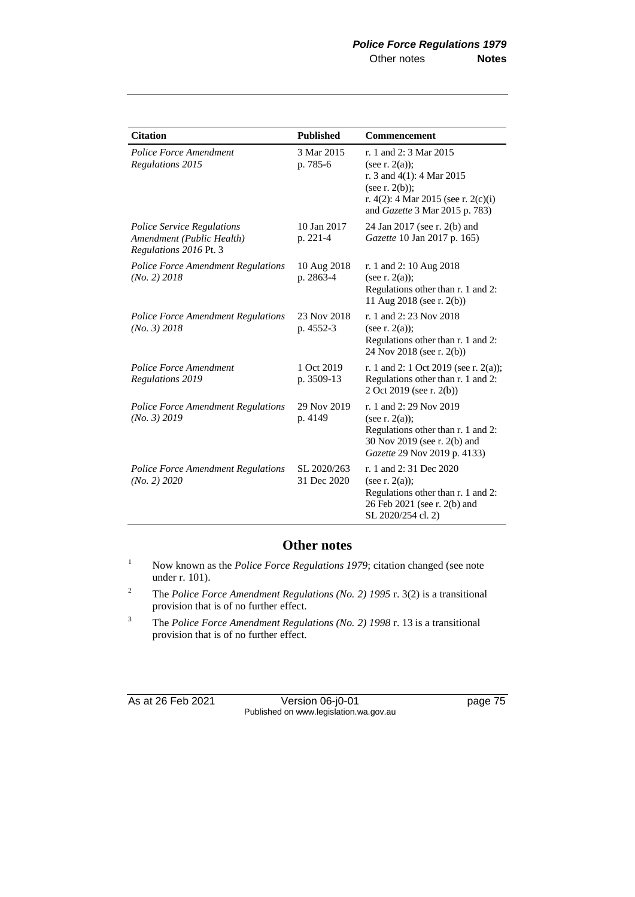| <b>Citation</b>                                                                          | <b>Published</b>           | Commencement                                                                                                                                                              |
|------------------------------------------------------------------------------------------|----------------------------|---------------------------------------------------------------------------------------------------------------------------------------------------------------------------|
| <b>Police Force Amendment</b><br>Regulations 2015                                        | 3 Mar 2015<br>p. 785-6     | r. 1 and 2: 3 Mar 2015<br>(see r. $2(a)$ );<br>r. 3 and $4(1)$ : 4 Mar 2015<br>(see r. $2(b)$ );<br>r. 4(2): 4 Mar 2015 (see r. 2(c)(i)<br>and Gazette 3 Mar 2015 p. 783) |
| <i>Police Service Regulations</i><br>Amendment (Public Health)<br>Regulations 2016 Pt. 3 | 10 Jan 2017<br>p. 221-4    | 24 Jan 2017 (see r. 2(b) and<br>Gazette 10 Jan 2017 p. 165)                                                                                                               |
| <b>Police Force Amendment Regulations</b><br>(No. 2) 2018                                | 10 Aug 2018<br>p. 2863-4   | r. 1 and 2: 10 Aug 2018<br>(see r. $2(a)$ );<br>Regulations other than r. 1 and 2:<br>11 Aug 2018 (see r. 2(b))                                                           |
| Police Force Amendment Regulations<br>(No. 3) 2018                                       | 23 Nov 2018<br>p. 4552-3   | r. 1 and 2: 23 Nov 2018<br>(see r. $2(a)$ );<br>Regulations other than r. 1 and 2:<br>24 Nov 2018 (see r. 2(b))                                                           |
| <b>Police Force Amendment</b><br><b>Regulations 2019</b>                                 | 1 Oct 2019<br>p. 3509-13   | r. 1 and 2: 1 Oct 2019 (see r. 2(a));<br>Regulations other than r. 1 and 2:<br>2 Oct 2019 (see r. 2(b))                                                                   |
| <b>Police Force Amendment Regulations</b><br>(No. 3) 2019                                | 29 Nov 2019<br>p. 4149     | r. 1 and 2: 29 Nov 2019<br>(see r. $2(a)$ );<br>Regulations other than r. 1 and 2:<br>30 Nov 2019 (see r. 2(b) and<br>Gazette 29 Nov 2019 p. 4133)                        |
| <b>Police Force Amendment Regulations</b><br>(No. 2) 2020                                | SL 2020/263<br>31 Dec 2020 | r. 1 and 2:31 Dec 2020<br>(see r. $2(a)$ );<br>Regulations other than r. 1 and 2:<br>26 Feb 2021 (see r. 2(b) and<br>SL 2020/254 cl. 2)                                   |

### **Other notes**

- <sup>1</sup> Now known as the *Police Force Regulations 1979*; citation changed (see note under r. 101).
- <sup>2</sup> The *Police Force Amendment Regulations (No. 2) 1995* r. 3(2) is a transitional provision that is of no further effect.
- <sup>3</sup> The *Police Force Amendment Regulations (No. 2) 1998* r. 13 is a transitional provision that is of no further effect.

As at 26 Feb 2021 Version 06-j0-01 page 75 Published on www.legislation.wa.gov.au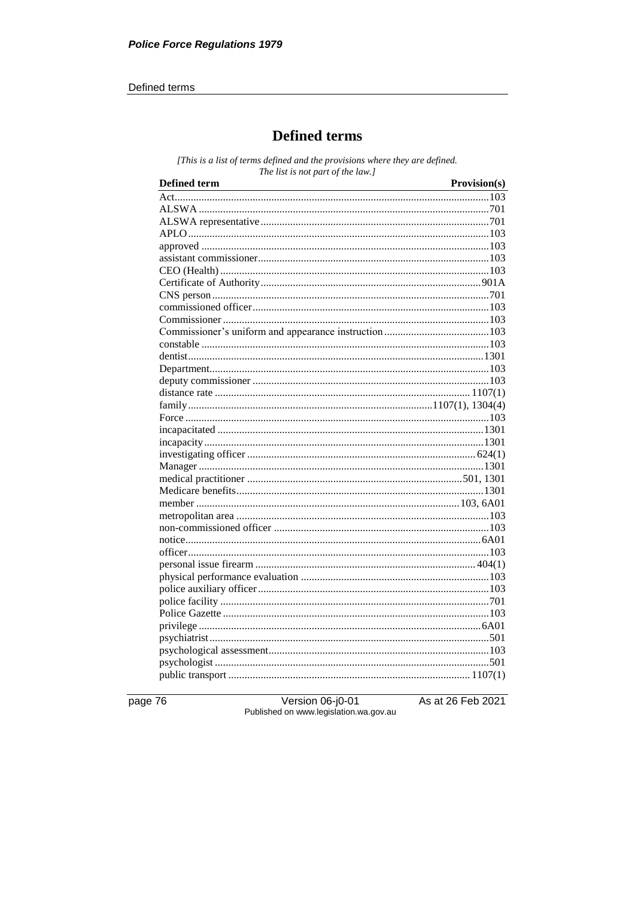#### Defined terms

### **Defined terms**

[This is a list of terms defined and the provisions where they are defined. The list is not part of the law.]

| <b>Defined term</b> | Provision(s) |
|---------------------|--------------|
|                     |              |
|                     |              |
|                     |              |
|                     |              |
|                     |              |
|                     |              |
|                     |              |
|                     |              |
|                     |              |
|                     |              |
|                     |              |
|                     |              |
|                     |              |
|                     |              |
|                     |              |
|                     |              |
|                     |              |
|                     |              |
|                     |              |
|                     |              |
|                     |              |
|                     |              |
|                     |              |
|                     |              |
|                     |              |
|                     |              |
|                     |              |
|                     |              |
|                     |              |
|                     |              |
|                     |              |
|                     |              |
|                     |              |
|                     |              |
|                     |              |
|                     |              |
|                     |              |
|                     |              |
|                     |              |
|                     |              |
|                     |              |

page 76

Version 06-j0-01 Published on www.legislation.wa.gov.au As at 26 Feb 2021